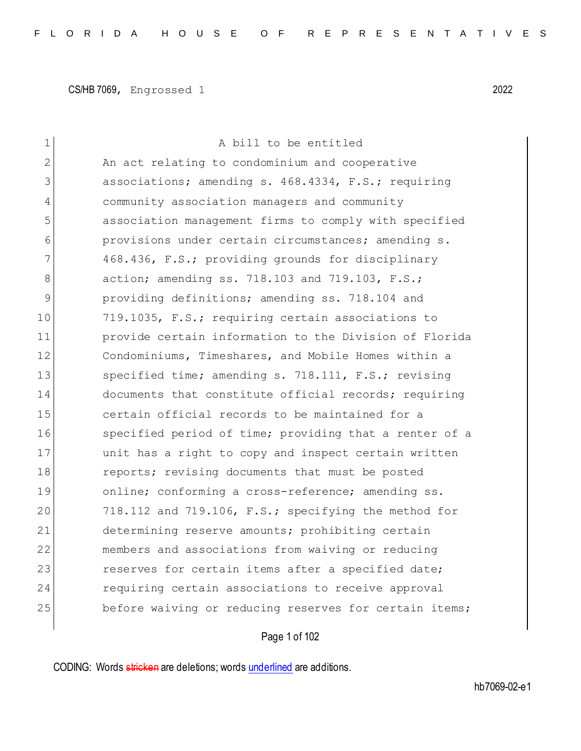| 1              | A bill to be entitled                                  |
|----------------|--------------------------------------------------------|
| $\overline{2}$ | An act relating to condominium and cooperative         |
| 3              | associations; amending s. 468.4334, F.S.; requiring    |
| 4              | community association managers and community           |
| 5              | association management firms to comply with specified  |
| 6              | provisions under certain circumstances; amending s.    |
| 7              | 468.436, F.S.; providing grounds for disciplinary      |
| 8              | action; amending ss. 718.103 and 719.103, F.S.;        |
| 9              | providing definitions; amending ss. 718.104 and        |
| 10             | 719.1035, F.S.; requiring certain associations to      |
| 11             | provide certain information to the Division of Florida |
| 12             | Condominiums, Timeshares, and Mobile Homes within a    |
| 13             | specified time; amending s. 718.111, F.S.; revising    |
| 14             | documents that constitute official records; requiring  |
| 15             | certain official records to be maintained for a        |
| 16             | specified period of time; providing that a renter of a |
| 17             | unit has a right to copy and inspect certain written   |
| 18             | reports; revising documents that must be posted        |
| 19             | online; conforming a cross-reference; amending ss.     |
| 20             | 718.112 and 719.106, F.S.; specifying the method for   |
| 21             | determining reserve amounts; prohibiting certain       |
| 22             | members and associations from waiving or reducing      |
| 23             | reserves for certain items after a specified date;     |
| 24             | requiring certain associations to receive approval     |
| 25             | before waiving or reducing reserves for certain items; |
|                |                                                        |

# Page 1 of 102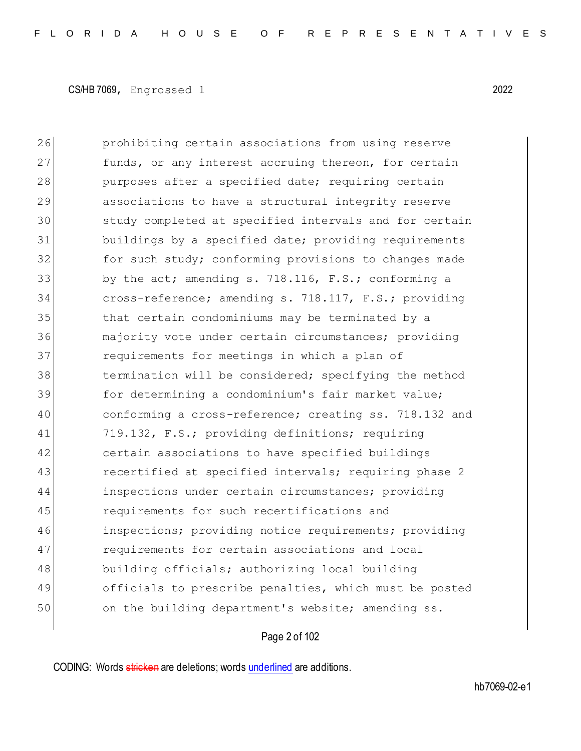26 prohibiting certain associations from using reserve 27 funds, or any interest accruing thereon, for certain 28 purposes after a specified date; requiring certain 29 associations to have a structural integrity reserve 30 study completed at specified intervals and for certain 31 buildings by a specified date; providing requirements 32 for such study; conforming provisions to changes made 33 by the act; amending s. 718.116, F.S.; conforming a 34 cross-reference; amending s. 718.117, F.S.; providing 35 that certain condominiums may be terminated by a 36 majority vote under certain circumstances; providing 37 requirements for meetings in which a plan of 38 termination will be considered; specifying the method 39 for determining a condominium's fair market value; 40 conforming a cross-reference; creating ss. 718.132 and 41 719.132, F.S.; providing definitions; requiring 42 certain associations to have specified buildings 43 recertified at specified intervals; requiring phase 2 44 inspections under certain circumstances; providing 45 **requirements** for such recertifications and 46 inspections; providing notice requirements; providing 47 requirements for certain associations and local 48 building officials; authorizing local building 49 officials to prescribe penalties, which must be posted 50 on the building department's website; amending ss.

## Page 2 of 102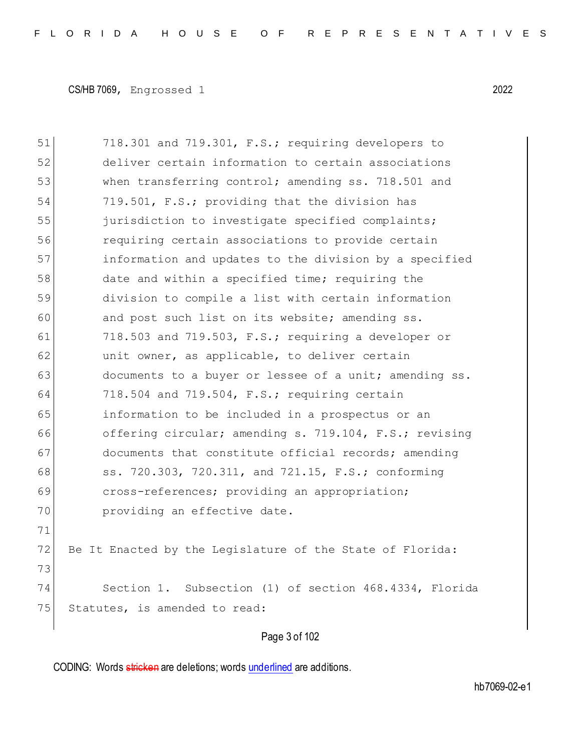51 718.301 and 719.301, F.S.; requiring developers to 52 deliver certain information to certain associations 53 when transferring control; amending ss. 718.501 and 54 719.501, F.S.; providing that the division has 55 jurisdiction to investigate specified complaints; 56 requiring certain associations to provide certain 57 information and updates to the division by a specified 58 date and within a specified time; requiring the 59 division to compile a list with certain information 60 and post such list on its website; amending ss. 61 718.503 and 719.503, F.S.; requiring a developer or 62 unit owner, as applicable, to deliver certain 63 documents to a buyer or lessee of a unit; amending ss. 64 718.504 and 719.504, F.S.; requiring certain 65 information to be included in a prospectus or an 66 offering circular; amending s. 719.104, F.S.; revising 67 documents that constitute official records; amending 68 ss. 720.303, 720.311, and 721.15, F.S.; conforming 69 cross-references; providing an appropriation; 70 **providing an effective date.** 71 72 Be It Enacted by the Legislature of the State of Florida: 73 74 Section 1. Subsection (1) of section 468.4334, Florida 75 Statutes, is amended to read:

Page 3 of 102

CODING: Words stricken are deletions; words underlined are additions.

hb7069-02-e1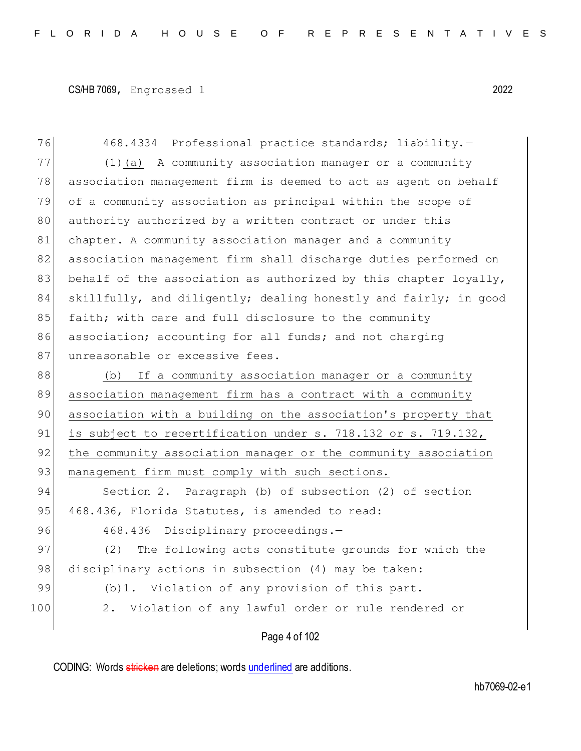76 468.4334 Professional practice standards; liability.-77 (1)(a) A community association manager or a community 78 association management firm is deemed to act as agent on behalf 79 of a community association as principal within the scope of 80 authority authorized by a written contract or under this 81 chapter. A community association manager and a community 82 association management firm shall discharge duties performed on 83 behalf of the association as authorized by this chapter loyally, 84 skillfully, and diligently; dealing honestly and fairly; in good 85 faith; with care and full disclosure to the community 86 association; accounting for all funds; and not charging 87 unreasonable or excessive fees. 88 (b) If a community association manager or a community 89 association management firm has a contract with a community 90 association with a building on the association's property that 91 is subject to recertification under s. 718.132 or s. 719.132, 92 the community association manager or the community association 93 management firm must comply with such sections. 94 Section 2. Paragraph (b) of subsection (2) of section 95 468.436, Florida Statutes, is amended to read: 96 468.436 Disciplinary proceedings.-97 (2) The following acts constitute grounds for which the 98 disciplinary actions in subsection (4) may be taken: 99 (b)1. Violation of any provision of this part. 100 2. Violation of any lawful order or rule rendered or

## Page 4 of 102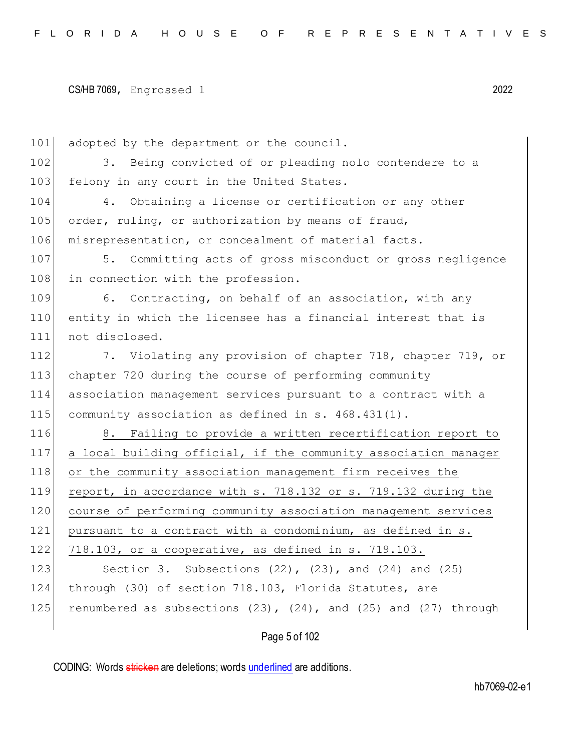101 adopted by the department or the council. 102 3. Being convicted of or pleading nolo contendere to a 103 felony in any court in the United States. 104 4. Obtaining a license or certification or any other 105 order, ruling, or authorization by means of fraud, 106 misrepresentation, or concealment of material facts. 107 5. Committing acts of gross misconduct or gross negligence 108 in connection with the profession. 109 6. Contracting, on behalf of an association, with any 110 entity in which the licensee has a financial interest that is 111 not disclosed. 112 7. Violating any provision of chapter 718, chapter 719, or 113 chapter 720 during the course of performing community 114 association management services pursuant to a contract with a 115 community association as defined in s. 468.431(1). 116 8. Failing to provide a written recertification report to 117 a local building official, if the community association manager 118 or the community association management firm receives the 119 report, in accordance with s. 718.132 or s. 719.132 during the 120 course of performing community association management services 121 pursuant to a contract with a condominium, as defined in s. 122 718.103, or a cooperative, as defined in s. 719.103. 123 Section 3. Subsections (22), (23), and (24) and (25) 124 through (30) of section 718.103, Florida Statutes, are 125 renumbered as subsections  $(23)$ ,  $(24)$ , and  $(25)$  and  $(27)$  through

Page 5 of 102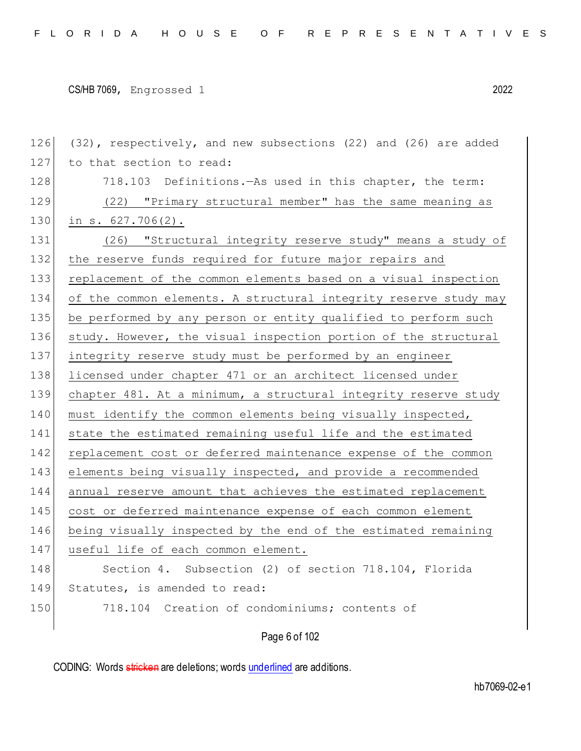126 (32), respectively, and new subsections (22) and (26) are added 127 to that section to read: 128 718.103 Definitions.—As used in this chapter, the term: 129 (22) "Primary structural member" has the same meaning as 130 in s. 627.706(2). 131 (26) "Structural integrity reserve study" means a study of 132 the reserve funds required for future major repairs and 133 replacement of the common elements based on a visual inspection 134 of the common elements. A structural integrity reserve study may 135 be performed by any person or entity qualified to perform such 136 study. However, the visual inspection portion of the structural 137 integrity reserve study must be performed by an engineer 138 licensed under chapter 471 or an architect licensed under 139 chapter 481. At a minimum, a structural integrity reserve study 140 must identify the common elements being visually inspected, 141 state the estimated remaining useful life and the estimated 142 replacement cost or deferred maintenance expense of the common 143 elements being visually inspected, and provide a recommended 144 annual reserve amount that achieves the estimated replacement 145 cost or deferred maintenance expense of each common element 146 being visually inspected by the end of the estimated remaining 147 useful life of each common element. 148 Section 4. Subsection (2) of section 718.104, Florida 149 Statutes, is amended to read: 150 718.104 Creation of condominiums; contents of

Page 6 of 102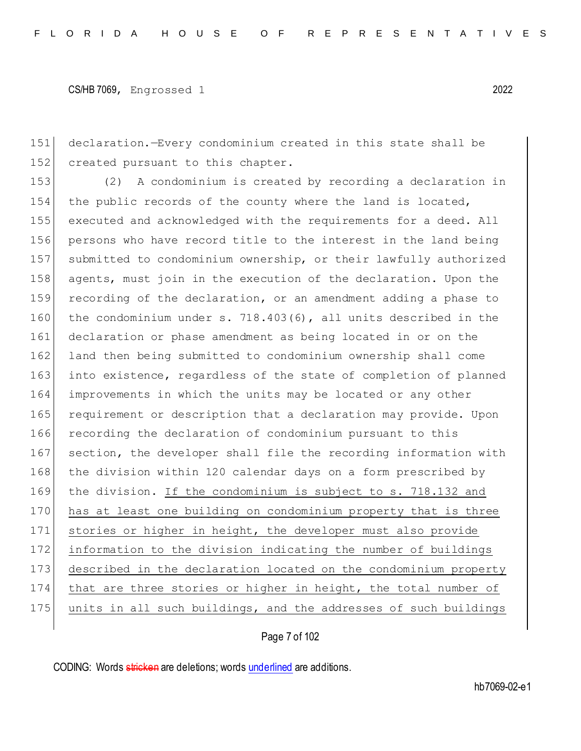151 declaration.—Every condominium created in this state shall be 152 created pursuant to this chapter.

 (2) A condominium is created by recording a declaration in 154 the public records of the county where the land is located, executed and acknowledged with the requirements for a deed. All persons who have record title to the interest in the land being submitted to condominium ownership, or their lawfully authorized 158 agents, must join in the execution of the declaration. Upon the recording of the declaration, or an amendment adding a phase to the condominium under s. 718.403(6), all units described in the declaration or phase amendment as being located in or on the land then being submitted to condominium ownership shall come 163 into existence, regardless of the state of completion of planned improvements in which the units may be located or any other 165 requirement or description that a declaration may provide. Upon 166 recording the declaration of condominium pursuant to this 167 section, the developer shall file the recording information with 168 the division within 120 calendar days on a form prescribed by the division. If the condominium is subject to s. 718.132 and has at least one building on condominium property that is three stories or higher in height, the developer must also provide information to the division indicating the number of buildings described in the declaration located on the condominium property 174 that are three stories or higher in height, the total number of 175 units in all such buildings, and the addresses of such buildings

Page 7 of 102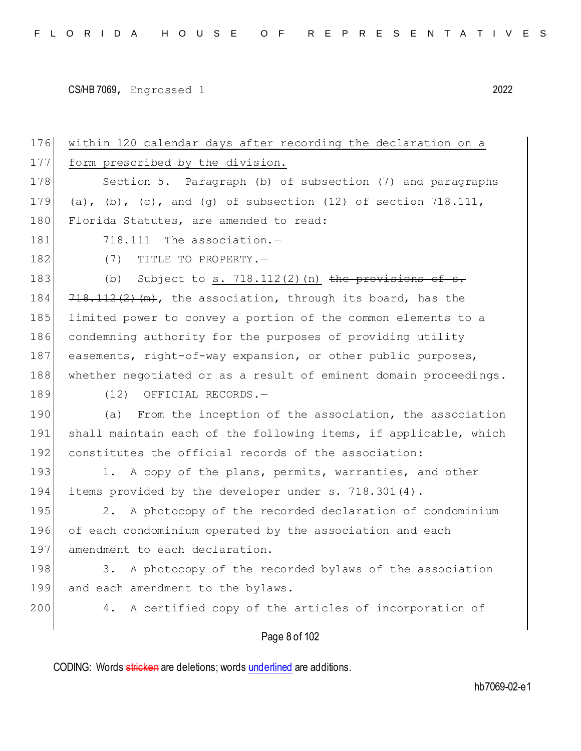Page 8 of 102 176 within 120 calendar days after recording the declaration on a 177 form prescribed by the division. 178 Section 5. Paragraph (b) of subsection (7) and paragraphs 179 (a), (b), (c), and (q) of subsection (12) of section 718.111, 180 Florida Statutes, are amended to read:  $181$   $718.111$  The association.  $-$ 182 (7) TITLE TO PROPERTY. 183 (b) Subject to s.  $718.112(2)(n)$  the provisions of s. 184  $\left[718,112\left(2\right)\right]$  (m), the association, through its board, has the 185 limited power to convey a portion of the common elements to a 186 condemning authority for the purposes of providing utility 187 easements, right-of-way expansion, or other public purposes, 188 whether negotiated or as a result of eminent domain proceedings. 189 (12) OFFICIAL RECORDS.-190 (a) From the inception of the association, the association 191 shall maintain each of the following items, if applicable, which 192 constitutes the official records of the association: 193 1. A copy of the plans, permits, warranties, and other 194 items provided by the developer under s. 718.301(4). 195 2. A photocopy of the recorded declaration of condominium 196 of each condominium operated by the association and each 197 amendment to each declaration. 198 3. A photocopy of the recorded bylaws of the association 199 and each amendment to the bylaws. 200 4. A certified copy of the articles of incorporation of

CODING: Words stricken are deletions; words underlined are additions.

hb7069-02-e1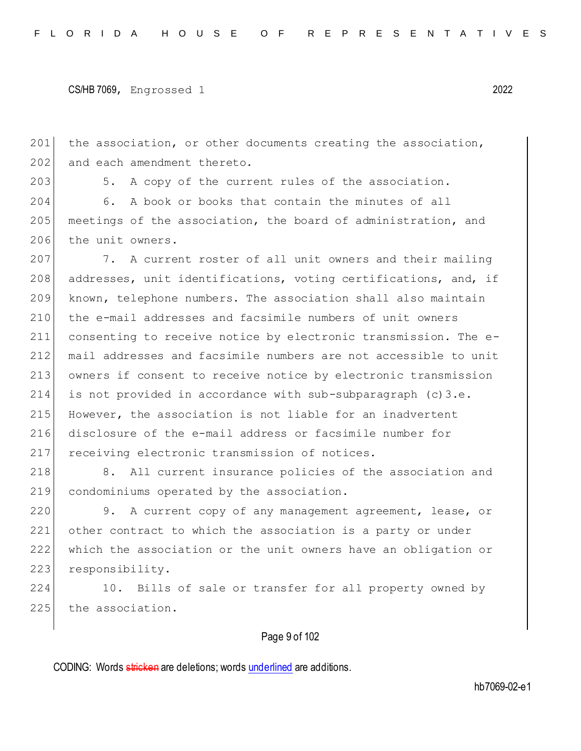201 the association, or other documents creating the association, 202 and each amendment thereto.

203 5. A copy of the current rules of the association.

204 6. A book or books that contain the minutes of all 205 meetings of the association, the board of administration, and 206 the unit owners.

207 7. A current roster of all unit owners and their mailing 208 addresses, unit identifications, voting certifications, and, if known, telephone numbers. The association shall also maintain the e-mail addresses and facsimile numbers of unit owners consenting to receive notice by electronic transmission. The e- mail addresses and facsimile numbers are not accessible to unit owners if consent to receive notice by electronic transmission is not provided in accordance with sub-subparagraph (c)3.e. However, the association is not liable for an inadvertent disclosure of the e-mail address or facsimile number for 217 receiving electronic transmission of notices.

218 8. All current insurance policies of the association and 219 condominiums operated by the association.

220 9. A current copy of any management agreement, lease, or 221 other contract to which the association is a party or under 222 which the association or the unit owners have an obligation or 223 responsibility.

224 10. Bills of sale or transfer for all property owned by 225 the association.

## Page 9 of 102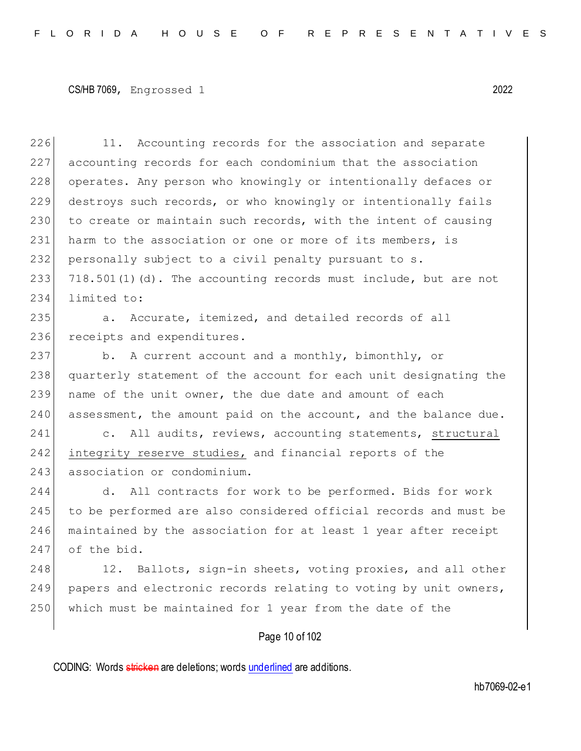226 11. Accounting records for the association and separate 227 accounting records for each condominium that the association 228 operates. Any person who knowingly or intentionally defaces or 229 destroys such records, or who knowingly or intentionally fails 230 to create or maintain such records, with the intent of causing 231 harm to the association or one or more of its members, is 232 personally subject to a civil penalty pursuant to  $s$ . 233  $|718.501(1)(d)$ . The accounting records must include, but are not 234 limited to:

235 a. Accurate, itemized, and detailed records of all 236 receipts and expenditures.

237 b. A current account and a monthly, bimonthly, or 238 quarterly statement of the account for each unit designating the 239 name of the unit owner, the due date and amount of each 240 assessment, the amount paid on the account, and the balance due.

241 c. All audits, reviews, accounting statements, structural 242 integrity reserve studies, and financial reports of the 243 association or condominium.

244 d. All contracts for work to be performed. Bids for work 245 to be performed are also considered official records and must be 246 maintained by the association for at least 1 year after receipt 247 of the bid.

248 12. Ballots, sign-in sheets, voting proxies, and all other 249 papers and electronic records relating to voting by unit owners, 250 which must be maintained for 1 year from the date of the

## Page 10 of 102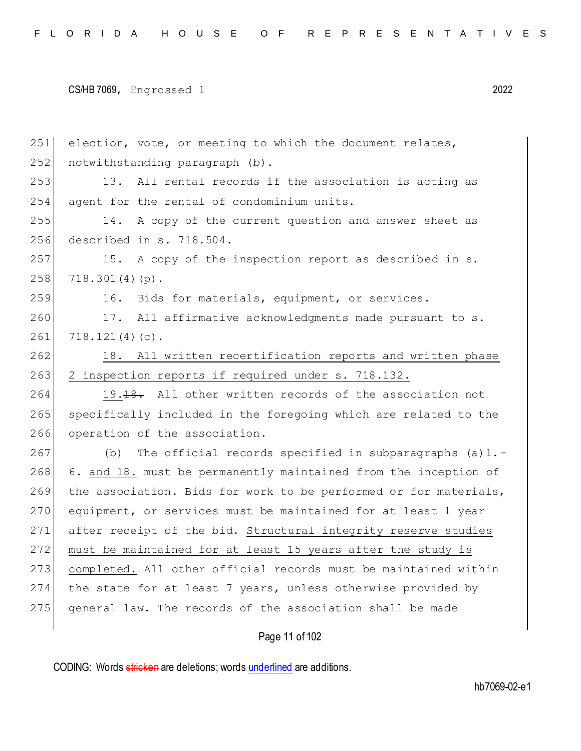251 election, vote, or meeting to which the document relates, 252 notwithstanding paragraph (b). 253 13. All rental records if the association is acting as 254 agent for the rental of condominium units. 255 14. A copy of the current question and answer sheet as 256 described in s. 718.504. 257 15. A copy of the inspection report as described in s.  $258$  718.301(4)(p). 259 16. Bids for materials, equipment, or services. 260 17. All affirmative acknowledgments made pursuant to s.  $261$  718.121(4)(c). 262 18. All written recertification reports and written phase 263 2 inspection reports if required under s. 718.132. 264 19.18. All other written records of the association not 265 specifically included in the foregoing which are related to the 266 operation of the association. 267 (b) The official records specified in subparagraphs (a)1.-268 6. and 18. must be permanently maintained from the inception of 269 the association. Bids for work to be performed or for materials, 270 equipment, or services must be maintained for at least 1 year 271 after receipt of the bid. Structural integrity reserve studies 272 must be maintained for at least 15 years after the study is 273 completed. All other official records must be maintained within 274 the state for at least 7 years, unless otherwise provided by 275 general law. The records of the association shall be made

Page 11 of 102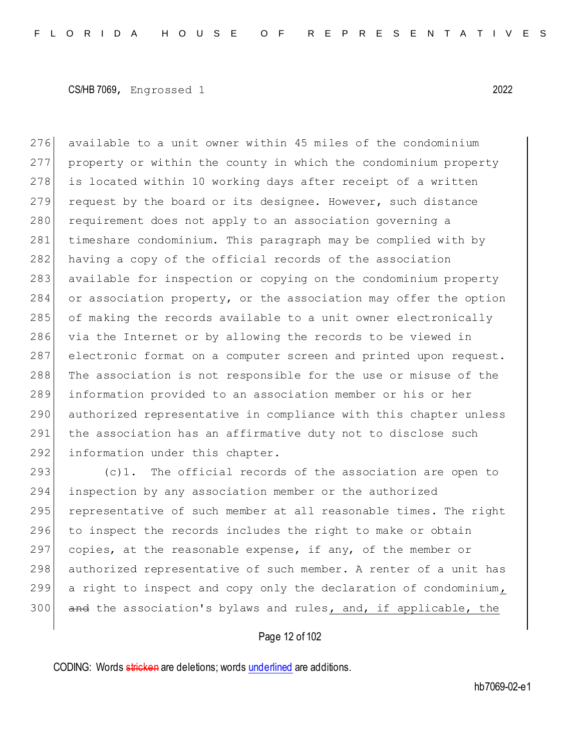276 available to a unit owner within 45 miles of the condominium 277 property or within the county in which the condominium property 278 is located within 10 working days after receipt of a written 279 request by the board or its designee. However, such distance 280 requirement does not apply to an association governing a 281 timeshare condominium. This paragraph may be complied with by 282 having a copy of the official records of the association 283 available for inspection or copying on the condominium property 284 or association property, or the association may offer the option 285 of making the records available to a unit owner electronically 286 via the Internet or by allowing the records to be viewed in 287 electronic format on a computer screen and printed upon request. 288 The association is not responsible for the use or misuse of the 289 information provided to an association member or his or her 290 authorized representative in compliance with this chapter unless 291 the association has an affirmative duty not to disclose such 292 information under this chapter.

293 (c)1. The official records of the association are open to 294 inspection by any association member or the authorized 295 representative of such member at all reasonable times. The right 296 to inspect the records includes the right to make or obtain 297 copies, at the reasonable expense, if any, of the member or 298 authorized representative of such member. A renter of a unit has 299 a right to inspect and copy only the declaration of condominium, 300 and the association's bylaws and rules, and, if applicable, the

## Page 12 of 102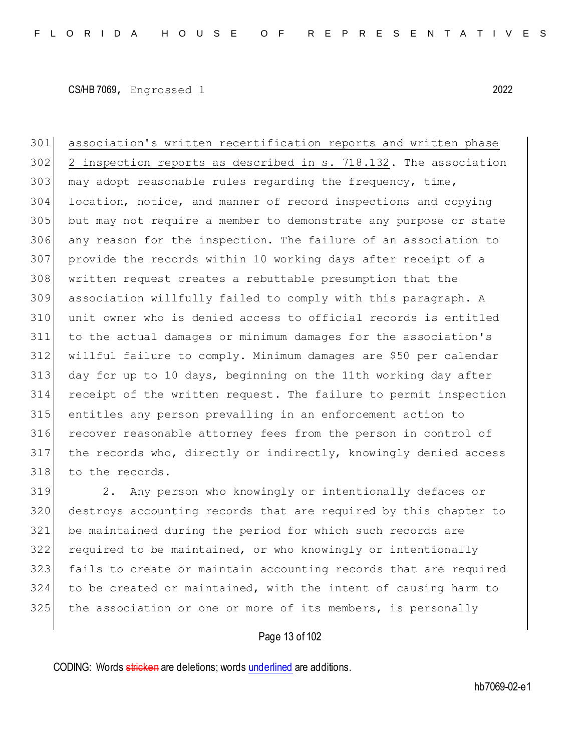association's written recertification reports and written phase 2 inspection reports as described in s. 718.132. The association may adopt reasonable rules regarding the frequency, time, location, notice, and manner of record inspections and copying but may not require a member to demonstrate any purpose or state any reason for the inspection. The failure of an association to provide the records within 10 working days after receipt of a written request creates a rebuttable presumption that the association willfully failed to comply with this paragraph. A unit owner who is denied access to official records is entitled to the actual damages or minimum damages for the association's willful failure to comply. Minimum damages are \$50 per calendar day for up to 10 days, beginning on the 11th working day after receipt of the written request. The failure to permit inspection entitles any person prevailing in an enforcement action to recover reasonable attorney fees from the person in control of the records who, directly or indirectly, knowingly denied access 318 to the records.

 2. Any person who knowingly or intentionally defaces or destroys accounting records that are required by this chapter to be maintained during the period for which such records are required to be maintained, or who knowingly or intentionally fails to create or maintain accounting records that are required to be created or maintained, with the intent of causing harm to 325 the association or one or more of its members, is personally

## Page 13 of 102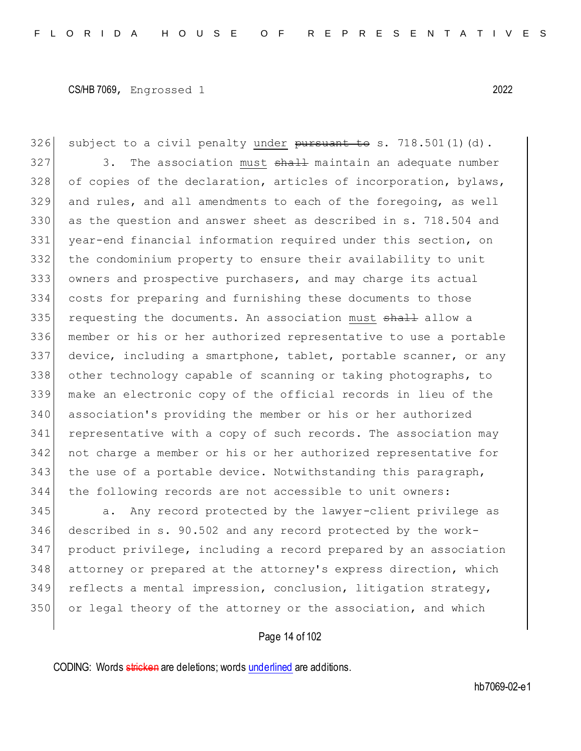326 subject to a civil penalty under  $\frac{1}{2}$  pursuant to s. 718.501(1)(d). 327 3. The association must shall maintain an adequate number 328 of copies of the declaration, articles of incorporation, bylaws, and rules, and all amendments to each of the foregoing, as well 330 as the question and answer sheet as described in s. 718.504 and year-end financial information required under this section, on the condominium property to ensure their availability to unit owners and prospective purchasers, and may charge its actual costs for preparing and furnishing these documents to those 335 requesting the documents. An association must shall allow a member or his or her authorized representative to use a portable device, including a smartphone, tablet, portable scanner, or any 338 other technology capable of scanning or taking photographs, to make an electronic copy of the official records in lieu of the association's providing the member or his or her authorized representative with a copy of such records. The association may not charge a member or his or her authorized representative for the use of a portable device. Notwithstanding this paragraph, the following records are not accessible to unit owners:

345 a. Any record protected by the lawyer-client privilege as described in s. 90.502 and any record protected by the work- product privilege, including a record prepared by an association 348 attorney or prepared at the attorney's express direction, which reflects a mental impression, conclusion, litigation strategy, or legal theory of the attorney or the association, and which

#### Page 14 of 102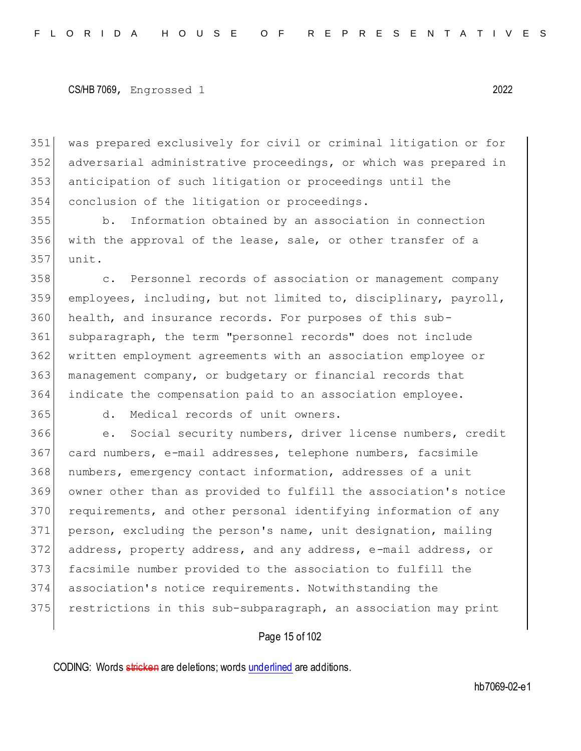was prepared exclusively for civil or criminal litigation or for adversarial administrative proceedings, or which was prepared in anticipation of such litigation or proceedings until the conclusion of the litigation or proceedings.

 b. Information obtained by an association in connection with the approval of the lease, sale, or other transfer of a unit.

358 c. Personnel records of association or management company employees, including, but not limited to, disciplinary, payroll, health, and insurance records. For purposes of this sub- subparagraph, the term "personnel records" does not include written employment agreements with an association employee or management company, or budgetary or financial records that indicate the compensation paid to an association employee.

d. Medical records of unit owners.

 e. Social security numbers, driver license numbers, credit 367 card numbers, e-mail addresses, telephone numbers, facsimile numbers, emergency contact information, addresses of a unit owner other than as provided to fulfill the association's notice 370 requirements, and other personal identifying information of any person, excluding the person's name, unit designation, mailing address, property address, and any address, e-mail address, or 373 facsimile number provided to the association to fulfill the association's notice requirements. Notwithstanding the 375 restrictions in this sub-subparagraph, an association may print

## Page 15 of 102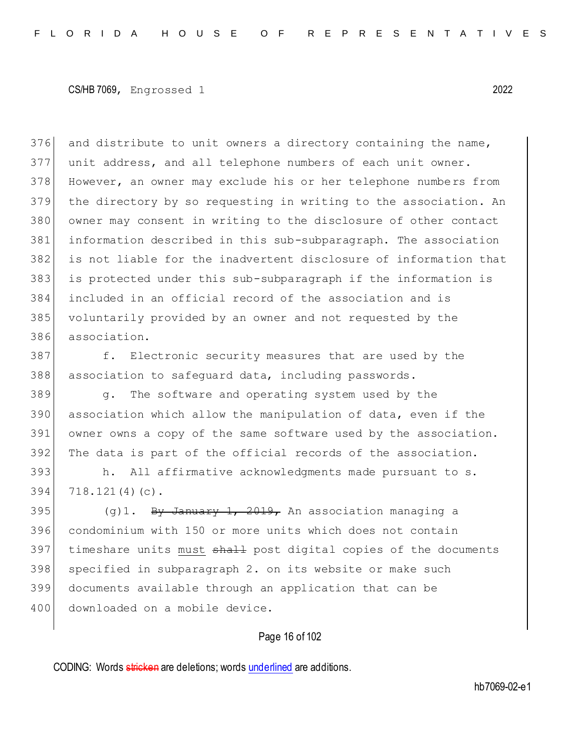376 and distribute to unit owners a directory containing the name, unit address, and all telephone numbers of each unit owner. 378 However, an owner may exclude his or her telephone numbers from the directory by so requesting in writing to the association. An 380 owner may consent in writing to the disclosure of other contact information described in this sub-subparagraph. The association is not liable for the inadvertent disclosure of information that is protected under this sub-subparagraph if the information is included in an official record of the association and is voluntarily provided by an owner and not requested by the association.

387 f. Electronic security measures that are used by the 388 association to safeguard data, including passwords.

 g. The software and operating system used by the 390 association which allow the manipulation of data, even if the owner owns a copy of the same software used by the association. The data is part of the official records of the association.

393 h. All affirmative acknowledgments made pursuant to s. 394 718.121(4)(c).

395  $(g)$ 1. By January 1, 2019, An association managing a 396 condominium with 150 or more units which does not contain 397 timeshare units must shall post digital copies of the documents 398 specified in subparagraph 2. on its website or make such 399 documents available through an application that can be 400 downloaded on a mobile device.

## Page 16 of 102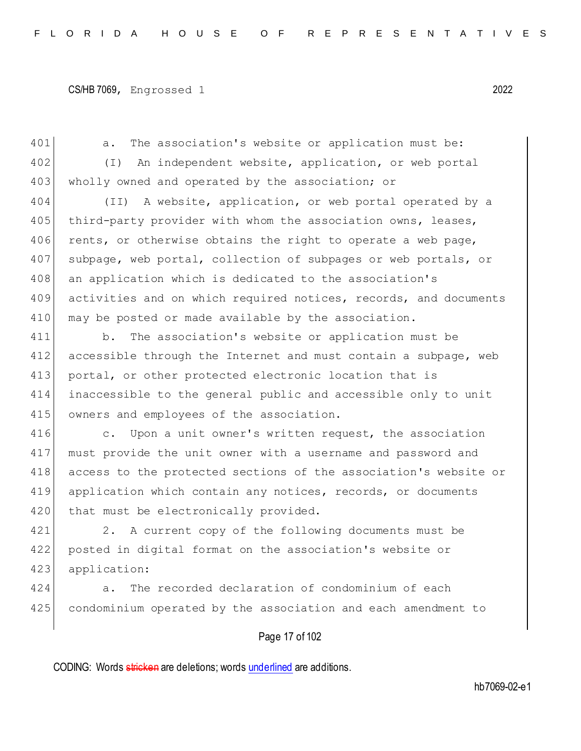```
CS/HB 7069, Engrossed 1 2022
```
401 a. The association's website or application must be: 402 (I) An independent website, application, or web portal 403 wholly owned and operated by the association; or 404 (II) A website, application, or web portal operated by a 405 third-party provider with whom the association owns, leases, 406 rents, or otherwise obtains the right to operate a web page, 407 subpage, web portal, collection of subpages or web portals, or 408 an application which is dedicated to the association's 409 activities and on which required notices, records, and documents 410 may be posted or made available by the association. 411 b. The association's website or application must be

412 accessible through the Internet and must contain a subpage, web 413 portal, or other protected electronic location that is 414 inaccessible to the general public and accessible only to unit 415 owners and employees of the association.

416 c. Upon a unit owner's written request, the association 417 must provide the unit owner with a username and password and 418 access to the protected sections of the association's website or 419 application which contain any notices, records, or documents 420 that must be electronically provided.

421 2. A current copy of the following documents must be 422 posted in digital format on the association's website or 423 application:

424 a. The recorded declaration of condominium of each 425 condominium operated by the association and each amendment to

# Page 17 of 102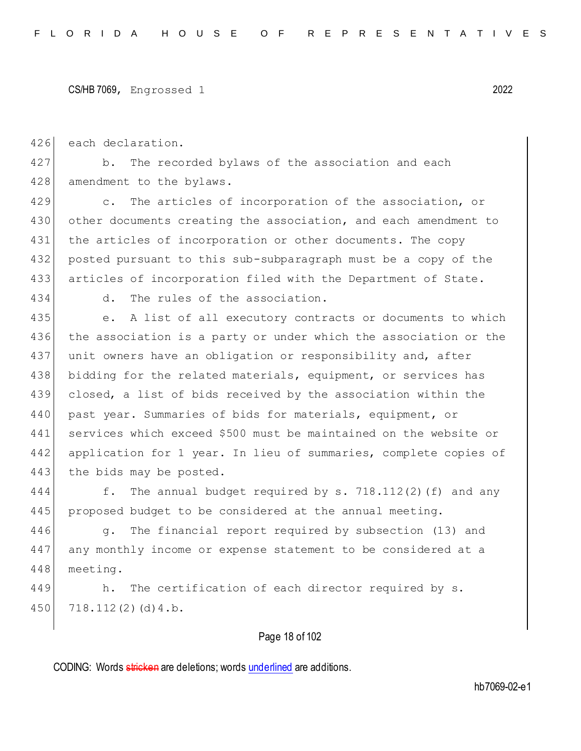```
CS/HB 7069, Engrossed 1 2022
```
426 each declaration.

427 b. The recorded bylaws of the association and each 428 amendment to the bylaws.

 c. The articles of incorporation of the association, or other documents creating the association, and each amendment to the articles of incorporation or other documents. The copy posted pursuant to this sub-subparagraph must be a copy of the articles of incorporation filed with the Department of State.

434 d. The rules of the association.

435 e. A list of all executory contracts or documents to which 436 the association is a party or under which the association or the 437 unit owners have an obligation or responsibility and, after 438 bidding for the related materials, equipment, or services has 439 closed, a list of bids received by the association within the 440 | past year. Summaries of bids for materials, equipment, or 441 services which exceed \$500 must be maintained on the website or 442 application for 1 year. In lieu of summaries, complete copies of 443 the bids may be posted.

444 f. The annual budget required by s. 718.112(2)(f) and any 445 proposed budget to be considered at the annual meeting.

446 g. The financial report required by subsection (13) and 447 any monthly income or expense statement to be considered at a 448 meeting.

449 h. The certification of each director required by s. 450 718.112(2)(d) 4.b.

# Page 18 of 102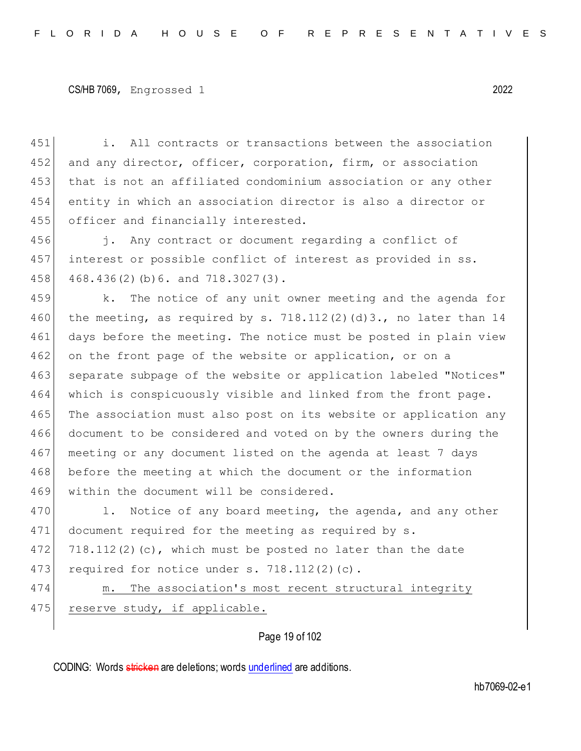451 i. All contracts or transactions between the association 452 and any director, officer, corporation, firm, or association 453 that is not an affiliated condominium association or any other 454 entity in which an association director is also a director or 455 officer and financially interested.

456 i. Any contract or document regarding a conflict of 457 interest or possible conflict of interest as provided in ss. 458 468.436(2)(b) 6. and 718.3027(3).

459 k. The notice of any unit owner meeting and the agenda for 460 the meeting, as required by s. 718.112(2)(d)3., no later than  $14$ 461 days before the meeting. The notice must be posted in plain view 462 on the front page of the website or application, or on a 463 separate subpage of the website or application labeled "Notices" 464 which is conspicuously visible and linked from the front page. 465 The association must also post on its website or application any 466 document to be considered and voted on by the owners during the 467 meeting or any document listed on the agenda at least 7 days 468 before the meeting at which the document or the information 469 within the document will be considered.

470 1. Notice of any board meeting, the agenda, and any other 471 document required for the meeting as required by s. 472 718.112(2)(c), which must be posted no later than the date 473 required for notice under s.  $718.112(2)(c)$ .

474 m. The association's most recent structural integrity 475 reserve study, if applicable.

Page 19 of 102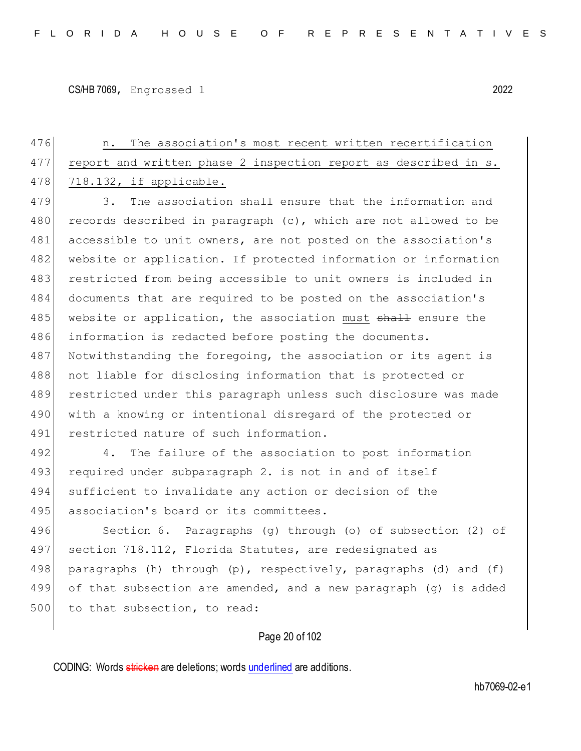476 **n.** The association's most recent written recertification 477 report and written phase 2 inspection report as described in s. 478 718.132, if applicable. 479 3. The association shall ensure that the information and 480 records described in paragraph  $(c)$ , which are not allowed to be 481 accessible to unit owners, are not posted on the association's 482 website or application. If protected information or information 483 restricted from being accessible to unit owners is included in 484 documents that are required to be posted on the association's 485 website or application, the association must shall ensure the 486 information is redacted before posting the documents. 487 Notwithstanding the foregoing, the association or its agent is 488 | not liable for disclosing information that is protected or 489 restricted under this paragraph unless such disclosure was made 490 | with a knowing or intentional disregard of the protected or 491 restricted nature of such information. 492 4. The failure of the association to post information 493 required under subparagraph 2. is not in and of itself 494 sufficient to invalidate any action or decision of the 495 association's board or its committees. 496 Section 6. Paragraphs (g) through (o) of subsection (2) of 497 section 718.112, Florida Statutes, are redesignated as 498 paragraphs (h) through (p), respectively, paragraphs (d) and (f) 499 of that subsection are amended, and a new paragraph (g) is added 500 to that subsection, to read:

Page 20 of 102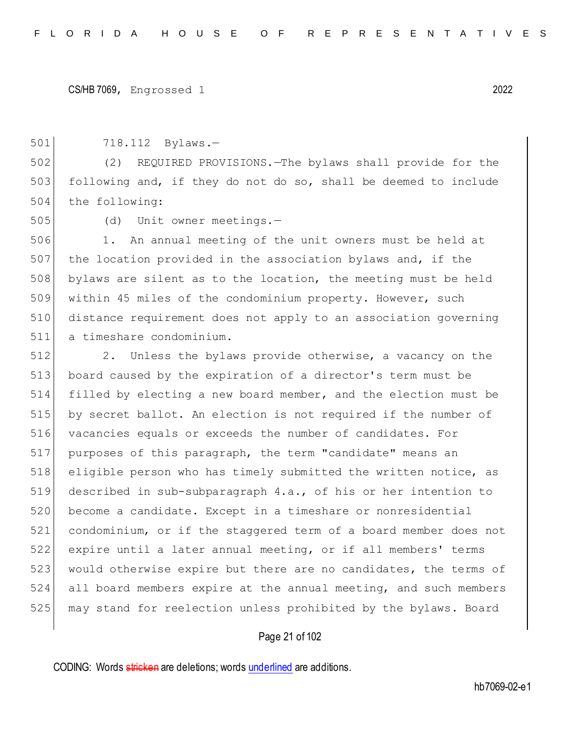718.112 Bylaws.—

 (2) REQUIRED PROVISIONS.—The bylaws shall provide for the following and, if they do not do so, shall be deemed to include 504 the following:

(d) Unit owner meetings.—

 1. An annual meeting of the unit owners must be held at the location provided in the association bylaws and, if the bylaws are silent as to the location, the meeting must be held within 45 miles of the condominium property. However, such distance requirement does not apply to an association governing a timeshare condominium.

 2. Unless the bylaws provide otherwise, a vacancy on the board caused by the expiration of a director's term must be filled by electing a new board member, and the election must be by secret ballot. An election is not required if the number of vacancies equals or exceeds the number of candidates. For 517 purposes of this paragraph, the term "candidate" means an eligible person who has timely submitted the written notice, as described in sub-subparagraph 4.a., of his or her intention to become a candidate. Except in a timeshare or nonresidential condominium, or if the staggered term of a board member does not expire until a later annual meeting, or if all members' terms 523 would otherwise expire but there are no candidates, the terms of all board members expire at the annual meeting, and such members may stand for reelection unless prohibited by the bylaws. Board

## Page 21 of 102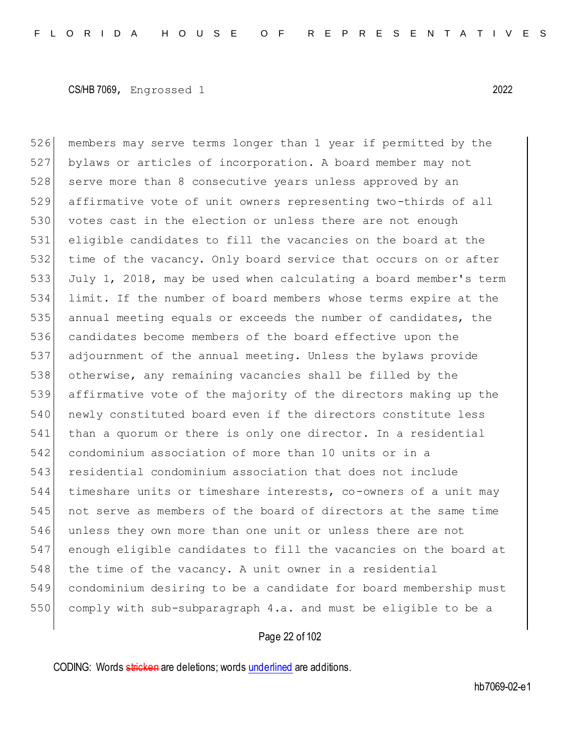members may serve terms longer than 1 year if permitted by the bylaws or articles of incorporation. A board member may not 528 serve more than 8 consecutive years unless approved by an affirmative vote of unit owners representing two-thirds of all 530 votes cast in the election or unless there are not enough eligible candidates to fill the vacancies on the board at the time of the vacancy. Only board service that occurs on or after July 1, 2018, may be used when calculating a board member's term limit. If the number of board members whose terms expire at the annual meeting equals or exceeds the number of candidates, the candidates become members of the board effective upon the adjournment of the annual meeting. Unless the bylaws provide otherwise, any remaining vacancies shall be filled by the affirmative vote of the majority of the directors making up the 540 newly constituted board even if the directors constitute less than a quorum or there is only one director. In a residential condominium association of more than 10 units or in a residential condominium association that does not include timeshare units or timeshare interests, co-owners of a unit may not serve as members of the board of directors at the same time unless they own more than one unit or unless there are not enough eligible candidates to fill the vacancies on the board at the time of the vacancy. A unit owner in a residential condominium desiring to be a candidate for board membership must comply with sub-subparagraph 4.a. and must be eligible to be a

## Page 22 of 102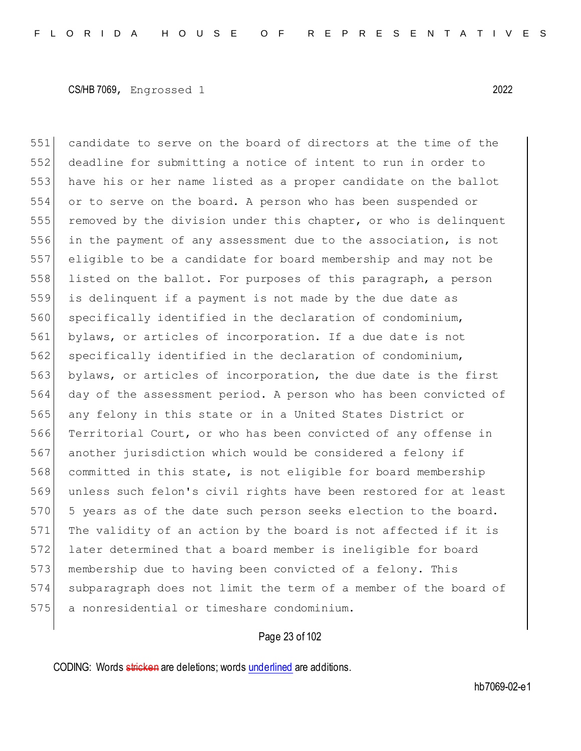candidate to serve on the board of directors at the time of the deadline for submitting a notice of intent to run in order to have his or her name listed as a proper candidate on the ballot or to serve on the board. A person who has been suspended or removed by the division under this chapter, or who is delinquent in the payment of any assessment due to the association, is not eligible to be a candidate for board membership and may not be listed on the ballot. For purposes of this paragraph, a person is delinquent if a payment is not made by the due date as 560 specifically identified in the declaration of condominium, bylaws, or articles of incorporation. If a due date is not 562 specifically identified in the declaration of condominium, 563 bylaws, or articles of incorporation, the due date is the first day of the assessment period. A person who has been convicted of 565 any felony in this state or in a United States District or 566 Territorial Court, or who has been convicted of any offense in 567 another jurisdiction which would be considered a felony if committed in this state, is not eligible for board membership unless such felon's civil rights have been restored for at least 570 5 years as of the date such person seeks election to the board. The validity of an action by the board is not affected if it is later determined that a board member is ineligible for board 573 membership due to having been convicted of a felony. This subparagraph does not limit the term of a member of the board of a nonresidential or timeshare condominium.

## Page 23 of 102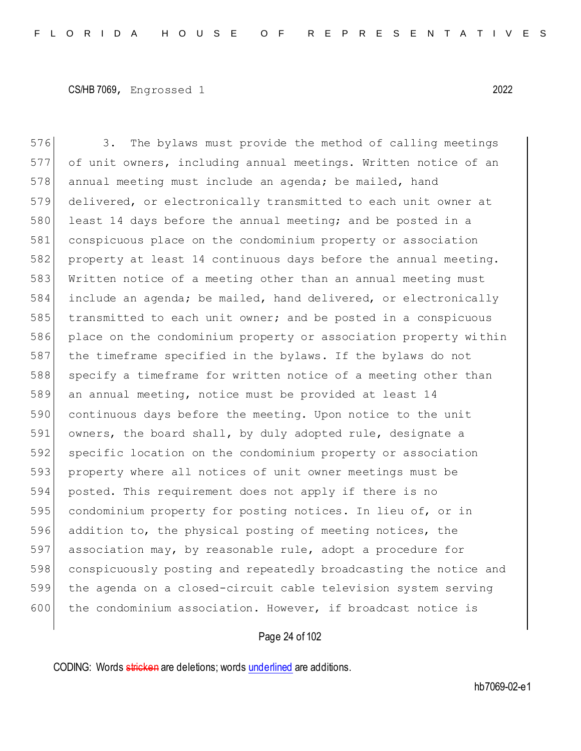576 3. The bylaws must provide the method of calling meetings 577 of unit owners, including annual meetings. Written notice of an 578 annual meeting must include an agenda; be mailed, hand 579 delivered, or electronically transmitted to each unit owner at 580 least 14 days before the annual meeting; and be posted in a 581 conspicuous place on the condominium property or association 582 property at least 14 continuous days before the annual meeting. 583 Written notice of a meeting other than an annual meeting must 584 include an agenda; be mailed, hand delivered, or electronically 585 transmitted to each unit owner; and be posted in a conspicuous 586 place on the condominium property or association property within 587 the timeframe specified in the bylaws. If the bylaws do not 588 specify a timeframe for written notice of a meeting other than 589 an annual meeting, notice must be provided at least 14 590 continuous days before the meeting. Upon notice to the unit 591 owners, the board shall, by duly adopted rule, designate a 592 specific location on the condominium property or association 593 property where all notices of unit owner meetings must be 594 posted. This requirement does not apply if there is no 595 condominium property for posting notices. In lieu of, or in 596 addition to, the physical posting of meeting notices, the 597 association may, by reasonable rule, adopt a procedure for 598 conspicuously posting and repeatedly broadcasting the notice and 599 the agenda on a closed-circuit cable television system serving 600 the condominium association. However, if broadcast notice is

## Page 24 of 102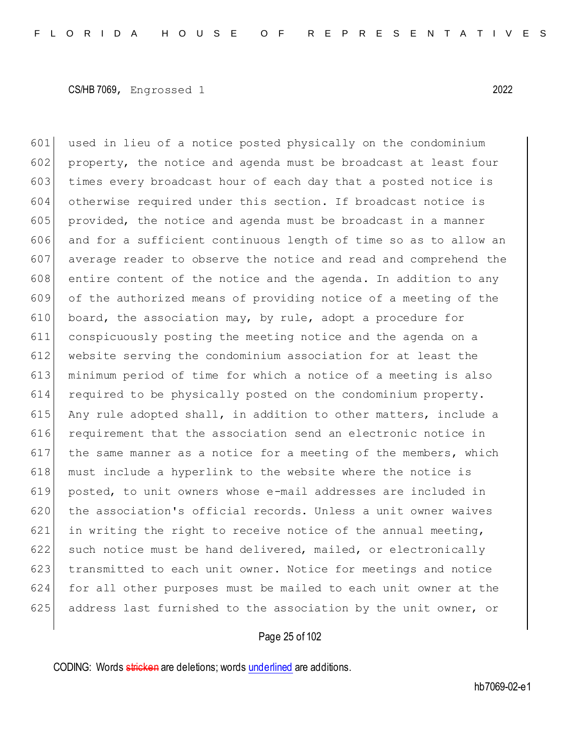601 used in lieu of a notice posted physically on the condominium 602 property, the notice and agenda must be broadcast at least four 603 times every broadcast hour of each day that a posted notice is 604 otherwise required under this section. If broadcast notice is  $605$  provided, the notice and agenda must be broadcast in a manner 606 and for a sufficient continuous length of time so as to allow an 607 average reader to observe the notice and read and comprehend the  $608$  entire content of the notice and the agenda. In addition to any 609 of the authorized means of providing notice of a meeting of the 610 board, the association may, by rule, adopt a procedure for 611 conspicuously posting the meeting notice and the agenda on a 612 website serving the condominium association for at least the 613 minimum period of time for which a notice of a meeting is also 614 required to be physically posted on the condominium property. 615 Any rule adopted shall, in addition to other matters, include a 616 requirement that the association send an electronic notice in 617 | the same manner as a notice for a meeting of the members, which 618 must include a hyperlink to the website where the notice is 619 posted, to unit owners whose e-mail addresses are included in 620 the association's official records. Unless a unit owner waives 621 in writing the right to receive notice of the annual meeting, 622 such notice must be hand delivered, mailed, or electronically 623 transmitted to each unit owner. Notice for meetings and notice 624 for all other purposes must be mailed to each unit owner at the 625 address last furnished to the association by the unit owner, or

## Page 25 of 102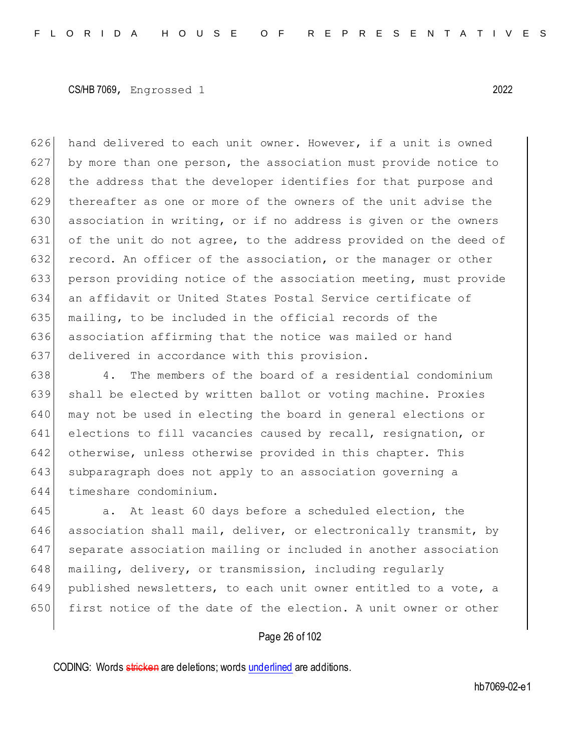626 hand delivered to each unit owner. However, if a unit is owned 627 by more than one person, the association must provide notice to 628 the address that the developer identifies for that purpose and 629 thereafter as one or more of the owners of the unit advise the 630 association in writing, or if no address is given or the owners 631 of the unit do not agree, to the address provided on the deed of 632 record. An officer of the association, or the manager or other 633 person providing notice of the association meeting, must provide 634 an affidavit or United States Postal Service certificate of 635 mailing, to be included in the official records of the 636 association affirming that the notice was mailed or hand 637 delivered in accordance with this provision.

638 4. The members of the board of a residential condominium 639 shall be elected by written ballot or voting machine. Proxies 640 may not be used in electing the board in general elections or 641 elections to fill vacancies caused by recall, resignation, or 642 otherwise, unless otherwise provided in this chapter. This 643 subparagraph does not apply to an association governing a 644 timeshare condominium.

 $645$  a. At least 60 days before a scheduled election, the 646 association shall mail, deliver, or electronically transmit, by 647 separate association mailing or included in another association 648 mailing, delivery, or transmission, including regularly 649 published newsletters, to each unit owner entitled to a vote, a 650 first notice of the date of the election. A unit owner or other

## Page 26 of 102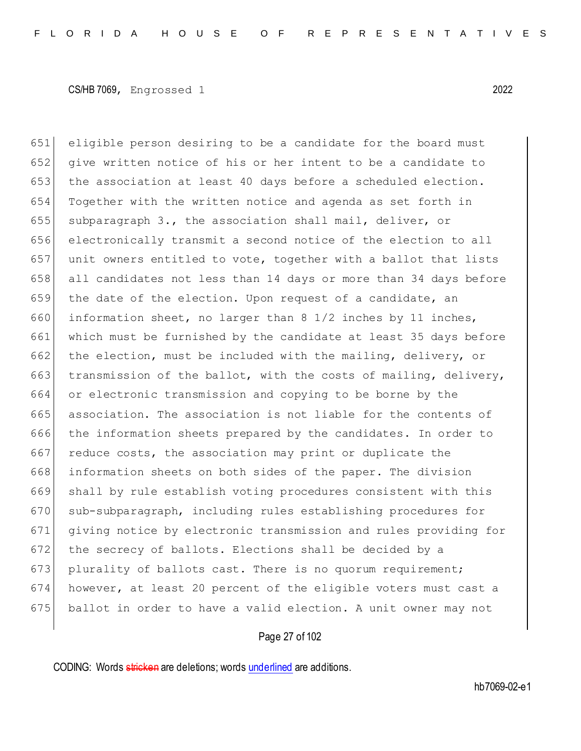651 eligible person desiring to be a candidate for the board must 652 give written notice of his or her intent to be a candidate to 653 the association at least 40 days before a scheduled election. 654 Together with the written notice and agenda as set forth in 655 subparagraph 3., the association shall mail, deliver, or 656 electronically transmit a second notice of the election to all 657 unit owners entitled to vote, together with a ballot that lists 658 all candidates not less than 14 days or more than 34 days before 659 the date of the election. Upon request of a candidate, an 660 information sheet, no larger than 8 1/2 inches by 11 inches, 661 which must be furnished by the candidate at least 35 days before 662 the election, must be included with the mailing, delivery, or 663 transmission of the ballot, with the costs of mailing, delivery, 664 or electronic transmission and copying to be borne by the 665 association. The association is not liable for the contents of 666 the information sheets prepared by the candidates. In order to 667 reduce costs, the association may print or duplicate the 668 information sheets on both sides of the paper. The division 669 shall by rule establish voting procedures consistent with this 670 sub-subparagraph, including rules establishing procedures for 671 giving notice by electronic transmission and rules providing for 672 the secrecy of ballots. Elections shall be decided by a 673 plurality of ballots cast. There is no quorum requirement; 674 however, at least 20 percent of the eligible voters must cast a 675 ballot in order to have a valid election. A unit owner may not

## Page 27 of 102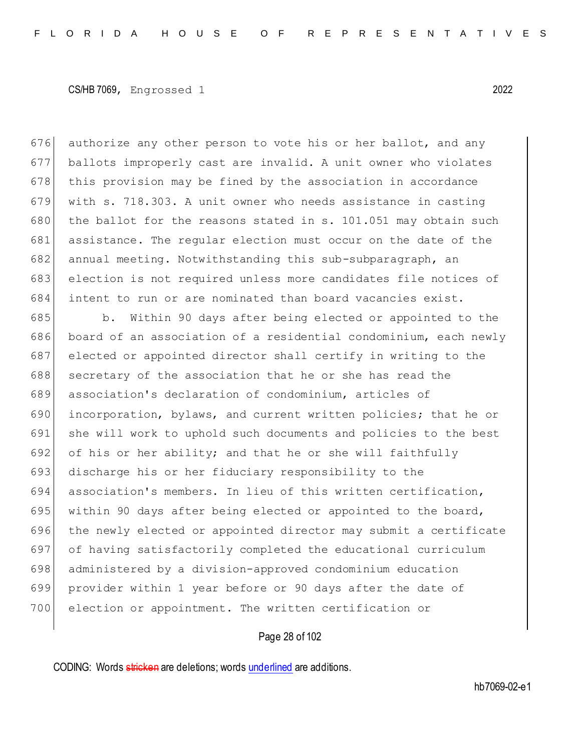authorize any other person to vote his or her ballot, and any ballots improperly cast are invalid. A unit owner who violates this provision may be fined by the association in accordance with s. 718.303. A unit owner who needs assistance in casting 680 the ballot for the reasons stated in s. 101.051 may obtain such assistance. The regular election must occur on the date of the 682 annual meeting. Notwithstanding this sub-subparagraph, an election is not required unless more candidates file notices of intent to run or are nominated than board vacancies exist.

685 b. Within 90 days after being elected or appointed to the board of an association of a residential condominium, each newly 687 elected or appointed director shall certify in writing to the 688 secretary of the association that he or she has read the association's declaration of condominium, articles of incorporation, bylaws, and current written policies; that he or 691 she will work to uphold such documents and policies to the best 692 of his or her ability; and that he or she will faithfully discharge his or her fiduciary responsibility to the association's members. In lieu of this written certification, 695 within 90 days after being elected or appointed to the board, the newly elected or appointed director may submit a certificate of having satisfactorily completed the educational curriculum administered by a division-approved condominium education provider within 1 year before or 90 days after the date of election or appointment. The written certification or

## Page 28 of 102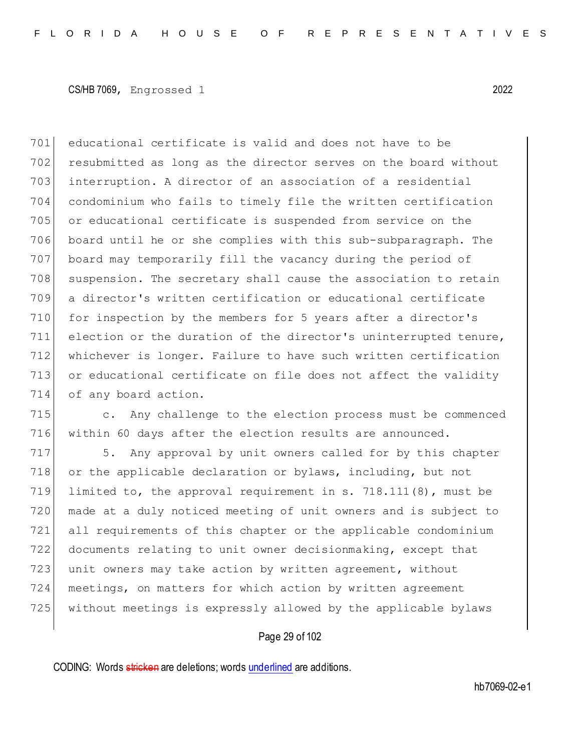701 educational certificate is valid and does not have to be 702 resubmitted as long as the director serves on the board without 703 interruption. A director of an association of a residential 704 condominium who fails to timely file the written certification 705 or educational certificate is suspended from service on the 706 board until he or she complies with this sub-subparagraph. The 707 board may temporarily fill the vacancy during the period of 708 suspension. The secretary shall cause the association to retain 709 a director's written certification or educational certificate 710 for inspection by the members for 5 years after a director's 711 election or the duration of the director's uninterrupted tenure, 712 whichever is longer. Failure to have such written certification 713 or educational certificate on file does not affect the validity 714 of any board action.

715 c. Any challenge to the election process must be commenced 716 within 60 days after the election results are announced.

717 5. Any approval by unit owners called for by this chapter 718 or the applicable declaration or bylaws, including, but not limited to, the approval requirement in s. 718.111(8), must be made at a duly noticed meeting of unit owners and is subject to all requirements of this chapter or the applicable condominium documents relating to unit owner decisionmaking, except that 723 unit owners may take action by written agreement, without meetings, on matters for which action by written agreement without meetings is expressly allowed by the applicable bylaws

## Page 29 of 102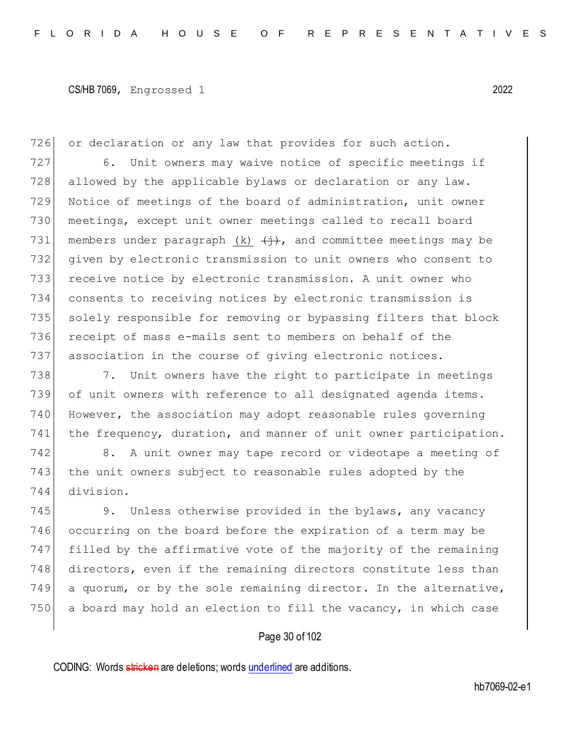726 or declaration or any law that provides for such action.

 6. Unit owners may waive notice of specific meetings if 728 allowed by the applicable bylaws or declaration or any law. Notice of meetings of the board of administration, unit owner meetings, except unit owner meetings called to recall board 731 members under paragraph (k)  $\leftrightarrow$ , and committee meetings may be given by electronic transmission to unit owners who consent to receive notice by electronic transmission. A unit owner who consents to receiving notices by electronic transmission is 735 solely responsible for removing or bypassing filters that block receipt of mass e-mails sent to members on behalf of the 737 association in the course of giving electronic notices.

738 7. Unit owners have the right to participate in meetings 739 of unit owners with reference to all designated agenda items. 740 However, the association may adopt reasonable rules governing 741 the frequency, duration, and manner of unit owner participation.

742 8. A unit owner may tape record or videotape a meeting of 743 the unit owners subject to reasonable rules adopted by the 744 division.

745 9. Unless otherwise provided in the bylaws, any vacancy occurring on the board before the expiration of a term may be filled by the affirmative vote of the majority of the remaining directors, even if the remaining directors constitute less than a quorum, or by the sole remaining director. In the alternative, a board may hold an election to fill the vacancy, in which case

## Page 30 of 102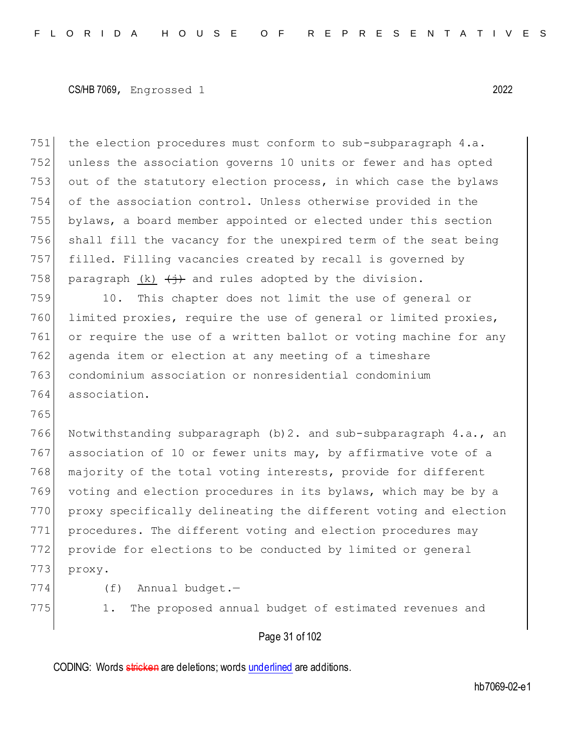751 the election procedures must conform to sub-subparagraph 4.a. unless the association governs 10 units or fewer and has opted 753 out of the statutory election process, in which case the bylaws of the association control. Unless otherwise provided in the bylaws, a board member appointed or elected under this section shall fill the vacancy for the unexpired term of the seat being filled. Filling vacancies created by recall is governed by 758 paragraph (k)  $\left\langle +\right\rangle$  and rules adopted by the division. 10. This chapter does not limit the use of general or limited proxies, require the use of general or limited proxies, or require the use of a written ballot or voting machine for any

762 agenda item or election at any meeting of a timeshare 763 condominium association or nonresidential condominium 764 association.

765

766 Notwithstanding subparagraph (b) 2. and sub-subparagraph 4.a., an 767 association of 10 or fewer units may, by affirmative vote of a 768 majority of the total voting interests, provide for different 769 voting and election procedures in its bylaws, which may be by a 770 proxy specifically delineating the different voting and election 771 procedures. The different voting and election procedures may 772 provide for elections to be conducted by limited or general 773 proxy.

- 
- 
- 774 (f) Annual budget.-
- 

775 1. The proposed annual budget of estimated revenues and

# Page 31 of 102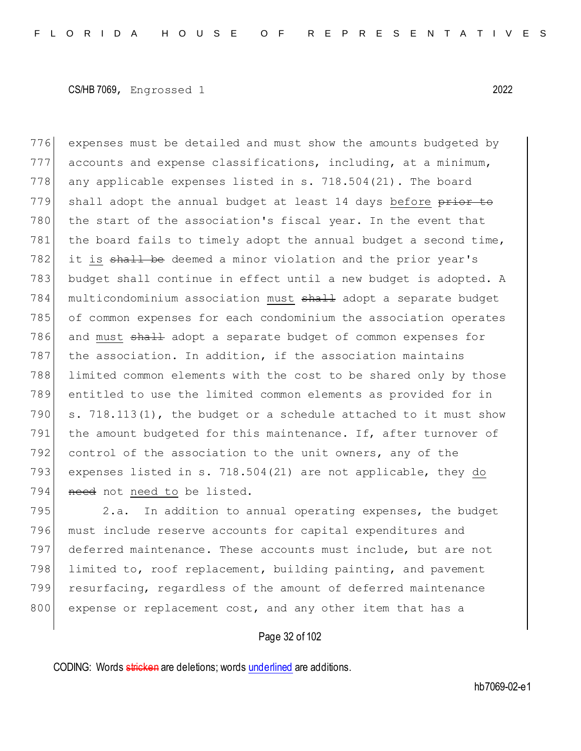776 expenses must be detailed and must show the amounts budgeted by  $777$  accounts and expense classifications, including, at a minimum, 778 any applicable expenses listed in s. 718.504(21). The board 779 shall adopt the annual budget at least 14 days before prior to 780 the start of the association's fiscal year. In the event that 781 the board fails to timely adopt the annual budget a second time, 782 it is shall be deemed a minor violation and the prior year's 783 budget shall continue in effect until a new budget is adopted. A 784 multicondominium association must shall adopt a separate budget 785 of common expenses for each condominium the association operates 786 and must shall adopt a separate budget of common expenses for 787 the association. In addition, if the association maintains 788 limited common elements with the cost to be shared only by those 789 entitled to use the limited common elements as provided for in 790  $\vert$  s. 718.113(1), the budget or a schedule attached to it must show 791 the amount budgeted for this maintenance. If, after turnover of 792 control of the association to the unit owners, any of the 793 expenses listed in s. 718.504(21) are not applicable, they do 794 need not need to be listed.

795 2.a. In addition to annual operating expenses, the budget must include reserve accounts for capital expenditures and deferred maintenance. These accounts must include, but are not limited to, roof replacement, building painting, and pavement resurfacing, regardless of the amount of deferred maintenance 800 expense or replacement cost, and any other item that has a

## Page 32 of 102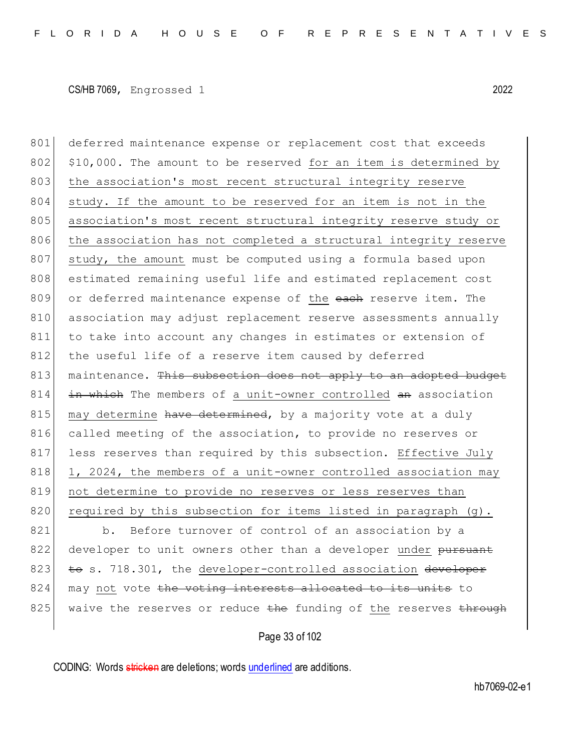801 deferred maintenance expense or replacement cost that exceeds  $802$  \$10,000. The amount to be reserved for an item is determined by 803 the association's most recent structural integrity reserve 804 study. If the amount to be reserved for an item is not in the 805 association's most recent structural integrity reserve study or 806 the association has not completed a structural integrity reserve 807 study, the amount must be computed using a formula based upon 808 estimated remaining useful life and estimated replacement cost 809 or deferred maintenance expense of the each reserve item. The 810 association may adjust replacement reserve assessments annually 811 to take into account any changes in estimates or extension of 812 the useful life of a reserve item caused by deferred 813 maintenance. This subsection does not apply to an adopted budget 814 in which The members of a unit-owner controlled an association  $815$  may determine have determined, by a majority vote at a duly 816 called meeting of the association, to provide no reserves or 817 less reserves than required by this subsection. Effective July 818 1, 2024, the members of a unit-owner controlled association may 819 not determine to provide no reserves or less reserves than 820 required by this subsection for items listed in paragraph (g). 821 b. Before turnover of control of an association by a 822 developer to unit owners other than a developer under pursuant 823  $\pm$  6 s. 718.301, the developer-controlled association developer 824 may not vote the voting interests allocated to its units to 825 waive the reserves or reduce the funding of the reserves through

## Page 33 of 102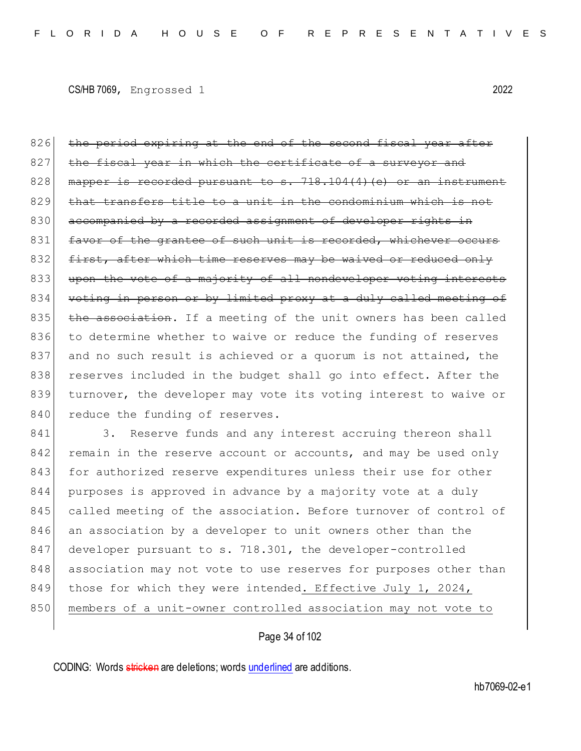826 the period expiring at the end of the second fiscal year after 827 the fiscal year in which the certificate of a surveyor and 828 mapper is recorded pursuant to s.  $718.104(4)(e)$  or an instrument  $829$  that transfers title to a unit in the condominium which is not 830 accompanied by a recorded assignment of developer rights in 831 favor of the grantee of such unit is recorded, whichever occurs 832 first, after which time reserves may be waived or reduced only 833 upon the vote of a majority of all nondeveloper voting interests 834 voting in person or by limited proxy at a duly called meeting of  $835$  the association. If a meeting of the unit owners has been called 836 to determine whether to waive or reduce the funding of reserves 837 and no such result is achieved or a quorum is not attained, the 838 reserves included in the budget shall go into effect. After the 839 turnover, the developer may vote its voting interest to waive or 840 reduce the funding of reserves.

841 3. Reserve funds and any interest accruing thereon shall 842 remain in the reserve account or accounts, and may be used only 843 for authorized reserve expenditures unless their use for other 844 purposes is approved in advance by a majority vote at a duly 845 called meeting of the association. Before turnover of control of 846 an association by a developer to unit owners other than the 847 developer pursuant to s. 718.301, the developer-controlled 848 association may not vote to use reserves for purposes other than 849 those for which they were intended. Effective July 1, 2024, 850 members of a unit-owner controlled association may not vote to

## Page 34 of 102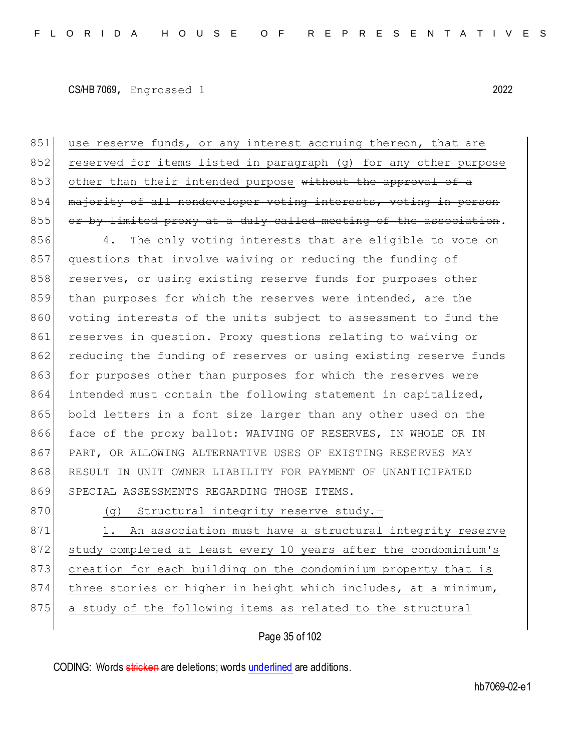851 use reserve funds, or any interest accruing thereon, that are 852 reserved for items listed in paragraph (g) for any other purpose 853 other than their intended purpose without the approval of a 854 majority of all nondeveloper voting interests, voting in person  $855$  or by limited proxy at a duly called meeting of the association.

856 4. The only voting interests that are eligible to vote on 857 questions that involve waiving or reducing the funding of 858 reserves, or using existing reserve funds for purposes other 859 than purposes for which the reserves were intended, are the 860 voting interests of the units subject to assessment to fund the 861 reserves in question. Proxy questions relating to waiving or 862 reducing the funding of reserves or using existing reserve funds 863 for purposes other than purposes for which the reserves were 864 intended must contain the following statement in capitalized, 865 bold letters in a font size larger than any other used on the 866 face of the proxy ballot: WAIVING OF RESERVES, IN WHOLE OR IN 867 PART, OR ALLOWING ALTERNATIVE USES OF EXISTING RESERVES MAY 868 RESULT IN UNIT OWNER LIABILITY FOR PAYMENT OF UNANTICIPATED 869 SPECIAL ASSESSMENTS REGARDING THOSE ITEMS.

870 (g) Structural integrity reserve study.-

871 1. An association must have a structural integrity reserve 872 study completed at least every 10 years after the condominium's 873 creation for each building on the condominium property that is 874 three stories or higher in height which includes, at a minimum, 875 a study of the following items as related to the structural

## Page 35 of 102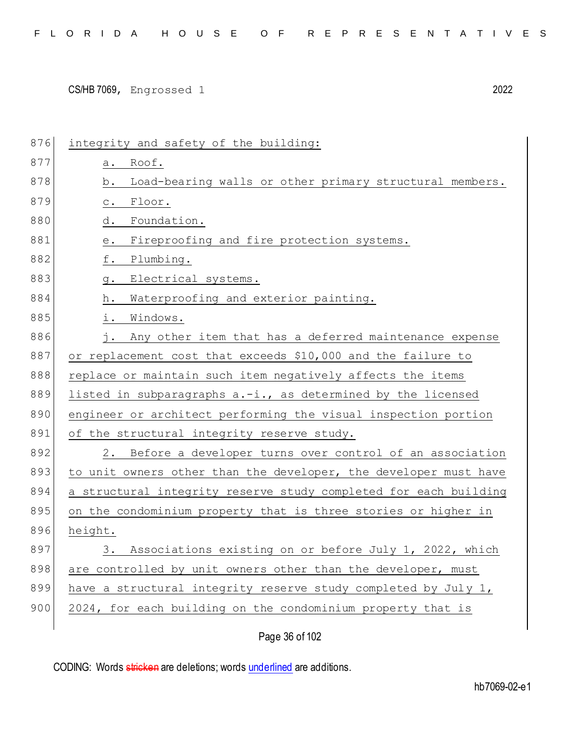| 876 | integrity and safety of the building:                                               |
|-----|-------------------------------------------------------------------------------------|
| 877 | Roof.<br>а.                                                                         |
| 878 | Load-bearing walls or other primary structural members.<br>b.                       |
| 879 | Floor.<br>$\mathtt{C}$ .                                                            |
| 880 | Foundation.<br>d.                                                                   |
| 881 | Fireproofing and fire protection systems.<br>$\mathrel{\text{e}}\mathrel{\text{.}}$ |
| 882 | f.<br>Plumbing.                                                                     |
| 883 | Electrical systems.<br>g.                                                           |
| 884 | Waterproofing and exterior painting.<br>h.                                          |
| 885 | i.<br>Windows.                                                                      |
| 886 | Any other item that has a deferred maintenance expense                              |
| 887 | or replacement cost that exceeds \$10,000 and the failure to                        |
| 888 | replace or maintain such item negatively affects the items                          |
| 889 | listed in subparagraphs a.-i., as determined by the licensed                        |
| 890 | engineer or architect performing the visual inspection portion                      |
| 891 | of the structural integrity reserve study.                                          |
| 892 | Before a developer turns over control of an association<br>2.                       |
| 893 | to unit owners other than the developer, the developer must have                    |
| 894 | a structural integrity reserve study completed for each building                    |
| 895 | on the condominium property that is three stories or higher in                      |
| 896 | height.                                                                             |
| 897 | Associations existing on or before July 1, 2022, which<br>$3$ .                     |
| 898 | are controlled by unit owners other than the developer, must                        |
| 899 | have a structural integrity reserve study completed by July 1,                      |
| 900 | 2024, for each building on the condominium property that is                         |
|     |                                                                                     |

Page 36 of 102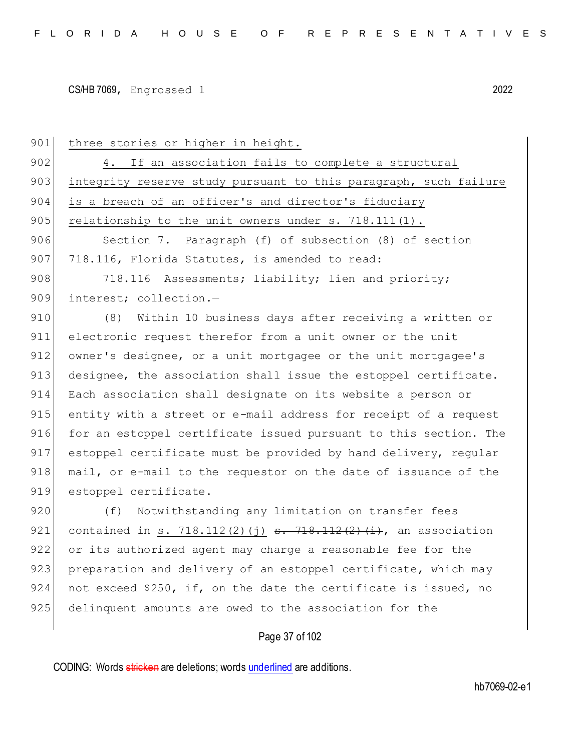| 901 | three stories or higher in height.                                |
|-----|-------------------------------------------------------------------|
| 902 | 4. If an association fails to complete a structural               |
| 903 | integrity reserve study pursuant to this paragraph, such failure  |
| 904 | is a breach of an officer's and director's fiduciary              |
| 905 | relationship to the unit owners under $s. 718.111(1)$ .           |
| 906 | Section 7. Paragraph (f) of subsection (8) of section             |
| 907 | 718.116, Florida Statutes, is amended to read:                    |
| 908 | 718.116 Assessments; liability; lien and priority;                |
| 909 | interest; collection.-                                            |
| 910 | (8)<br>Within 10 business days after receiving a written or       |
| 911 | electronic request therefor from a unit owner or the unit         |
| 912 | owner's designee, or a unit mortgagee or the unit mortgagee's     |
| 913 | designee, the association shall issue the estoppel certificate.   |
| 914 | Each association shall designate on its website a person or       |
| 915 | entity with a street or e-mail address for receipt of a request   |
| 916 | for an estoppel certificate issued pursuant to this section. The  |
| 917 | estoppel certificate must be provided by hand delivery, regular   |
| 918 | mail, or e-mail to the requestor on the date of issuance of the   |
| 919 | estoppel certificate.                                             |
| 920 | Notwithstanding any limitation on transfer fees<br>(f)            |
| 921 | contained in s. 718.112(2)(j) $s. 718.112(2)$ (i), an association |
| 922 | or its authorized agent may charge a reasonable fee for the       |
| 923 | preparation and delivery of an estoppel certificate, which may    |
| 924 | not exceed \$250, if, on the date the certificate is issued, no   |
| 925 | delinquent amounts are owed to the association for the            |
|     | Page 37 of 102                                                    |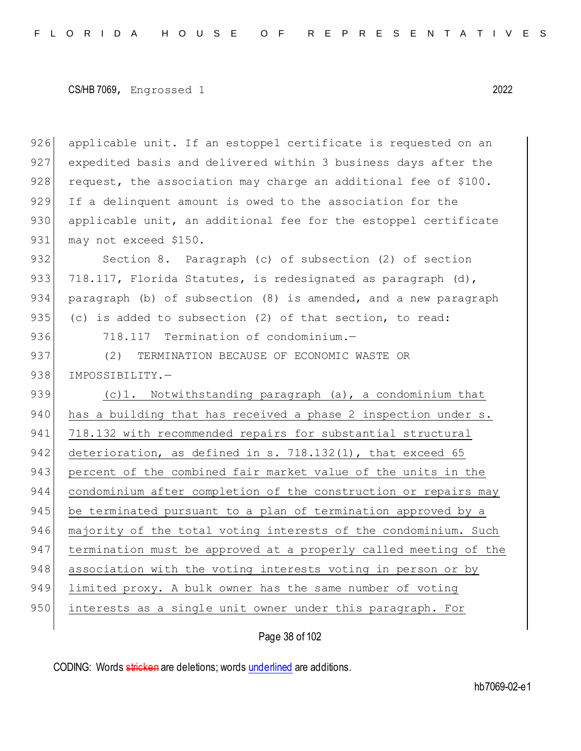926 applicable unit. If an estoppel certificate is requested on an 927 expedited basis and delivered within 3 business days after the  $928$  request, the association may charge an additional fee of \$100. 929 If a delinquent amount is owed to the association for the  $930$  applicable unit, an additional fee for the estoppel certificate 931 may not exceed \$150.

932 Section 8. Paragraph (c) of subsection (2) of section 933 718.117, Florida Statutes, is redesignated as paragraph  $(d)$ , 934 paragraph (b) of subsection (8) is amended, and a new paragraph 935 (c) is added to subsection  $(2)$  of that section, to read:

936 718.117 Termination of condominium.-

937 (2) TERMINATION BECAUSE OF ECONOMIC WASTE OR 938 IMPOSSIBILITY.-

939 (c)1. Notwithstanding paragraph (a), a condominium that 940 has a building that has received a phase 2 inspection under s. 941 718.132 with recommended repairs for substantial structural 942 deterioration, as defined in s. 718.132(1), that exceed 65 943 percent of the combined fair market value of the units in the 944 condominium after completion of the construction or repairs may 945 be terminated pursuant to a plan of termination approved by a 946 majority of the total voting interests of the condominium. Such 947 termination must be approved at a properly called meeting of the 948 association with the voting interests voting in person or by 949 limited proxy. A bulk owner has the same number of voting 950 interests as a single unit owner under this paragraph. For

Page 38 of 102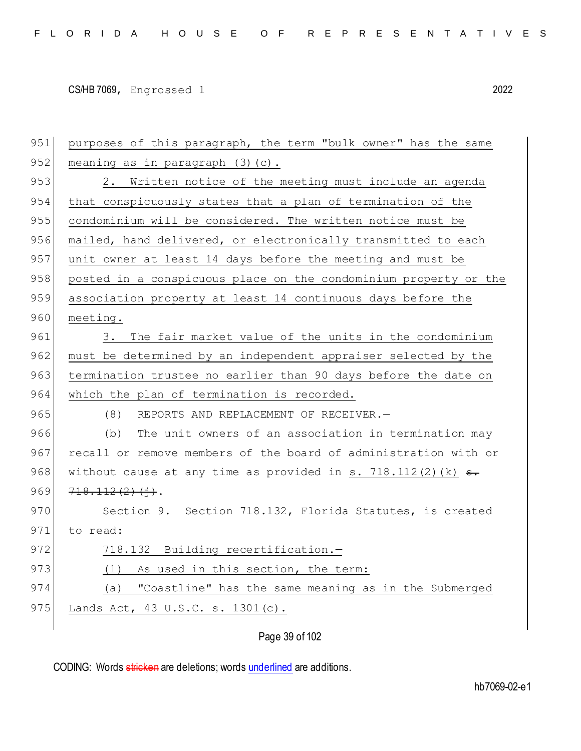| 951 | purposes of this paragraph, the term "bulk owner" has the same       |
|-----|----------------------------------------------------------------------|
| 952 | meaning as in paragraph $(3)$ $(c)$ .                                |
| 953 | Written notice of the meeting must include an agenda<br>2.           |
| 954 | that conspicuously states that a plan of termination of the          |
| 955 | condominium will be considered. The written notice must be           |
| 956 | mailed, hand delivered, or electronically transmitted to each        |
| 957 | unit owner at least 14 days before the meeting and must be           |
| 958 | posted in a conspicuous place on the condominium property or the     |
| 959 | association property at least 14 continuous days before the          |
| 960 | meeting.                                                             |
| 961 | The fair market value of the units in the condominium<br>3.          |
| 962 | must be determined by an independent appraiser selected by the       |
| 963 | termination trustee no earlier than 90 days before the date on       |
|     |                                                                      |
| 964 | which the plan of termination is recorded.                           |
| 965 | (8)<br>REPORTS AND REPLACEMENT OF RECEIVER.-                         |
| 966 | The unit owners of an association in termination may<br>(b)          |
| 967 | recall or remove members of the board of administration with or      |
| 968 | without cause at any time as provided in s. 718.112(2)(k) $\theta$ . |
| 969 | 718.112(2)(j).                                                       |
| 970 | Section 9. Section 718.132, Florida Statutes, is created             |
| 971 | to read:                                                             |
| 972 | 718.132 Building recertification.-                                   |
| 973 | (1) As used in this section, the term:                               |
| 974 | (a) "Coastline" has the same meaning as in the Submerged             |
| 975 | Lands Act, 43 U.S.C. s. 1301(c).                                     |

Page 39 of 102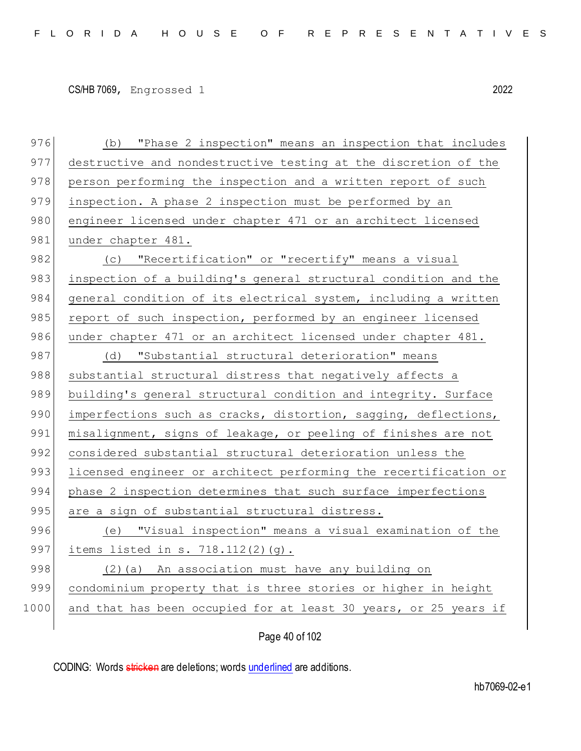| 976  | "Phase 2 inspection" means an inspection that includes<br>(b)    |
|------|------------------------------------------------------------------|
| 977  | destructive and nondestructive testing at the discretion of the  |
| 978  | person performing the inspection and a written report of such    |
| 979  | inspection. A phase 2 inspection must be performed by an         |
| 980  | engineer licensed under chapter 471 or an architect licensed     |
| 981  | under chapter 481.                                               |
| 982  | "Recertification" or "recertify" means a visual<br>(C)           |
| 983  | inspection of a building's general structural condition and the  |
| 984  | general condition of its electrical system, including a written  |
| 985  | report of such inspection, performed by an engineer licensed     |
| 986  | under chapter 471 or an architect licensed under chapter 481.    |
| 987  | (d) "Substantial structural deterioration" means                 |
| 988  | substantial structural distress that negatively affects a        |
| 989  | building's general structural condition and integrity. Surface   |
| 990  | imperfections such as cracks, distortion, sagging, deflections,  |
| 991  | misalignment, signs of leakage, or peeling of finishes are not   |
| 992  | considered substantial structural deterioration unless the       |
| 993  | licensed engineer or architect performing the recertification or |
| 994  | phase 2 inspection determines that such surface imperfections    |
| 995  | are a sign of substantial structural distress.                   |
| 996  | "Visual inspection" means a visual examination of the<br>(e)     |
| 997  | items listed in s. $718.112(2)(g)$ .                             |
| 998  | (2) (a) An association must have any building on                 |
| 999  | condominium property that is three stories or higher in height   |
| 1000 | and that has been occupied for at least 30 years, or 25 years if |
|      |                                                                  |

Page 40 of 102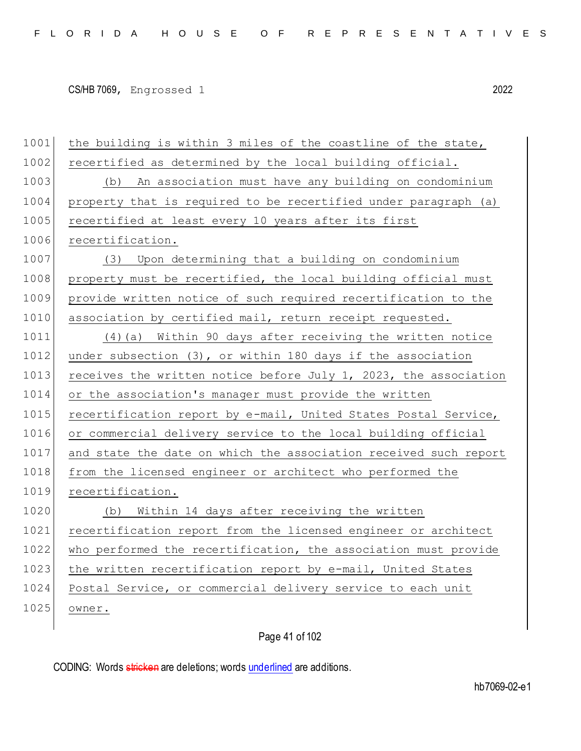| 1001 | the building is within 3 miles of the coastline of the state,    |
|------|------------------------------------------------------------------|
| 1002 | recertified as determined by the local building official.        |
| 1003 | (b) An association must have any building on condominium         |
| 1004 | property that is required to be recertified under paragraph (a)  |
| 1005 | recertified at least every 10 years after its first              |
| 1006 | recertification.                                                 |
| 1007 | (3) Upon determining that a building on condominium              |
| 1008 | property must be recertified, the local building official must   |
| 1009 | provide written notice of such required recertification to the   |
| 1010 | association by certified mail, return receipt requested.         |
| 1011 | (4) (a) Within 90 days after receiving the written notice        |
| 1012 | under subsection $(3)$ , or within 180 days if the association   |
| 1013 | receives the written notice before July 1, 2023, the association |
| 1014 | or the association's manager must provide the written            |
| 1015 | recertification report by e-mail, United States Postal Service,  |
| 1016 | or commercial delivery service to the local building official    |
| 1017 | and state the date on which the association received such report |
| 1018 | from the licensed engineer or architect who performed the        |
| 1019 | recertification.                                                 |
| 1020 | (b) Within 14 days after receiving the written                   |
| 1021 | recertification report from the licensed engineer or architect   |
| 1022 | who performed the recertification, the association must provide  |
| 1023 | the written recertification report by e-mail, United States      |
| 1024 | Postal Service, or commercial delivery service to each unit      |
| 1025 | owner.                                                           |
|      |                                                                  |

Page 41 of 102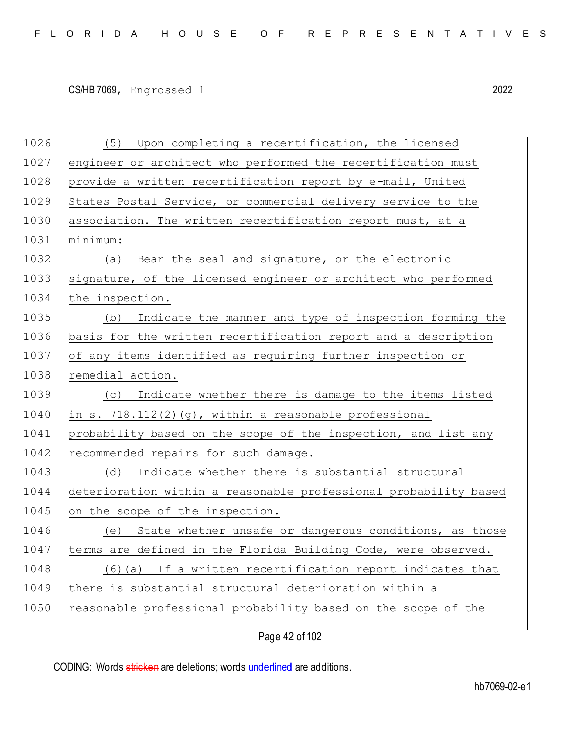| 1026 | (5) Upon completing a recertification, the licensed              |
|------|------------------------------------------------------------------|
| 1027 | engineer or architect who performed the recertification must     |
| 1028 | provide a written recertification report by e-mail, United       |
| 1029 | States Postal Service, or commercial delivery service to the     |
| 1030 | association. The written recertification report must, at a       |
| 1031 | minimum:                                                         |
| 1032 | (a) Bear the seal and signature, or the electronic               |
| 1033 | signature, of the licensed engineer or architect who performed   |
| 1034 | the inspection.                                                  |
| 1035 | (b) Indicate the manner and type of inspection forming the       |
| 1036 | basis for the written recertification report and a description   |
| 1037 | of any items identified as requiring further inspection or       |
| 1038 | remedial action.                                                 |
| 1039 | (c) Indicate whether there is damage to the items listed         |
| 1040 | in s. $718.112(2)(g)$ , within a reasonable professional         |
| 1041 | probability based on the scope of the inspection, and list any   |
| 1042 | recommended repairs for such damage.                             |
| 1043 | Indicate whether there is substantial structural<br>(d)          |
| 1044 | deterioration within a reasonable professional probability based |
| 1045 | on the scope of the inspection.                                  |
| 1046 | State whether unsafe or dangerous conditions, as those<br>(e)    |
| 1047 | terms are defined in the Florida Building Code, were observed.   |
| 1048 | If a written recertification report indicates that<br>(6)(a)     |
| 1049 | there is substantial structural deterioration within a           |
| 1050 | reasonable professional probability based on the scope of the    |
|      |                                                                  |

Page 42 of 102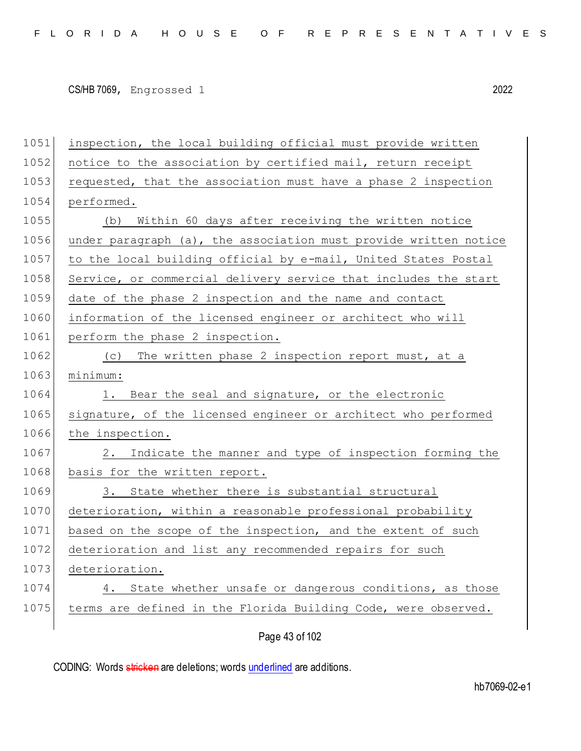1051 inspection, the local building official must provide written 1052 notice to the association by certified mail, return receipt 1053 requested, that the association must have a phase 2 inspection 1054 performed. 1055 (b) Within 60 days after receiving the written notice 1056 under paragraph (a), the association must provide written notice 1057 to the local building official by e-mail, United States Postal 1058 Service, or commercial delivery service that includes the start 1059 date of the phase 2 inspection and the name and contact 1060 information of the licensed engineer or architect who will 1061 perform the phase 2 inspection. 1062 (c) The written phase 2 inspection report must, at a 1063 minimum: 1064 1. Bear the seal and signature, or the electronic 1065 signature, of the licensed engineer or architect who performed 1066 the inspection. 1067 2. Indicate the manner and type of inspection forming the 1068 basis for the written report. 1069 3. State whether there is substantial structural 1070 deterioration, within a reasonable professional probability 1071 based on the scope of the inspection, and the extent of such 1072 deterioration and list any recommended repairs for such 1073 deterioration. 1074 4. State whether unsafe or dangerous conditions, as those 1075 terms are defined in the Florida Building Code, were observed.

Page 43 of 102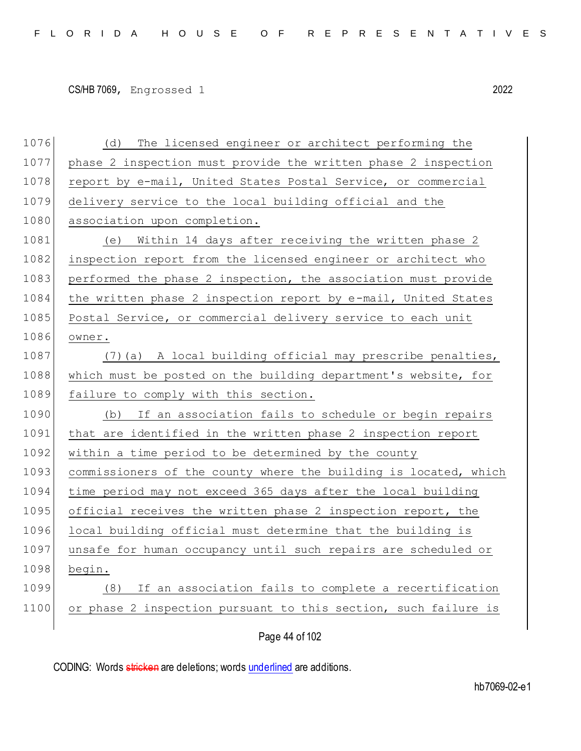| 1076 | The licensed engineer or architect performing the<br>(d)         |
|------|------------------------------------------------------------------|
| 1077 | phase 2 inspection must provide the written phase 2 inspection   |
| 1078 | report by e-mail, United States Postal Service, or commercial    |
| 1079 | delivery service to the local building official and the          |
| 1080 | association upon completion.                                     |
| 1081 | (e) Within 14 days after receiving the written phase 2           |
| 1082 | inspection report from the licensed engineer or architect who    |
| 1083 | performed the phase 2 inspection, the association must provide   |
| 1084 | the written phase 2 inspection report by e-mail, United States   |
| 1085 | Postal Service, or commercial delivery service to each unit      |
| 1086 | owner.                                                           |
| 1087 | (7) (a) A local building official may prescribe penalties,       |
| 1088 | which must be posted on the building department's website, for   |
| 1089 | failure to comply with this section.                             |
| 1090 | If an association fails to schedule or begin repairs<br>(b)      |
| 1091 | that are identified in the written phase 2 inspection report     |
| 1092 | within a time period to be determined by the county              |
| 1093 | commissioners of the county where the building is located, which |
| 1094 | time period may not exceed 365 days after the local building     |
| 1095 | official receives the written phase 2 inspection report, the     |
| 1096 | local building official must determine that the building is      |
| 1097 | unsafe for human occupancy until such repairs are scheduled or   |
| 1098 | begin.                                                           |
| 1099 | If an association fails to complete a recertification<br>(8)     |
| 1100 | or phase 2 inspection pursuant to this section, such failure is  |
|      |                                                                  |

Page 44 of 102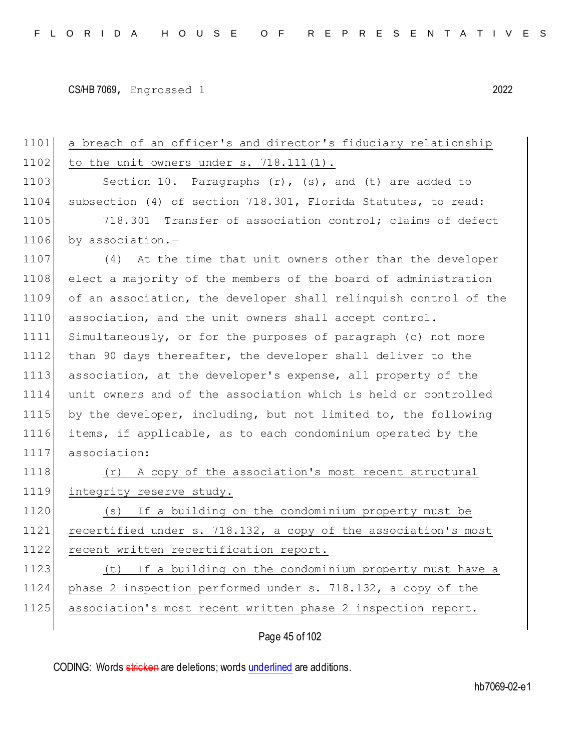| 1101 | a breach of an officer's and director's fiduciary relationship   |
|------|------------------------------------------------------------------|
| 1102 | to the unit owners under $s. 718.111(1)$ .                       |
| 1103 | Section 10. Paragraphs $(r)$ , $(s)$ , and $(t)$ are added to    |
| 1104 | subsection (4) of section 718.301, Florida Statutes, to read:    |
| 1105 | 718.301 Transfer of association control; claims of defect        |
| 1106 | by association.-                                                 |
| 1107 | (4) At the time that unit owners other than the developer        |
| 1108 | elect a majority of the members of the board of administration   |
| 1109 | of an association, the developer shall relinquish control of the |
| 1110 | association, and the unit owners shall accept control.           |
| 1111 | Simultaneously, or for the purposes of paragraph (c) not more    |
| 1112 | than 90 days thereafter, the developer shall deliver to the      |
| 1113 | association, at the developer's expense, all property of the     |
| 1114 | unit owners and of the association which is held or controlled   |
| 1115 | by the developer, including, but not limited to, the following   |
| 1116 | items, if applicable, as to each condominium operated by the     |
| 1117 | association:                                                     |
| 1118 | A copy of the association's most recent structural<br>(r)        |
| 1119 | integrity reserve study.                                         |
| 1120 | (s) If a building on the condominium property must be            |
| 1121 | recertified under s. 718.132, a copy of the association's most   |
| 1122 | recent written recertification report.                           |
| 1123 | If a building on the condominium property must have a<br>(t)     |
| 1124 | phase 2 inspection performed under s. 718.132, a copy of the     |
| 1125 | association's most recent written phase 2 inspection report.     |
|      |                                                                  |

Page 45 of 102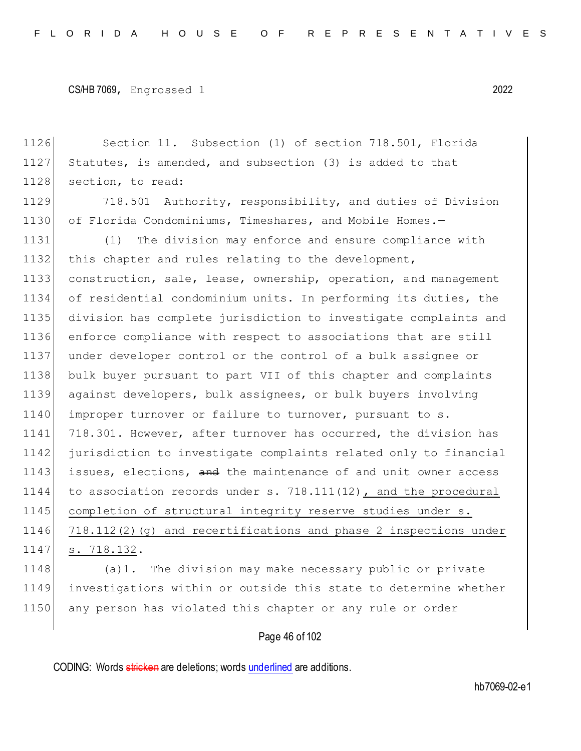1126 Section 11. Subsection (1) of section 718.501, Florida 1127 Statutes, is amended, and subsection (3) is added to that 1128 section, to read: 1129 718.501 Authority, responsibility, and duties of Division 1130 of Florida Condominiums, Timeshares, and Mobile Homes.-1131 (1) The division may enforce and ensure compliance with 1132 this chapter and rules relating to the development, 1133 construction, sale, lease, ownership, operation, and management 1134 of residential condominium units. In performing its duties, the 1135 division has complete jurisdiction to investigate complaints and 1136 enforce compliance with respect to associations that are still 1137 under developer control or the control of a bulk assignee or 1138 bulk buyer pursuant to part VII of this chapter and complaints 1139 against developers, bulk assignees, or bulk buyers involving 1140 improper turnover or failure to turnover, pursuant to s. 1141 718.301. However, after turnover has occurred, the division has 1142 jurisdiction to investigate complaints related only to financial 1143 issues, elections, and the maintenance of and unit owner access 1144 to association records under s. 718.111(12), and the procedural 1145 completion of structural integrity reserve studies under s. 1146 718.112(2)(g) and recertifications and phase 2 inspections under 1147 s. 718.132. 1148 (a)1. The division may make necessary public or private 1149 investigations within or outside this state to determine whether 1150 any person has violated this chapter or any rule or order

# Page 46 of 102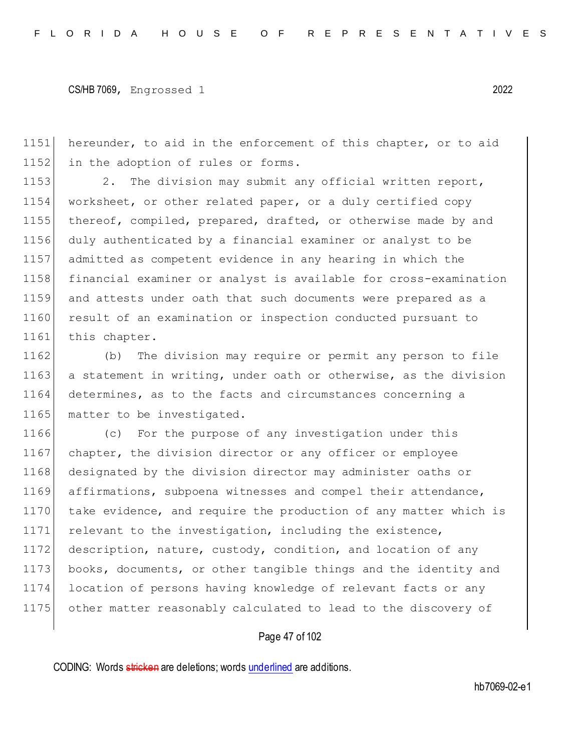1151 hereunder, to aid in the enforcement of this chapter, or to aid 1152 in the adoption of rules or forms.

1153 2. The division may submit any official written report, 1154 worksheet, or other related paper, or a duly certified copy 1155 thereof, compiled, prepared, drafted, or otherwise made by and 1156 duly authenticated by a financial examiner or analyst to be 1157 admitted as competent evidence in any hearing in which the 1158 financial examiner or analyst is available for cross-examination 1159 and attests under oath that such documents were prepared as a 1160 result of an examination or inspection conducted pursuant to 1161 this chapter.

1162 (b) The division may require or permit any person to file 1163 a statement in writing, under oath or otherwise, as the division 1164 determines, as to the facts and circumstances concerning a 1165 matter to be investigated.

1166 (c) For the purpose of any investigation under this 1167 chapter, the division director or any officer or employee 1168 designated by the division director may administer oaths or 1169 affirmations, subpoena witnesses and compel their attendance, 1170 take evidence, and require the production of any matter which is 1171 relevant to the investigation, including the existence, 1172 description, nature, custody, condition, and location of any 1173 books, documents, or other tangible things and the identity and 1174 location of persons having knowledge of relevant facts or any 1175 other matter reasonably calculated to lead to the discovery of

### Page 47 of 102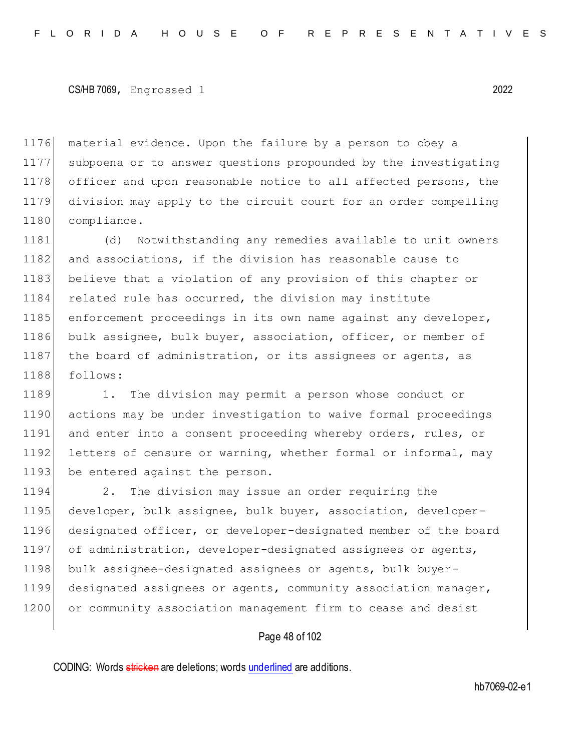1176 material evidence. Upon the failure by a person to obey a 1177 subpoena or to answer questions propounded by the investigating 1178 officer and upon reasonable notice to all affected persons, the 1179 division may apply to the circuit court for an order compelling 1180 compliance.

1181 (d) Notwithstanding any remedies available to unit owners 1182 and associations, if the division has reasonable cause to 1183 believe that a violation of any provision of this chapter or 1184 related rule has occurred, the division may institute 1185 enforcement proceedings in its own name against any developer, 1186 bulk assignee, bulk buyer, association, officer, or member of 1187 the board of administration, or its assignees or agents, as 1188 follows:

1189 1. The division may permit a person whose conduct or 1190 actions may be under investigation to waive formal proceedings 1191 and enter into a consent proceeding whereby orders, rules, or 1192 letters of censure or warning, whether formal or informal, may 1193 be entered against the person.

1194 2. The division may issue an order requiring the 1195 developer, bulk assignee, bulk buyer, association, developer-1196 designated officer, or developer-designated member of the board 1197 of administration, developer-designated assignees or agents, 1198 bulk assignee-designated assignees or agents, bulk buyer-1199 designated assignees or agents, community association manager, 1200 or community association management firm to cease and desist

### Page 48 of 102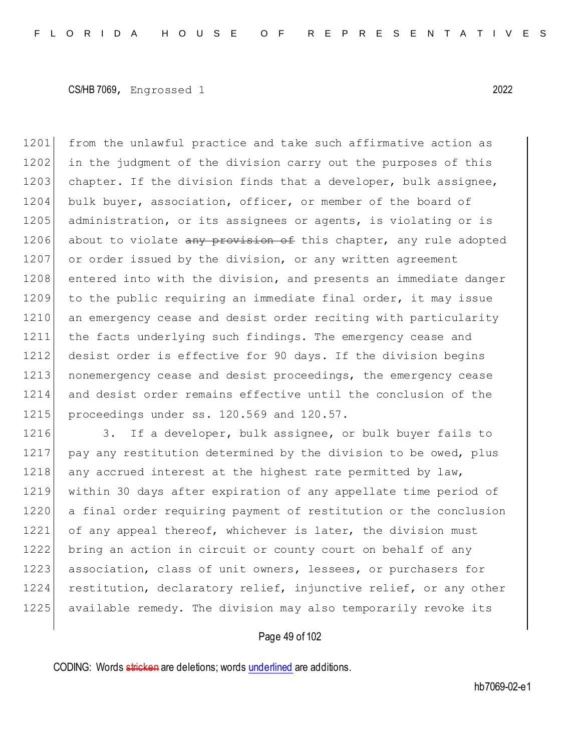1201 from the unlawful practice and take such affirmative action as 1202 in the judgment of the division carry out the purposes of this 1203 chapter. If the division finds that a developer, bulk assignee, 1204 bulk buyer, association, officer, or member of the board of 1205 administration, or its assignees or agents, is violating or is 1206 about to violate any provision of this chapter, any rule adopted 1207 or order issued by the division, or any written agreement 1208 entered into with the division, and presents an immediate danger 1209 to the public requiring an immediate final order, it may issue 1210 an emergency cease and desist order reciting with particularity 1211 the facts underlying such findings. The emergency cease and 1212 desist order is effective for 90 days. If the division begins 1213 | nonemergency cease and desist proceedings, the emergency cease 1214 and desist order remains effective until the conclusion of the 1215 proceedings under ss. 120.569 and 120.57.

1216 3. If a developer, bulk assignee, or bulk buyer fails to 1217 pay any restitution determined by the division to be owed, plus 1218 any accrued interest at the highest rate permitted by law, 1219 within 30 days after expiration of any appellate time period of 1220 a final order requiring payment of restitution or the conclusion 1221 of any appeal thereof, whichever is later, the division must 1222 bring an action in circuit or county court on behalf of any 1223 association, class of unit owners, lessees, or purchasers for 1224 restitution, declaratory relief, injunctive relief, or any other 1225 available remedy. The division may also temporarily revoke its

### Page 49 of 102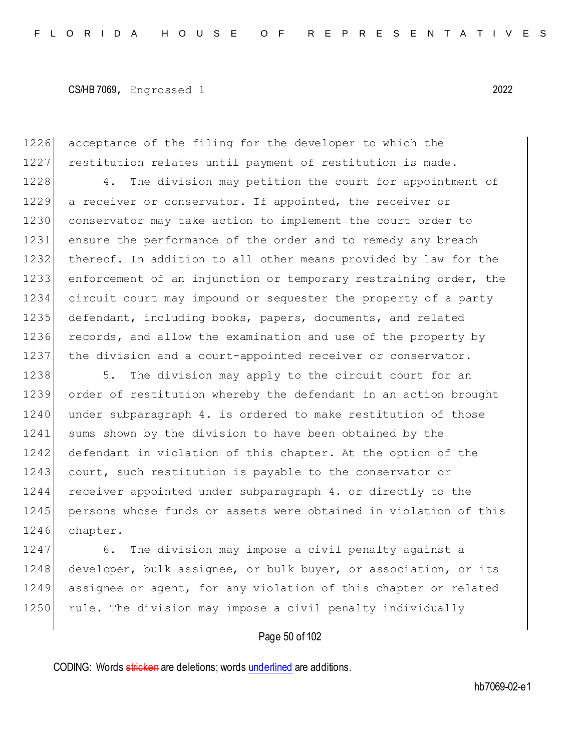1226 acceptance of the filing for the developer to which the 1227 restitution relates until payment of restitution is made.

1228 4. The division may petition the court for appointment of 1229 a receiver or conservator. If appointed, the receiver or 1230 conservator may take action to implement the court order to 1231 ensure the performance of the order and to remedy any breach 1232 thereof. In addition to all other means provided by law for the 1233 enforcement of an injunction or temporary restraining order, the 1234 circuit court may impound or sequester the property of a party 1235 defendant, including books, papers, documents, and related 1236 records, and allow the examination and use of the property by 1237 the division and a court-appointed receiver or conservator.

1238 5. The division may apply to the circuit court for an 1239 order of restitution whereby the defendant in an action brought 1240 under subparagraph 4. is ordered to make restitution of those 1241 sums shown by the division to have been obtained by the 1242 defendant in violation of this chapter. At the option of the 1243 court, such restitution is payable to the conservator or 1244 receiver appointed under subparagraph 4. or directly to the 1245 persons whose funds or assets were obtained in violation of this 1246 chapter.

1247 6. The division may impose a civil penalty against a 1248 developer, bulk assignee, or bulk buyer, or association, or its 1249 assignee or agent, for any violation of this chapter or related 1250 rule. The division may impose a civil penalty individually

### Page 50 of 102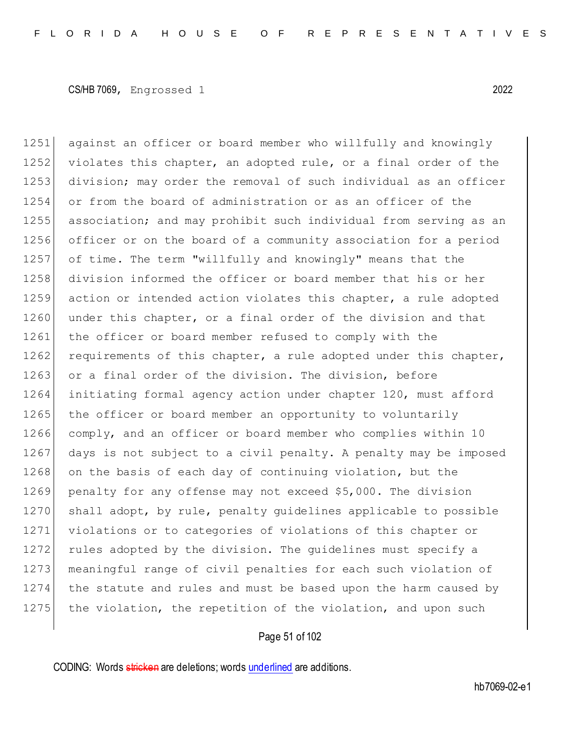1251 against an officer or board member who willfully and knowingly 1252 violates this chapter, an adopted rule, or a final order of the 1253 division; may order the removal of such individual as an officer 1254 or from the board of administration or as an officer of the 1255 association; and may prohibit such individual from serving as an 1256 officer or on the board of a community association for a period 1257 of time. The term "willfully and knowingly" means that the 1258 division informed the officer or board member that his or her 1259 action or intended action violates this chapter, a rule adopted 1260 under this chapter, or a final order of the division and that 1261 the officer or board member refused to comply with the 1262 requirements of this chapter, a rule adopted under this chapter, 1263 or a final order of the division. The division, before 1264 initiating formal agency action under chapter 120, must afford 1265 the officer or board member an opportunity to voluntarily 1266 comply, and an officer or board member who complies within 10 1267 days is not subject to a civil penalty. A penalty may be imposed 1268 on the basis of each day of continuing violation, but the 1269 penalty for any offense may not exceed \$5,000. The division 1270 shall adopt, by rule, penalty guidelines applicable to possible 1271 violations or to categories of violations of this chapter or 1272 rules adopted by the division. The guidelines must specify a 1273 | meaningful range of civil penalties for each such violation of 1274 the statute and rules and must be based upon the harm caused by 1275 the violation, the repetition of the violation, and upon such

# Page 51 of 102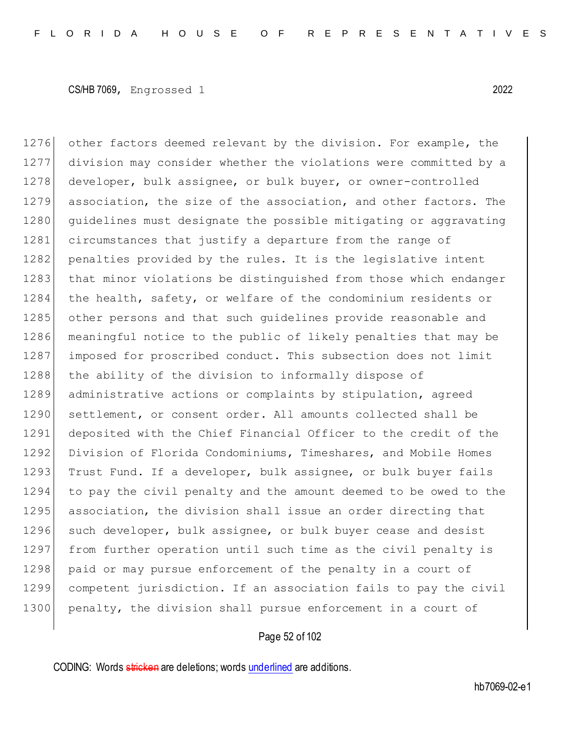1276 other factors deemed relevant by the division. For example, the 1277 division may consider whether the violations were committed by a 1278 developer, bulk assignee, or bulk buyer, or owner-controlled 1279 association, the size of the association, and other factors. The 1280 quidelines must designate the possible mitigating or aggravating 1281 circumstances that justify a departure from the range of 1282 penalties provided by the rules. It is the legislative intent 1283 that minor violations be distinguished from those which endanger 1284 the health, safety, or welfare of the condominium residents or 1285 other persons and that such quidelines provide reasonable and 1286 meaningful notice to the public of likely penalties that may be 1287 imposed for proscribed conduct. This subsection does not limit 1288 the ability of the division to informally dispose of 1289 administrative actions or complaints by stipulation, agreed 1290 settlement, or consent order. All amounts collected shall be 1291 deposited with the Chief Financial Officer to the credit of the 1292 Division of Florida Condominiums, Timeshares, and Mobile Homes 1293 Trust Fund. If a developer, bulk assignee, or bulk buyer fails 1294 to pay the civil penalty and the amount deemed to be owed to the 1295 association, the division shall issue an order directing that 1296 such developer, bulk assignee, or bulk buyer cease and desist 1297 from further operation until such time as the civil penalty is 1298 paid or may pursue enforcement of the penalty in a court of 1299 competent jurisdiction. If an association fails to pay the civil 1300 penalty, the division shall pursue enforcement in a court of

# Page 52 of 102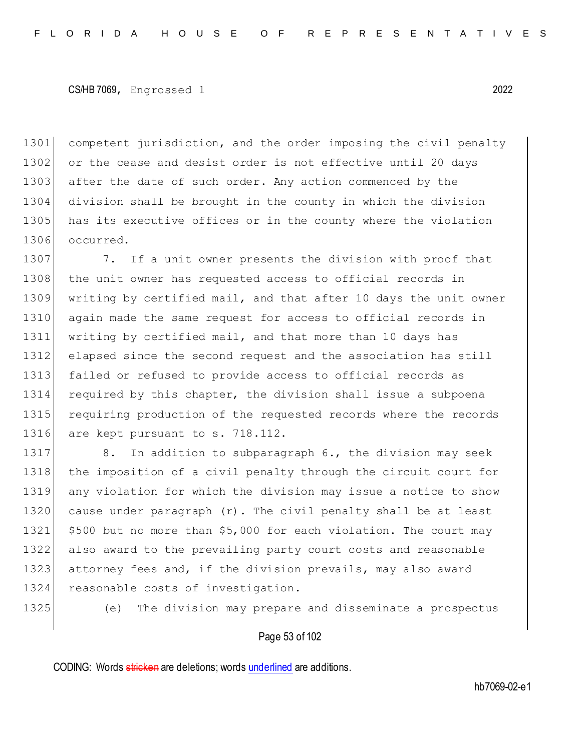1301 competent jurisdiction, and the order imposing the civil penalty 1302 or the cease and desist order is not effective until 20 days 1303 after the date of such order. Any action commenced by the 1304 division shall be brought in the county in which the division 1305 has its executive offices or in the county where the violation 1306 occurred.

1307 7. If a unit owner presents the division with proof that 1308 the unit owner has requested access to official records in 1309 writing by certified mail, and that after 10 days the unit owner 1310 again made the same request for access to official records in 1311 writing by certified mail, and that more than 10 days has 1312 elapsed since the second request and the association has still 1313 failed or refused to provide access to official records as 1314 required by this chapter, the division shall issue a subpoena 1315 requiring production of the requested records where the records 1316 are kept pursuant to s. 718.112.

1317 8. In addition to subparagraph 6., the division may seek the imposition of a civil penalty through the circuit court for any violation for which the division may issue a notice to show cause under paragraph (r). The civil penalty shall be at least \$500 but no more than \$5,000 for each violation. The court may also award to the prevailing party court costs and reasonable 1323 attorney fees and, if the division prevails, may also award 1324 reasonable costs of investigation.

1325 (e) The division may prepare and disseminate a prospectus

### Page 53 of 102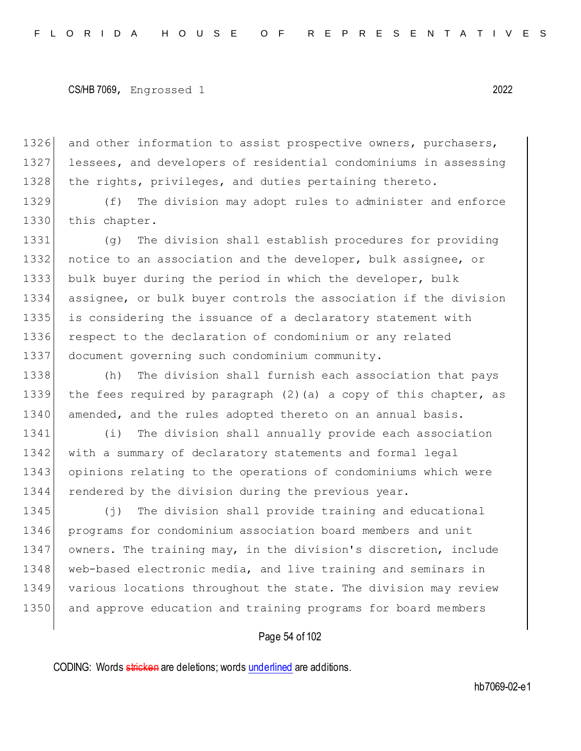1326 and other information to assist prospective owners, purchasers, 1327 lessees, and developers of residential condominiums in assessing 1328 the rights, privileges, and duties pertaining thereto.

1329 (f) The division may adopt rules to administer and enforce 1330 this chapter.

 (g) The division shall establish procedures for providing 1332 notice to an association and the developer, bulk assignee, or bulk buyer during the period in which the developer, bulk assignee, or bulk buyer controls the association if the division is considering the issuance of a declaratory statement with 1336 respect to the declaration of condominium or any related document governing such condominium community.

1338 (h) The division shall furnish each association that pays 1339 the fees required by paragraph (2)(a) a copy of this chapter, as 1340 amended, and the rules adopted thereto on an annual basis.

 (i) The division shall annually provide each association with a summary of declaratory statements and formal legal opinions relating to the operations of condominiums which were 1344 rendered by the division during the previous year.

1345 (j) The division shall provide training and educational 1346 programs for condominium association board members and unit 1347 owners. The training may, in the division's discretion, include 1348 web-based electronic media, and live training and seminars in 1349 various locations throughout the state. The division may review 1350 and approve education and training programs for board members

### Page 54 of 102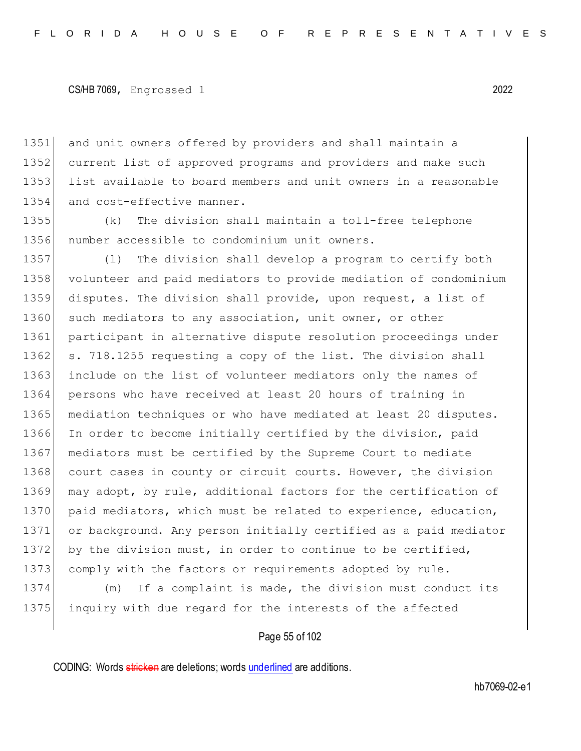1351 and unit owners offered by providers and shall maintain a 1352 current list of approved programs and providers and make such 1353 list available to board members and unit owners in a reasonable 1354 and cost-effective manner.

1355 (k) The division shall maintain a toll-free telephone 1356 number accessible to condominium unit owners.

1357 (l) The division shall develop a program to certify both 1358 volunteer and paid mediators to provide mediation of condominium 1359 disputes. The division shall provide, upon request, a list of 1360 such mediators to any association, unit owner, or other 1361 participant in alternative dispute resolution proceedings under 1362 s. 718.1255 requesting a copy of the list. The division shall 1363 include on the list of volunteer mediators only the names of 1364 persons who have received at least 20 hours of training in 1365 mediation techniques or who have mediated at least 20 disputes. 1366 In order to become initially certified by the division, paid 1367 mediators must be certified by the Supreme Court to mediate 1368 court cases in county or circuit courts. However, the division 1369 may adopt, by rule, additional factors for the certification of 1370 paid mediators, which must be related to experience, education, 1371 or background. Any person initially certified as a paid mediator 1372 by the division must, in order to continue to be certified, 1373 comply with the factors or requirements adopted by rule.

1374 (m) If a complaint is made, the division must conduct its 1375 inquiry with due regard for the interests of the affected

### Page 55 of 102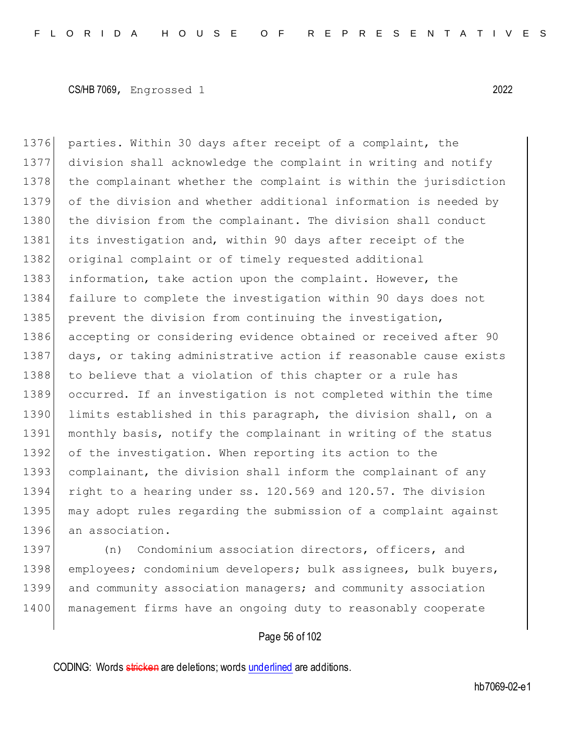1376 parties. Within 30 days after receipt of a complaint, the 1377 division shall acknowledge the complaint in writing and notify 1378 | the complainant whether the complaint is within the jurisdiction 1379 of the division and whether additional information is needed by 1380 the division from the complainant. The division shall conduct 1381 its investigation and, within 90 days after receipt of the 1382 original complaint or of timely requested additional 1383 information, take action upon the complaint. However, the 1384 failure to complete the investigation within 90 days does not 1385 prevent the division from continuing the investigation, 1386 accepting or considering evidence obtained or received after 90 1387 days, or taking administrative action if reasonable cause exists 1388 to believe that a violation of this chapter or a rule has 1389 occurred. If an investigation is not completed within the time 1390 limits established in this paragraph, the division shall, on a 1391 monthly basis, notify the complainant in writing of the status 1392 of the investigation. When reporting its action to the 1393 complainant, the division shall inform the complainant of any 1394 right to a hearing under ss. 120.569 and 120.57. The division 1395 may adopt rules regarding the submission of a complaint against 1396 an association.

1397 (n) Condominium association directors, officers, and 1398 employees; condominium developers; bulk assignees, bulk buyers, 1399 and community association managers; and community association 1400 management firms have an ongoing duty to reasonably cooperate

# Page 56 of 102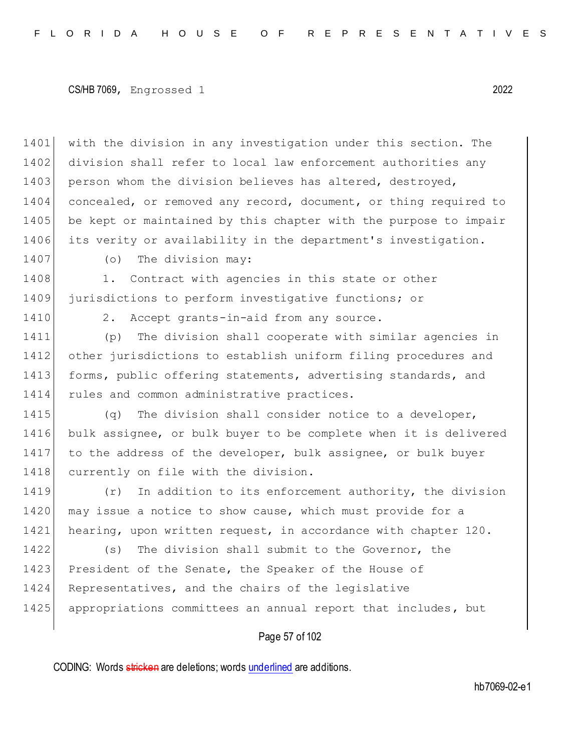1401 with the division in any investigation under this section. The 1402 division shall refer to local law enforcement authorities any 1403 person whom the division believes has altered, destroyed, 1404 concealed, or removed any record, document, or thing required to 1405 be kept or maintained by this chapter with the purpose to impair 1406 its verity or availability in the department's investigation.

1407 (o) The division may:

1408 1. Contract with agencies in this state or other 1409 jurisdictions to perform investigative functions; or

1410 2. Accept grants-in-aid from any source.

1411 (p) The division shall cooperate with similar agencies in 1412 other jurisdictions to establish uniform filing procedures and 1413 forms, public offering statements, advertising standards, and 1414 rules and common administrative practices.

1415 (q) The division shall consider notice to a developer, 1416 bulk assignee, or bulk buyer to be complete when it is delivered 1417 to the address of the developer, bulk assignee, or bulk buyer 1418 currently on file with the division.

1419 (r) In addition to its enforcement authority, the division 1420 may issue a notice to show cause, which must provide for a 1421 hearing, upon written request, in accordance with chapter 120.

1422 (s) The division shall submit to the Governor, the 1423 President of the Senate, the Speaker of the House of 1424 Representatives, and the chairs of the legislative 1425 appropriations committees an annual report that includes, but

# Page 57 of 102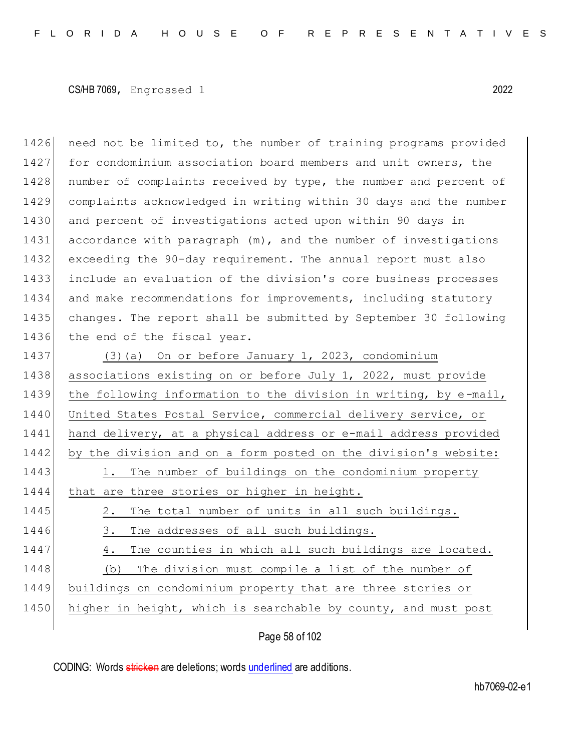1426 need not be limited to, the number of training programs provided 1427 for condominium association board members and unit owners, the 1428 | number of complaints received by type, the number and percent of 1429 complaints acknowledged in writing within 30 days and the number 1430 and percent of investigations acted upon within 90 days in 1431 accordance with paragraph (m), and the number of investigations 1432 exceeding the 90-day requirement. The annual report must also 1433 include an evaluation of the division's core business processes 1434 and make recommendations for improvements, including statutory 1435 changes. The report shall be submitted by September 30 following 1436 the end of the fiscal year.

1437 (3)(a) On or before January 1, 2023, condominium 1438 associations existing on or before July 1, 2022, must provide 1439 the following information to the division in writing, by e-mail, 1440 United States Postal Service, commercial delivery service, or 1441 hand delivery, at a physical address or e-mail address provided 1442 by the division and on a form posted on the division's website: 1443 1. The number of buildings on the condominium property 1444 that are three stories or higher in height. 1445 2. The total number of units in all such buildings. 1446 3. The addresses of all such buildings. 1447 4. The counties in which all such buildings are located. 1448 (b) The division must compile a list of the number of 1449 buildings on condominium property that are three stories or 1450 higher in height, which is searchable by county, and must post

Page 58 of 102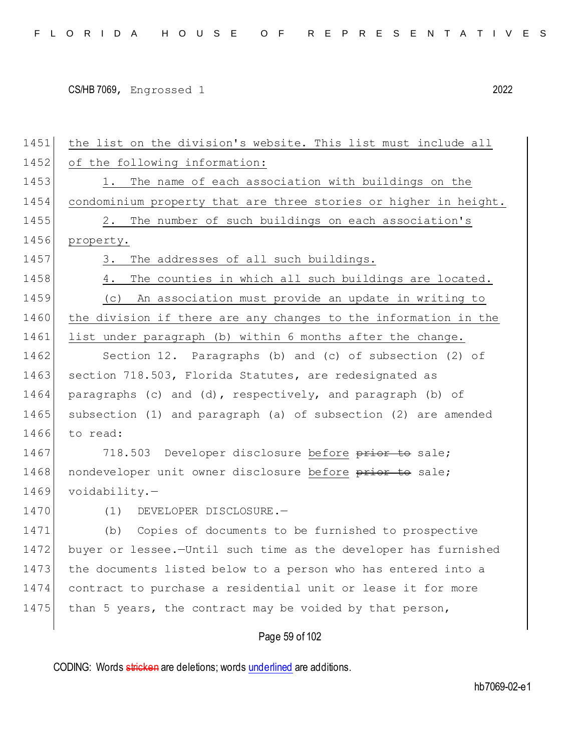| 1451 | the list on the division's website. This list must include all   |
|------|------------------------------------------------------------------|
| 1452 | of the following information:                                    |
| 1453 | 1. The name of each association with buildings on the            |
| 1454 | condominium property that are three stories or higher in height. |
| 1455 | 2. The number of such buildings on each association's            |
| 1456 | property.                                                        |
| 1457 | 3. The addresses of all such buildings.                          |
| 1458 | The counties in which all such buildings are located.<br>4.      |
| 1459 | An association must provide an update in writing to<br>(C)       |
| 1460 | the division if there are any changes to the information in the  |
| 1461 | list under paragraph (b) within 6 months after the change.       |
| 1462 | Section 12. Paragraphs (b) and (c) of subsection (2) of          |
| 1463 | section 718.503, Florida Statutes, are redesignated as           |
| 1464 | paragraphs (c) and (d), respectively, and paragraph (b) of       |
| 1465 | subsection (1) and paragraph (a) of subsection (2) are amended   |
| 1466 | to read:                                                         |
| 1467 | 718.503 Developer disclosure before prior to sale;               |
| 1468 | nondeveloper unit owner disclosure before prior to sale;         |
| 1469 | voidability.                                                     |
| 1470 | DEVELOPER DISCLOSURE.-<br>(1)                                    |
| 1471 | (b) Copies of documents to be furnished to prospective           |
| 1472 | buyer or lessee.-Until such time as the developer has furnished  |
| 1473 | the documents listed below to a person who has entered into a    |
| 1474 | contract to purchase a residential unit or lease it for more     |
| 1475 | than 5 years, the contract may be voided by that person,         |
|      | Page 59 of 102                                                   |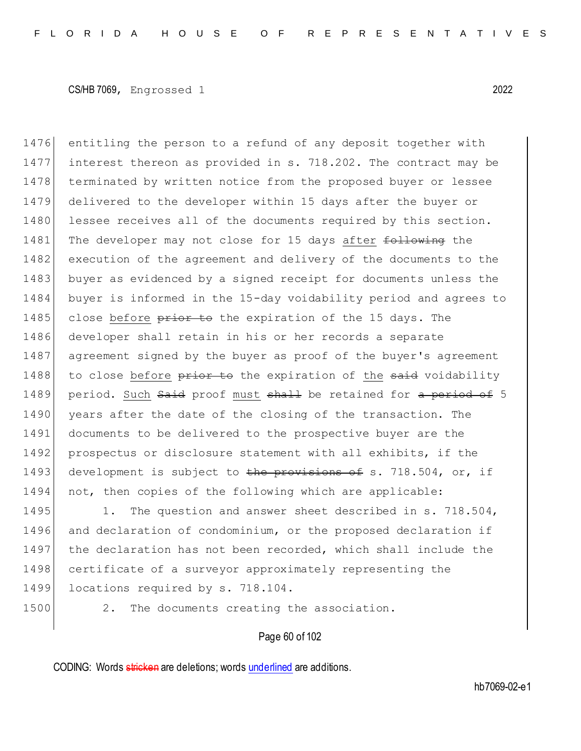1476 entitling the person to a refund of any deposit together with 1477 interest thereon as provided in s. 718.202. The contract may be 1478 terminated by written notice from the proposed buyer or lessee 1479 delivered to the developer within 15 days after the buyer or 1480 lessee receives all of the documents required by this section. 1481 The developer may not close for 15 days after following the 1482 execution of the agreement and delivery of the documents to the 1483 buyer as evidenced by a signed receipt for documents unless the 1484 buyer is informed in the 15-day voidability period and agrees to 1485 close before prior to the expiration of the 15 days. The 1486 developer shall retain in his or her records a separate 1487 agreement signed by the buyer as proof of the buyer's agreement 1488 to close before prior to the expiration of the said voidability 1489 period. Such Said proof must shall be retained for a period of 5 1490 years after the date of the closing of the transaction. The 1491 documents to be delivered to the prospective buyer are the 1492 prospectus or disclosure statement with all exhibits, if the 1493 development is subject to the provisions of s. 718.504, or, if 1494 not, then copies of the following which are applicable:

1495 1. The question and answer sheet described in s. 718.504, 1496 and declaration of condominium, or the proposed declaration if 1497 the declaration has not been recorded, which shall include the 1498 certificate of a surveyor approximately representing the 1499 locations required by s. 718.104.

1500 2. The documents creating the association.

# Page 60 of 102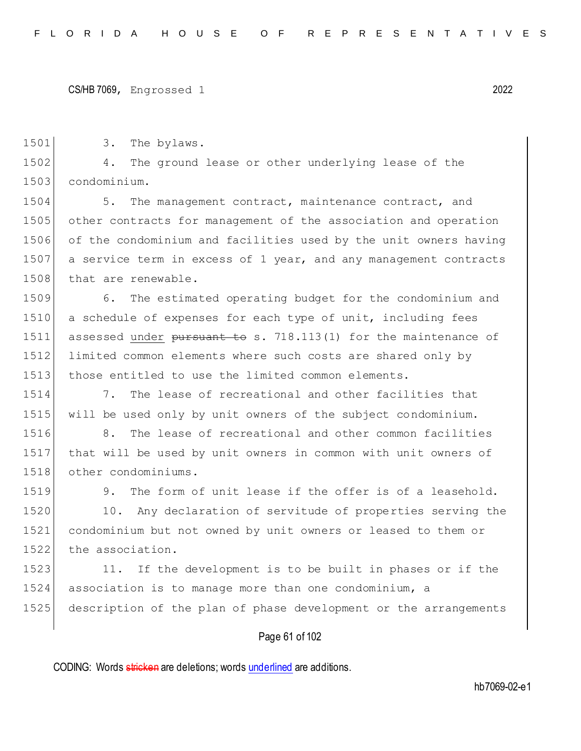1501 3. The bylaws.

1502 4. The ground lease or other underlying lease of the 1503 condominium.

1504 5. The management contract, maintenance contract, and 1505 other contracts for management of the association and operation 1506 of the condominium and facilities used by the unit owners having 1507 a service term in excess of 1 year, and any management contracts 1508 that are renewable.

1509 6. The estimated operating budget for the condominium and 1510 a schedule of expenses for each type of unit, including fees 1511 assessed under pursuant to s. 718.113(1) for the maintenance of 1512 limited common elements where such costs are shared only by 1513 those entitled to use the limited common elements.

1514 7. The lease of recreational and other facilities that 1515 will be used only by unit owners of the subject condominium.

1516 8. The lease of recreational and other common facilities 1517 that will be used by unit owners in common with unit owners of 1518 other condominiums.

1519 9. The form of unit lease if the offer is of a leasehold.

1520 10. Any declaration of servitude of properties serving the 1521 condominium but not owned by unit owners or leased to them or 1522 the association.

1523 11. If the development is to be built in phases or if the 1524 association is to manage more than one condominium, a 1525 description of the plan of phase development or the arrangements

# Page 61 of 102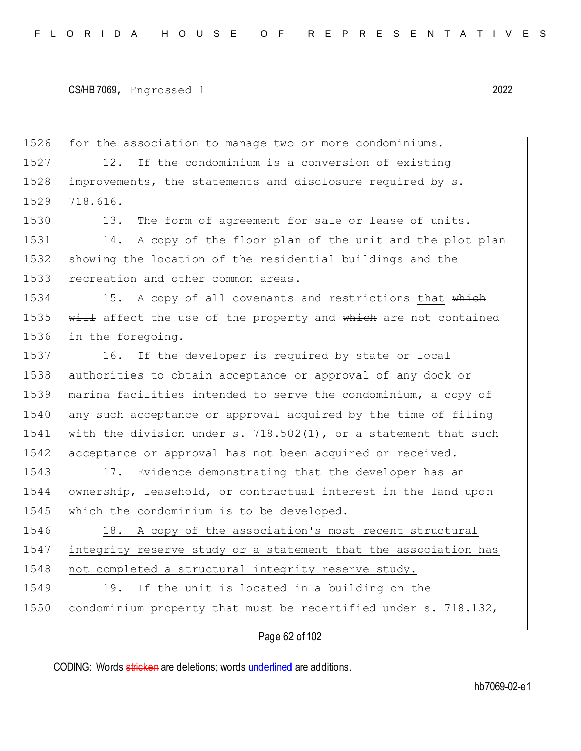1526 for the association to manage two or more condominiums. 1527 12. If the condominium is a conversion of existing 1528 improvements, the statements and disclosure required by s. 1529 718.616. 1530 13. The form of agreement for sale or lease of units. 1531 14. A copy of the floor plan of the unit and the plot plan 1532 showing the location of the residential buildings and the 1533 recreation and other common areas. 1534 15. A copy of all covenants and restrictions that which 1535 will affect the use of the property and which are not contained 1536 in the foregoing. 1537 16. If the developer is required by state or local 1538 authorities to obtain acceptance or approval of any dock or 1539 marina facilities intended to serve the condominium, a copy of 1540 any such acceptance or approval acquired by the time of filing 1541 with the division under s. 718.502(1), or a statement that such 1542 acceptance or approval has not been acquired or received. 1543 17. Evidence demonstrating that the developer has an 1544 ownership, leasehold, or contractual interest in the land upon 1545 which the condominium is to be developed. 1546 18. A copy of the association's most recent structural 1547 integrity reserve study or a statement that the association has 1548 not completed a structural integrity reserve study. 1549 19. If the unit is located in a building on the 1550 condominium property that must be recertified under s. 718.132,

Page 62 of 102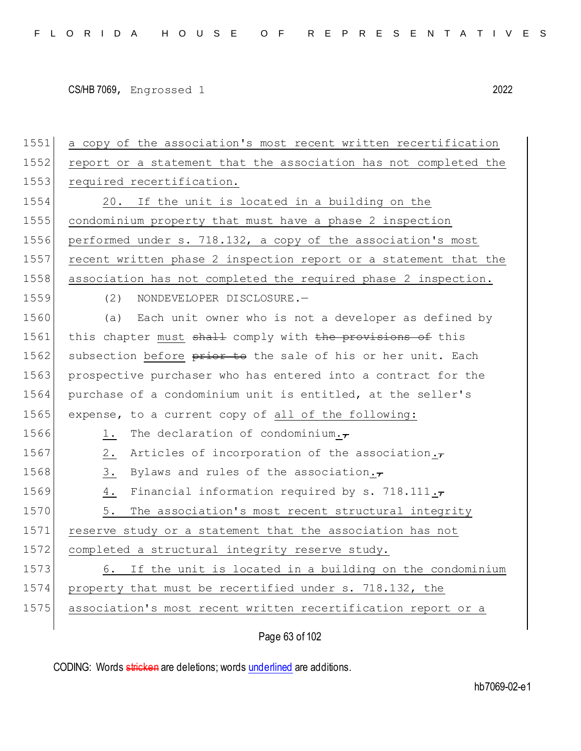| 1551 | a copy of the association's most recent written recertification         |
|------|-------------------------------------------------------------------------|
| 1552 | report or a statement that the association has not completed the        |
| 1553 | required recertification.                                               |
| 1554 | 20. If the unit is located in a building on the                         |
| 1555 | condominium property that must have a phase 2 inspection                |
| 1556 | performed under s. 718.132, a copy of the association's most            |
| 1557 | recent written phase 2 inspection report or a statement that the        |
| 1558 | association has not completed the required phase 2 inspection.          |
| 1559 | (2)<br>NONDEVELOPER DISCLOSURE.-                                        |
| 1560 | (a) Each unit owner who is not a developer as defined by                |
| 1561 | this chapter must shall comply with the provisions of this              |
| 1562 | subsection before prior to the sale of his or her unit. Each            |
| 1563 | prospective purchaser who has entered into a contract for the           |
| 1564 | purchase of a condominium unit is entitled, at the seller's             |
| 1565 | expense, to a current copy of all of the following:                     |
| 1566 | The declaration of condominium. $\tau$<br>1.                            |
| 1567 | Articles of incorporation of the association. $\tau$<br>$2$ .           |
| 1568 | $\frac{3}{2}$ .<br>Bylaws and rules of the association. $\tau$          |
| 1569 | Financial information required by s. 718.111. $\tau$<br>$\frac{4}{ }$ . |
| 1570 | 5.<br>The association's most recent structural integrity                |
| 1571 | reserve study or a statement that the association has not               |
| 1572 | completed a structural integrity reserve study.                         |
| 1573 | If the unit is located in a building on the condominium<br>6.           |
| 1574 | property that must be recertified under s. 718.132, the                 |
| 1575 | association's most recent written recertification report or a           |
|      |                                                                         |

Page 63 of 102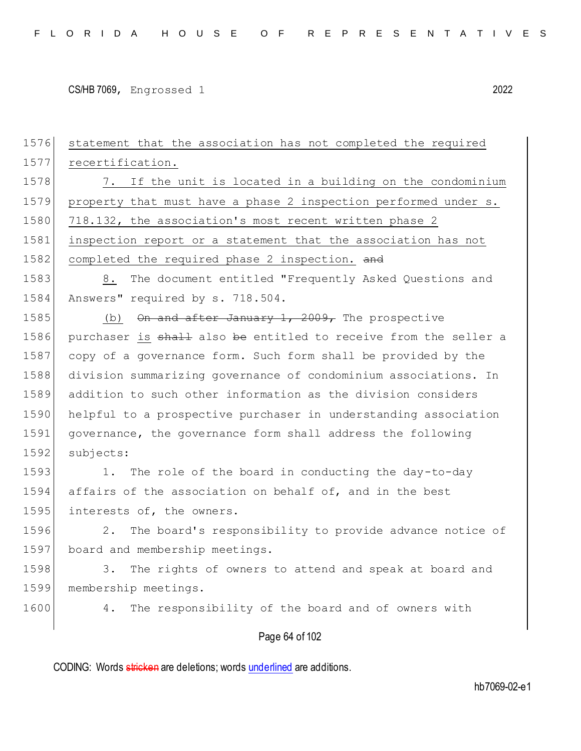| 1576 | statement that the association has not completed the required    |
|------|------------------------------------------------------------------|
| 1577 | recertification.                                                 |
| 1578 | 7. If the unit is located in a building on the condominium       |
| 1579 | property that must have a phase 2 inspection performed under s.  |
| 1580 | 718.132, the association's most recent written phase 2           |
| 1581 | inspection report or a statement that the association has not    |
| 1582 | completed the required phase 2 inspection. and                   |
| 1583 | The document entitled "Frequently Asked Questions and<br>8.      |
| 1584 | Answers" required by s. 718.504.                                 |
| 1585 | (b) $\Theta$ and after January 1, 2009, The prospective          |
| 1586 | purchaser is shall also be entitled to receive from the seller a |
| 1587 | copy of a governance form. Such form shall be provided by the    |
| 1588 | division summarizing governance of condominium associations. In  |
| 1589 | addition to such other information as the division considers     |
| 1590 | helpful to a prospective purchaser in understanding association  |
| 1591 | governance, the governance form shall address the following      |
| 1592 | subjects:                                                        |
| 1593 | The role of the board in conducting the day-to-day<br>1.         |
| 1594 | affairs of the association on behalf of, and in the best         |
| 1595 | interests of, the owners.                                        |
| 1596 | The board's responsibility to provide advance notice of<br>2.    |
| 1597 | board and membership meetings.                                   |
| 1598 | 3.<br>The rights of owners to attend and speak at board and      |
| 1599 | membership meetings.                                             |
| 1600 | The responsibility of the board and of owners with<br>4.         |
|      | Page 64 of 102                                                   |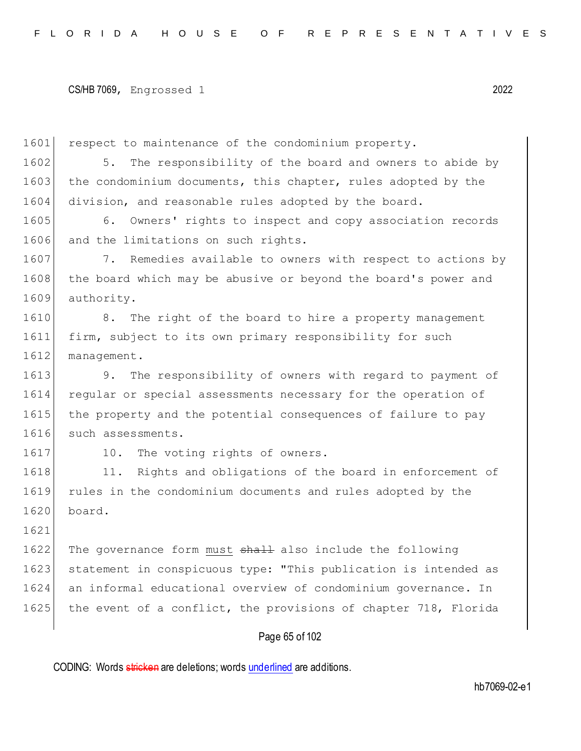1601 respect to maintenance of the condominium property.

1602 5. The responsibility of the board and owners to abide by 1603 the condominium documents, this chapter, rules adopted by the 1604 division, and reasonable rules adopted by the board.

1605 6. Owners' rights to inspect and copy association records 1606 and the limitations on such rights.

1607 7. Remedies available to owners with respect to actions by 1608 the board which may be abusive or beyond the board's power and 1609 authority.

1610 8. The right of the board to hire a property management 1611 firm, subject to its own primary responsibility for such 1612 management.

1613 9. The responsibility of owners with regard to payment of 1614 regular or special assessments necessary for the operation of 1615 the property and the potential consequences of failure to pay 1616 such assessments.

1617 10. The voting rights of owners.

1618 11. Rights and obligations of the board in enforcement of 1619 rules in the condominium documents and rules adopted by the 1620 board.

1621

1622 The governance form must shall also include the following 1623 statement in conspicuous type: "This publication is intended as 1624 an informal educational overview of condominium governance. In 1625 the event of a conflict, the provisions of chapter 718, Florida

### Page 65 of 102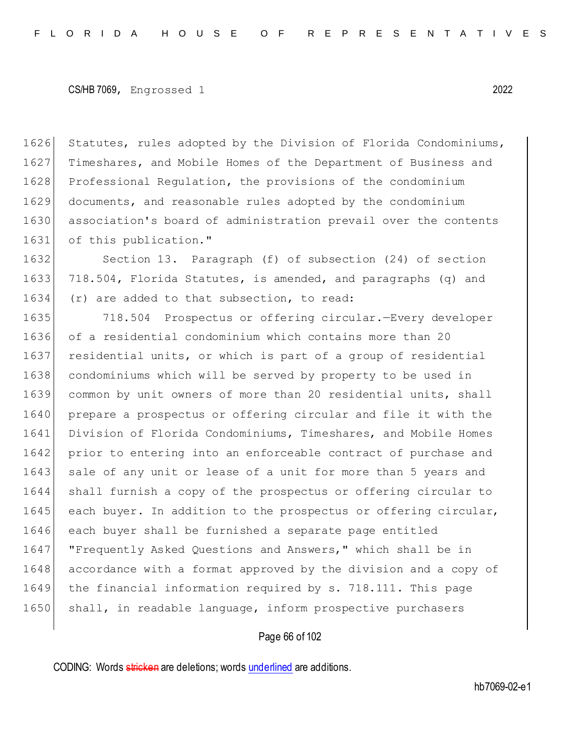1626 Statutes, rules adopted by the Division of Florida Condominiums, 1627 Timeshares, and Mobile Homes of the Department of Business and 1628 Professional Regulation, the provisions of the condominium 1629 documents, and reasonable rules adopted by the condominium 1630 association's board of administration prevail over the contents 1631 of this publication."

1632 Section 13. Paragraph (f) of subsection (24) of section 1633 718.504, Florida Statutes, is amended, and paragraphs (q) and 1634 (r) are added to that subsection, to read:

1635 718.504 Prospectus or offering circular.—Every developer 1636 of a residential condominium which contains more than 20 1637 residential units, or which is part of a group of residential 1638 condominiums which will be served by property to be used in 1639 common by unit owners of more than 20 residential units, shall 1640 prepare a prospectus or offering circular and file it with the 1641 Division of Florida Condominiums, Timeshares, and Mobile Homes 1642 prior to entering into an enforceable contract of purchase and 1643 sale of any unit or lease of a unit for more than 5 years and 1644 shall furnish a copy of the prospectus or offering circular to 1645 each buyer. In addition to the prospectus or offering circular, 1646 each buyer shall be furnished a separate page entitled 1647 | "Frequently Asked Questions and Answers," which shall be in 1648 accordance with a format approved by the division and a copy of 1649 the financial information required by s. 718.111. This page 1650 shall, in readable language, inform prospective purchasers

### Page 66 of 102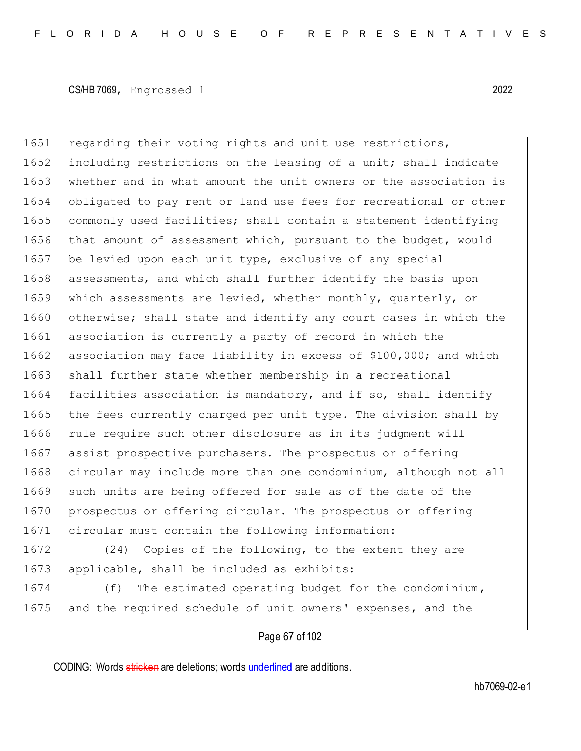1651 regarding their voting rights and unit use restrictions, 1652 including restrictions on the leasing of a unit; shall indicate 1653 whether and in what amount the unit owners or the association is 1654 obligated to pay rent or land use fees for recreational or other 1655 commonly used facilities; shall contain a statement identifying 1656 that amount of assessment which, pursuant to the budget, would 1657 be levied upon each unit type, exclusive of any special 1658 assessments, and which shall further identify the basis upon 1659 which assessments are levied, whether monthly, quarterly, or 1660 otherwise; shall state and identify any court cases in which the 1661 association is currently a party of record in which the 1662 association may face liability in excess of \$100,000; and which 1663 shall further state whether membership in a recreational 1664 facilities association is mandatory, and if so, shall identify 1665 the fees currently charged per unit type. The division shall by 1666 rule require such other disclosure as in its judgment will 1667 assist prospective purchasers. The prospectus or offering 1668 circular may include more than one condominium, although not all 1669 such units are being offered for sale as of the date of the 1670 prospectus or offering circular. The prospectus or offering 1671 circular must contain the following information:

1672 (24) Copies of the following, to the extent they are 1673 applicable, shall be included as exhibits:

1674 (f) The estimated operating budget for the condominium, 1675 and the required schedule of unit owners' expenses, and the

# Page 67 of 102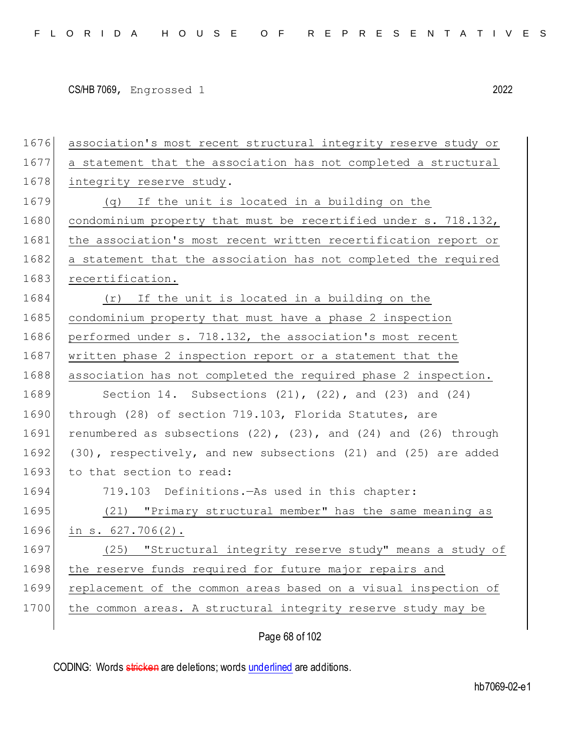| 1676 | association's most recent structural integrity reserve study or           |
|------|---------------------------------------------------------------------------|
| 1677 | a statement that the association has not completed a structural           |
| 1678 | integrity reserve study.                                                  |
| 1679 | (q) If the unit is located in a building on the                           |
| 1680 | condominium property that must be recertified under s. 718.132,           |
| 1681 | the association's most recent written recertification report or           |
| 1682 | a statement that the association has not completed the required           |
| 1683 | recertification.                                                          |
| 1684 | (r) If the unit is located in a building on the                           |
| 1685 | condominium property that must have a phase 2 inspection                  |
| 1686 | performed under s. 718.132, the association's most recent                 |
| 1687 | written phase 2 inspection report or a statement that the                 |
| 1688 | association has not completed the required phase 2 inspection.            |
| 1689 | Section 14. Subsections $(21)$ , $(22)$ , and $(23)$ and $(24)$           |
| 1690 | through (28) of section 719.103, Florida Statutes, are                    |
| 1691 | renumbered as subsections $(22)$ , $(23)$ , and $(24)$ and $(26)$ through |
| 1692 | (30), respectively, and new subsections (21) and (25) are added           |
| 1693 | to that section to read:                                                  |
| 1694 | 719.103 Definitions. - As used in this chapter:                           |
| 1695 | (21) "Primary structural member" has the same meaning as                  |
| 1696 | in $s. 627.706(2)$ .                                                      |
| 1697 | (25) "Structural integrity reserve study" means a study of                |
| 1698 | the reserve funds required for future major repairs and                   |
| 1699 | replacement of the common areas based on a visual inspection of           |
| 1700 | the common areas. A structural integrity reserve study may be             |
|      |                                                                           |

Page 68 of 102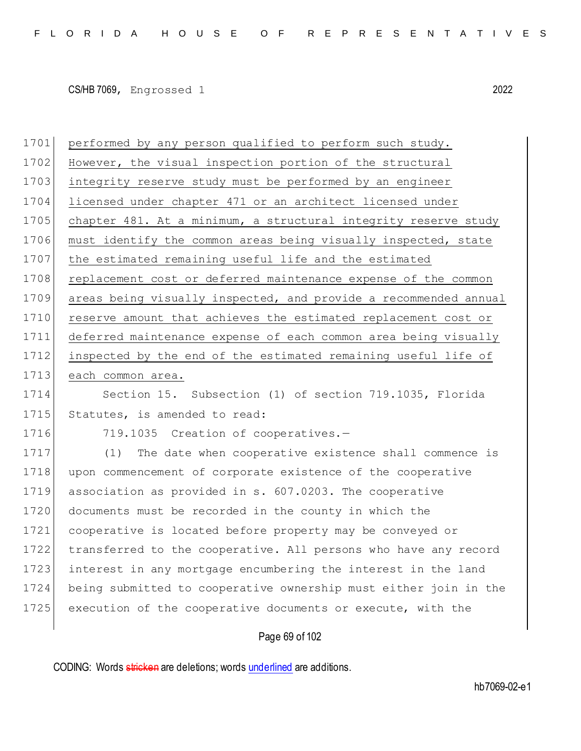1701 performed by any person qualified to perform such study. 1702 However, the visual inspection portion of the structural 1703 integrity reserve study must be performed by an engineer 1704 licensed under chapter 471 or an architect licensed under 1705 chapter 481. At a minimum, a structural integrity reserve study 1706 must identify the common areas being visually inspected, state 1707 the estimated remaining useful life and the estimated 1708 replacement cost or deferred maintenance expense of the common 1709 areas being visually inspected, and provide a recommended annual 1710 reserve amount that achieves the estimated replacement cost or 1711 deferred maintenance expense of each common area being visually 1712 inspected by the end of the estimated remaining useful life of 1713 each common area. 1714 Section 15. Subsection (1) of section 719.1035, Florida 1715 Statutes, is amended to read: 1716 719.1035 Creation of cooperatives.-1717 (1) The date when cooperative existence shall commence is 1718 upon commencement of corporate existence of the cooperative 1719 association as provided in s. 607.0203. The cooperative 1720 documents must be recorded in the county in which the 1721 cooperative is located before property may be conveyed or 1722 transferred to the cooperative. All persons who have any record 1723 interest in any mortgage encumbering the interest in the land 1724 being submitted to cooperative ownership must either join in the 1725 execution of the cooperative documents or execute, with the

# Page 69 of 102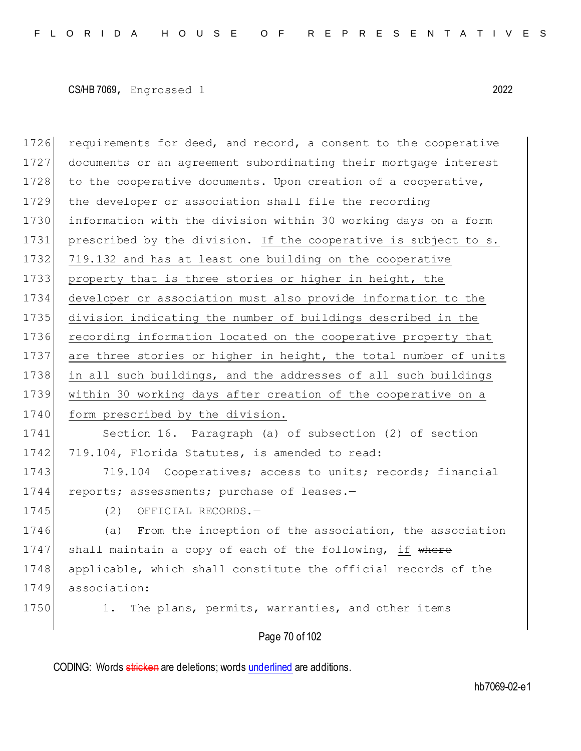Page 70 of 102 1726 requirements for deed, and record, a consent to the cooperative 1727 documents or an agreement subordinating their mortgage interest 1728 to the cooperative documents. Upon creation of a cooperative, 1729 the developer or association shall file the recording 1730 information with the division within 30 working days on a form 1731 prescribed by the division. If the cooperative is subject to s. 1732 719.132 and has at least one building on the cooperative 1733 property that is three stories or higher in height, the 1734 developer or association must also provide information to the 1735 division indicating the number of buildings described in the 1736 recording information located on the cooperative property that 1737 are three stories or higher in height, the total number of units 1738 in all such buildings, and the addresses of all such buildings 1739 within 30 working days after creation of the cooperative on a 1740 form prescribed by the division. 1741 Section 16. Paragraph (a) of subsection (2) of section 1742 719.104, Florida Statutes, is amended to read: 1743 719.104 Cooperatives; access to units; records; financial 1744 reports; assessments; purchase of leases.-1745 (2) OFFICIAL RECORDS.-1746 (a) From the inception of the association, the association 1747 shall maintain a copy of each of the following, if where 1748 applicable, which shall constitute the official records of the 1749 association: 1750 1. The plans, permits, warranties, and other items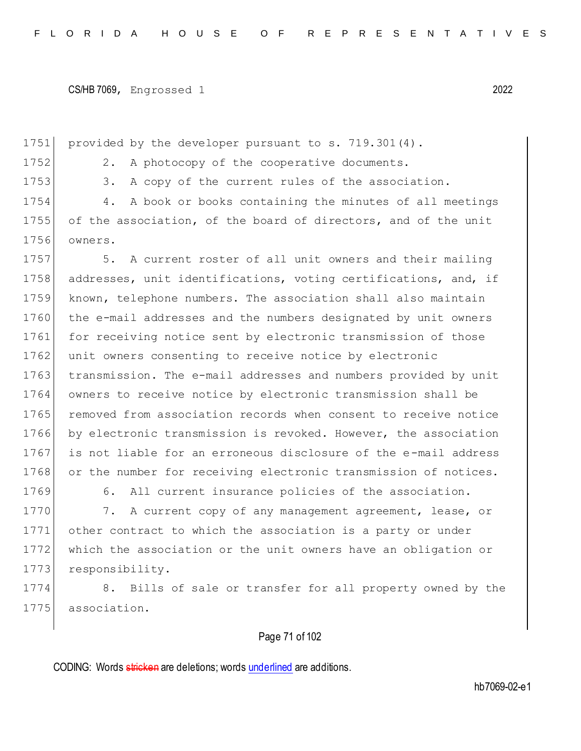1751 provided by the developer pursuant to s. 719.301(4).

1752 2. A photocopy of the cooperative documents.

1753 3. A copy of the current rules of the association.

1754 4. A book or books containing the minutes of all meetings 1755 of the association, of the board of directors, and of the unit 1756 owners.

1757 5. A current roster of all unit owners and their mailing 1758 addresses, unit identifications, voting certifications, and, if 1759 known, telephone numbers. The association shall also maintain 1760 the e-mail addresses and the numbers designated by unit owners 1761 for receiving notice sent by electronic transmission of those 1762 unit owners consenting to receive notice by electronic 1763 transmission. The e-mail addresses and numbers provided by unit 1764 owners to receive notice by electronic transmission shall be 1765 removed from association records when consent to receive notice 1766 by electronic transmission is revoked. However, the association 1767 is not liable for an erroneous disclosure of the e-mail address 1768 or the number for receiving electronic transmission of notices.

1769 6. All current insurance policies of the association.

1770 7. A current copy of any management agreement, lease, or 1771 other contract to which the association is a party or under 1772 which the association or the unit owners have an obligation or 1773 responsibility.

1774 8. Bills of sale or transfer for all property owned by the 1775 association.

# Page 71 of 102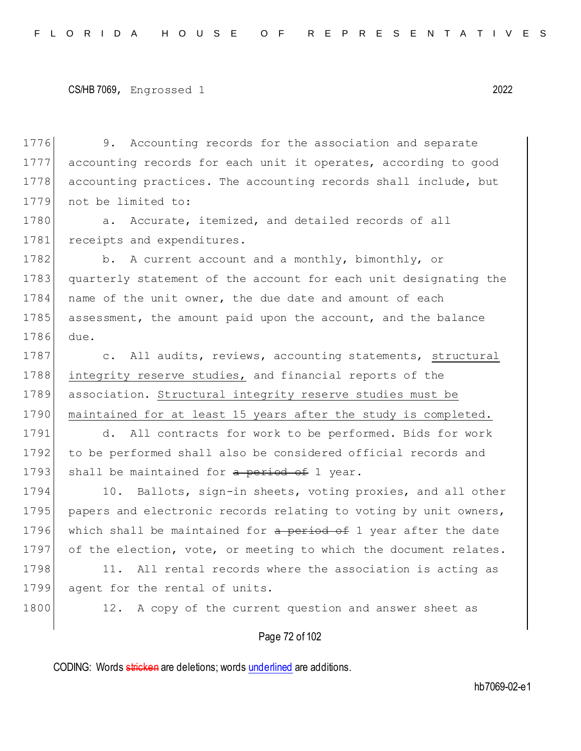1776 9. Accounting records for the association and separate 1777 accounting records for each unit it operates, according to good 1778 accounting practices. The accounting records shall include, but 1779 not be limited to:

1780 a. Accurate, itemized, and detailed records of all 1781 receipts and expenditures.

1782 b. A current account and a monthly, bimonthly, or 1783 quarterly statement of the account for each unit designating the 1784 name of the unit owner, the due date and amount of each 1785 assessment, the amount paid upon the account, and the balance 1786 due.

1787 c. All audits, reviews, accounting statements, structural 1788 integrity reserve studies, and financial reports of the 1789 association. Structural integrity reserve studies must be 1790 | maintained for at least 15 years after the study is completed.

1791 d. All contracts for work to be performed. Bids for work 1792 to be performed shall also be considered official records and 1793 shall be maintained for  $a$  period of 1 year.

1794 10. Ballots, sign-in sheets, voting proxies, and all other 1795 papers and electronic records relating to voting by unit owners, 1796 which shall be maintained for a period of 1 year after the date 1797 of the election, vote, or meeting to which the document relates.

1798 11. All rental records where the association is acting as 1799 agent for the rental of units.

1800 12. A copy of the current question and answer sheet as

Page 72 of 102

CODING: Words stricken are deletions; words underlined are additions.

hb7069-02-e1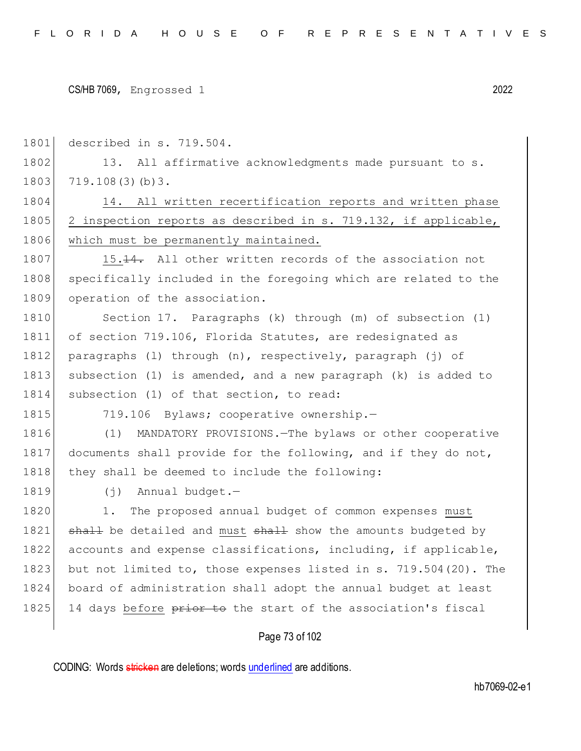1801 described in s. 719.504.

1802 13. All affirmative acknowledgments made pursuant to s. 1803 719.108(3)(b)3.

1804 14. All written recertification reports and written phase 1805 2 inspection reports as described in s. 719.132, if applicable, 1806 which must be permanently maintained.

1807 15.14. All other written records of the association not 1808 specifically included in the foregoing which are related to the 1809 operation of the association.

1810 Section 17. Paragraphs (k) through (m) of subsection (1) 1811 of section 719.106, Florida Statutes, are redesignated as 1812 paragraphs (l) through (n), respectively, paragraph (j) of 1813 subsection (1) is amended, and a new paragraph (k) is added to 1814 subsection (1) of that section, to read:

1815 719.106 Bylaws; cooperative ownership.-

1816 (1) MANDATORY PROVISIONS.—The bylaws or other cooperative 1817 documents shall provide for the following, and if they do not, 1818 they shall be deemed to include the following:

1819 (j) Annual budget.-

1820 1. The proposed annual budget of common expenses must 1821 shall be detailed and must shall show the amounts budgeted by 1822 accounts and expense classifications, including, if applicable, 1823 but not limited to, those expenses listed in s. 719.504(20). The 1824 board of administration shall adopt the annual budget at least 1825 14 days before prior to the start of the association's fiscal

## Page 73 of 102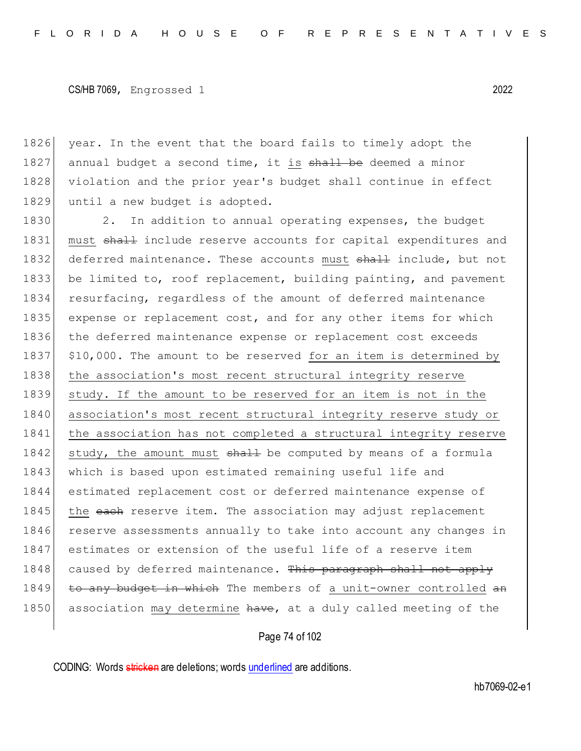1826 year. In the event that the board fails to timely adopt the 1827 annual budget a second time, it is shall be deemed a minor 1828 violation and the prior year's budget shall continue in effect 1829 until a new budget is adopted.

1830 2. In addition to annual operating expenses, the budget 1831 must shall include reserve accounts for capital expenditures and 1832 deferred maintenance. These accounts must shall include, but not 1833 be limited to, roof replacement, building painting, and pavement 1834 resurfacing, regardless of the amount of deferred maintenance 1835 expense or replacement cost, and for any other items for which 1836 the deferred maintenance expense or replacement cost exceeds 1837 \$10,000. The amount to be reserved for an item is determined by 1838 the association's most recent structural integrity reserve 1839 study. If the amount to be reserved for an item is not in the 1840 association's most recent structural integrity reserve study or 1841 the association has not completed a structural integrity reserve 1842 study, the amount must shall be computed by means of a formula 1843 which is based upon estimated remaining useful life and 1844 estimated replacement cost or deferred maintenance expense of 1845 the each reserve item. The association may adjust replacement 1846 reserve assessments annually to take into account any changes in 1847 estimates or extension of the useful life of a reserve item 1848 caused by deferred maintenance. This paragraph shall not apply 1849 to any budget in which The members of a unit-owner controlled an 1850 association may determine have, at a duly called meeting of the

Page 74 of 102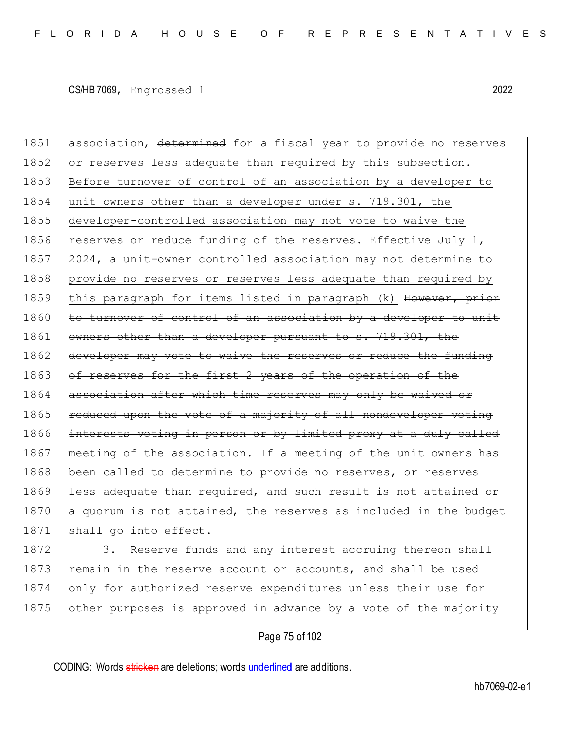1851 association, determined for a fiscal year to provide no reserves 1852 or reserves less adequate than required by this subsection. 1853 Before turnover of control of an association by a developer to 1854 unit owners other than a developer under s. 719.301, the 1855 developer-controlled association may not vote to waive the 1856 reserves or reduce funding of the reserves. Effective July 1, 1857 2024, a unit-owner controlled association may not determine to 1858 provide no reserves or reserves less adequate than required by 1859 this paragraph for items listed in paragraph (k) However, prior 1860 to turnover of control of an association by a developer to unit 1861 owners other than a developer pursuant to s. 719.301, the 1862 developer may vote to waive the reserves or reduce the funding 1863 of reserves for the first 2 years of the operation of the 1864 association after which time reserves may only be waived or 1865 reduced upon the vote of a majority of all nondeveloper voting 1866 interests voting in person or by limited proxy at a duly called 1867 meeting of the association. If a meeting of the unit owners has 1868 been called to determine to provide no reserves, or reserves 1869 less adequate than required, and such result is not attained or 1870 a quorum is not attained, the reserves as included in the budget 1871 shall go into effect.

1872 3. Reserve funds and any interest accruing thereon shall 1873 remain in the reserve account or accounts, and shall be used 1874 only for authorized reserve expenditures unless their use for 1875 other purposes is approved in advance by a vote of the majority

#### Page 75 of 102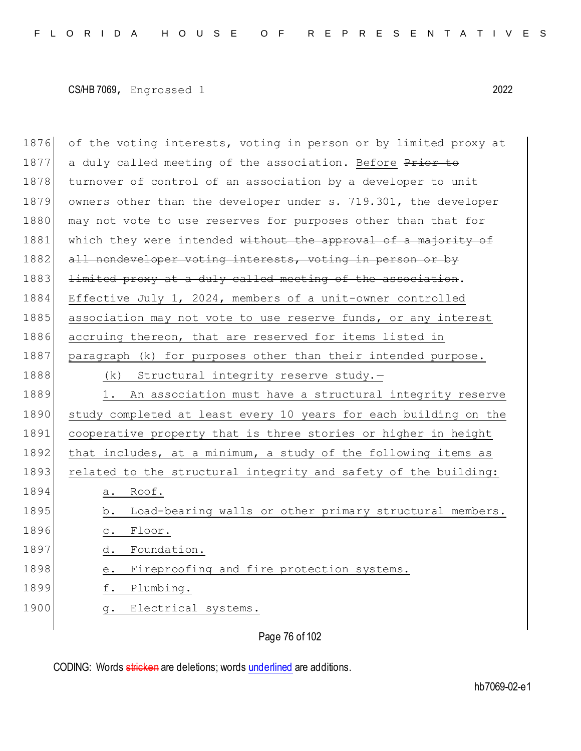1876 of the voting interests, voting in person or by limited proxy at 1877 a duly called meeting of the association. Before Prior to 1878 turnover of control of an association by a developer to unit 1879 owners other than the developer under s. 719.301, the developer 1880 may not vote to use reserves for purposes other than that for 1881 which they were intended without the approval of a majority of 1882 all nondeveloper voting interests, voting in person or by 1883 <del>limited proxy at a duly called meeting of the association</del>. 1884 Effective July 1, 2024, members of a unit-owner controlled 1885 association may not vote to use reserve funds, or any interest 1886 accruing thereon, that are reserved for items listed in 1887 paragraph (k) for purposes other than their intended purpose. 1888 (k) Structural integrity reserve study.-1889 1. An association must have a structural integrity reserve 1890 study completed at least every 10 years for each building on the 1891 cooperative property that is three stories or higher in height 1892 that includes, at a minimum, a study of the following items as 1893 related to the structural integrity and safety of the building: 1894 a. Roof. 1895 b. Load-bearing walls or other primary structural members. 1896 c. Floor. 1897 d. Foundation. 1898 e. Fireproofing and fire protection systems. 1899 f. Plumbing. 1900 g. Electrical systems.

Page 76 of 102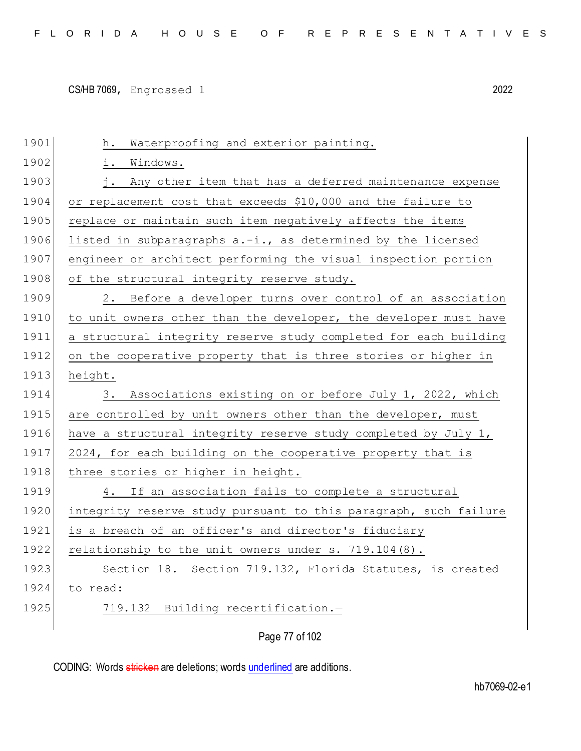| i. Windows.                                                      |
|------------------------------------------------------------------|
| j. Any other item that has a deferred maintenance expense        |
| or replacement cost that exceeds \$10,000 and the failure to     |
| replace or maintain such item negatively affects the items       |
| listed in subparagraphs a.-i., as determined by the licensed     |
| engineer or architect performing the visual inspection portion   |
| of the structural integrity reserve study.                       |
| 2. Before a developer turns over control of an association       |
| to unit owners other than the developer, the developer must have |
| a structural integrity reserve study completed for each building |
| on the cooperative property that is three stories or higher in   |
| height.                                                          |
| 3. Associations existing on or before July 1, 2022, which        |
| are controlled by unit owners other than the developer, must     |
| have a structural integrity reserve study completed by July 1,   |
| 2024, for each building on the cooperative property that is      |
| three stories or higher in height.                               |
| 4. If an association fails to complete a structural              |
| integrity reserve study pursuant to this paragraph, such failure |
| is a breach of an officer's and director's fiduciary             |
| relationship to the unit owners under s. $719.104(8)$ .          |
| Section 18. Section 719.132, Florida Statutes, is created        |
| to read:                                                         |
| Building recertification.-<br>719.132                            |
| Page 77 of 102                                                   |
|                                                                  |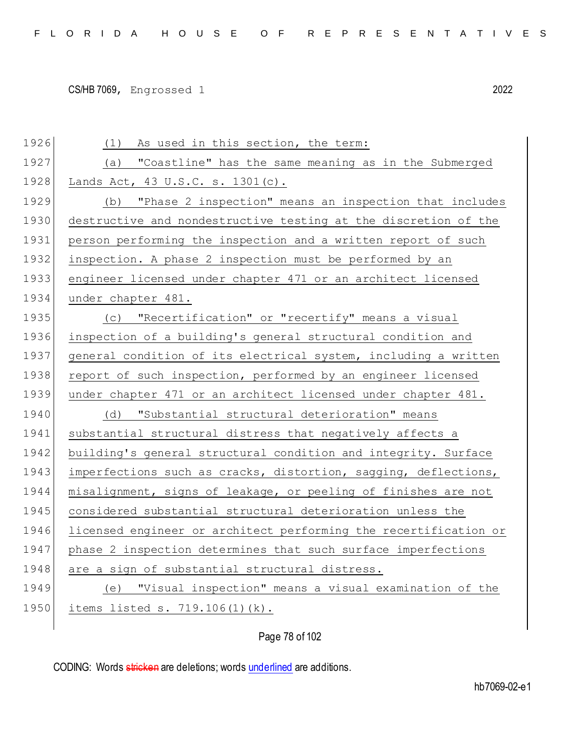1926 (1) As used in this section, the term: 1927 (a) "Coastline" has the same meaning as in the Submerged 1928 Lands Act, 43 U.S.C. s. 1301(c). 1929 (b) "Phase 2 inspection" means an inspection that includes 1930 destructive and nondestructive testing at the discretion of the 1931 person performing the inspection and a written report of such 1932 inspection. A phase 2 inspection must be performed by an 1933 engineer licensed under chapter 471 or an architect licensed 1934 under chapter 481. 1935 (c) "Recertification" or "recertify" means a visual 1936 inspection of a building's general structural condition and 1937 general condition of its electrical system, including a written 1938 report of such inspection, performed by an engineer licensed 1939 under chapter 471 or an architect licensed under chapter 481. 1940 (d) "Substantial structural deterioration" means 1941 substantial structural distress that negatively affects a 1942 building's general structural condition and integrity. Surface 1943 imperfections such as cracks, distortion, sagging, deflections, 1944 misalignment, signs of leakage, or peeling of finishes are not 1945 considered substantial structural deterioration unless the 1946 licensed engineer or architect performing the recertification or 1947 phase 2 inspection determines that such surface imperfections 1948 are a sign of substantial structural distress. 1949 (e) "Visual inspection" means a visual examination of the 1950 items listed s. 719.106(1)(k).

Page 78 of 102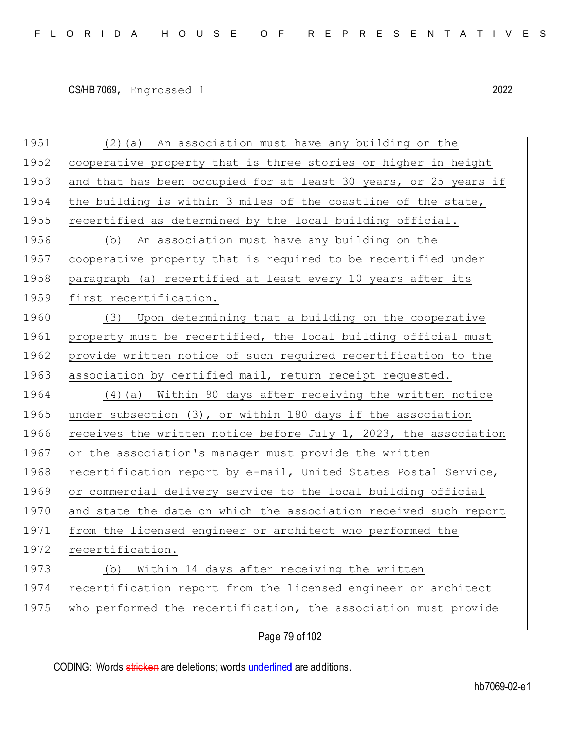1951 (2)(a) An association must have any building on the 1952 cooperative property that is three stories or higher in height 1953 and that has been occupied for at least 30 years, or 25 years if 1954 the building is within 3 miles of the coastline of the state, 1955 recertified as determined by the local building official. 1956 (b) An association must have any building on the 1957 cooperative property that is required to be recertified under 1958 paragraph (a) recertified at least every 10 years after its 1959 first recertification. 1960 (3) Upon determining that a building on the cooperative 1961 property must be recertified, the local building official must 1962 provide written notice of such required recertification to the 1963 association by certified mail, return receipt requested. 1964 (4)(a) Within 90 days after receiving the written notice 1965 under subsection  $(3)$ , or within 180 days if the association 1966 receives the written notice before July 1, 2023, the association 1967 or the association's manager must provide the written 1968 recertification report by e-mail, United States Postal Service, 1969 or commercial delivery service to the local building official 1970 and state the date on which the association received such report 1971 from the licensed engineer or architect who performed the 1972 recertification. 1973 (b) Within 14 days after receiving the written 1974 recertification report from the licensed engineer or architect 1975 who performed the recertification, the association must provide

Page 79 of 102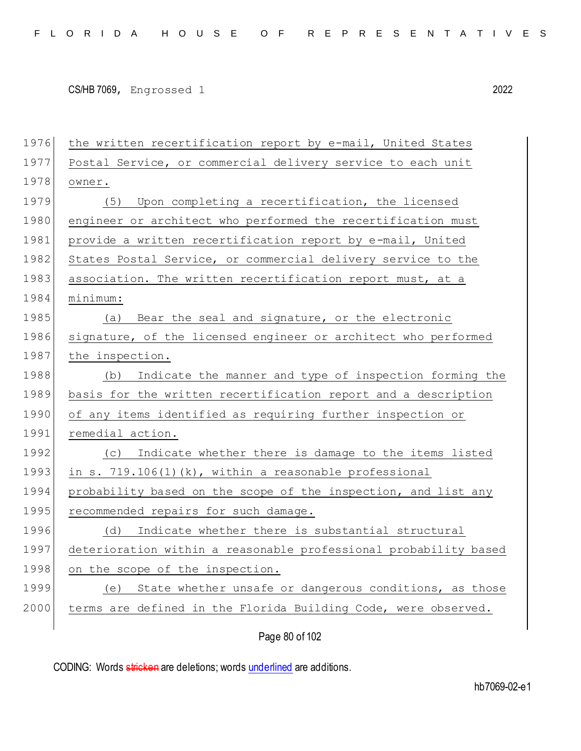| 1976 | the written recertification report by e-mail, United States      |
|------|------------------------------------------------------------------|
| 1977 | Postal Service, or commercial delivery service to each unit      |
| 1978 | owner.                                                           |
| 1979 | Upon completing a recertification, the licensed<br>(5)           |
| 1980 | engineer or architect who performed the recertification must     |
| 1981 | provide a written recertification report by e-mail, United       |
| 1982 | States Postal Service, or commercial delivery service to the     |
| 1983 | association. The written recertification report must, at a       |
| 1984 | minimum:                                                         |
| 1985 | (a) Bear the seal and signature, or the electronic               |
| 1986 | signature, of the licensed engineer or architect who performed   |
| 1987 | the inspection.                                                  |
| 1988 | (b) Indicate the manner and type of inspection forming the       |
| 1989 | basis for the written recertification report and a description   |
| 1990 | of any items identified as requiring further inspection or       |
| 1991 | remedial action.                                                 |
| 1992 | Indicate whether there is damage to the items listed<br>(C)      |
| 1993 | in s. $719.106(1)(k)$ , within a reasonable professional         |
| 1994 | probability based on the scope of the inspection, and list any   |
| 1995 | recommended repairs for such damage.                             |
| 1996 | Indicate whether there is substantial structural<br>(d)          |
| 1997 | deterioration within a reasonable professional probability based |
| 1998 | on the scope of the inspection.                                  |
| 1999 | State whether unsafe or dangerous conditions, as those<br>(e)    |
| 2000 | terms are defined in the Florida Building Code, were observed.   |
|      |                                                                  |

Page 80 of 102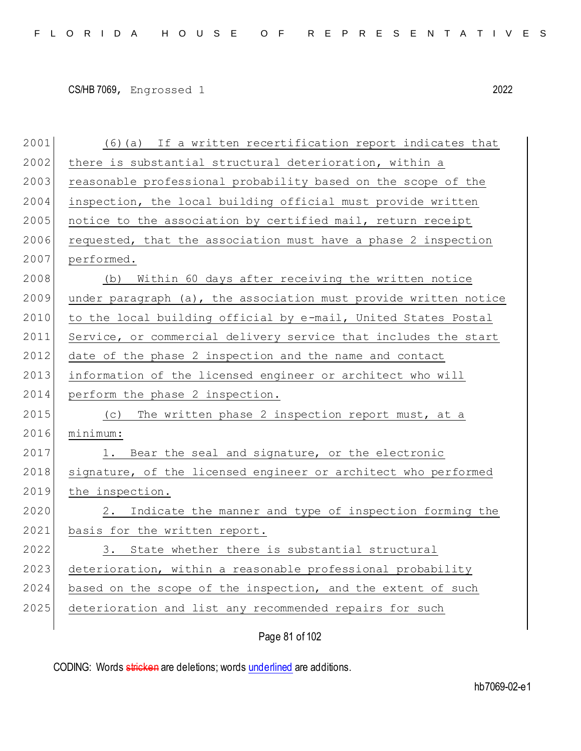2001 (6)(a) If a written recertification report indicates that 2002 there is substantial structural deterioration, within a 2003 reasonable professional probability based on the scope of the  $2004$  inspection, the local building official must provide written  $2005$  notice to the association by certified mail, return receipt  $2006$  requested, that the association must have a phase 2 inspection 2007 performed. 2008 (b) Within 60 days after receiving the written notice  $2009$  under paragraph (a), the association must provide written notice 2010 to the local building official by e-mail, United States Postal 2011 Service, or commercial delivery service that includes the start 2012 date of the phase 2 inspection and the name and contact 2013 information of the licensed engineer or architect who will 2014 perform the phase 2 inspection. 2015 (c) The written phase 2 inspection report must, at a 2016 minimum: 2017 1. Bear the seal and signature, or the electronic 2018 signature, of the licensed engineer or architect who performed 2019 the inspection. 2020 2. Indicate the manner and type of inspection forming the 2021 basis for the written report. 2022 3. State whether there is substantial structural 2023 deterioration, within a reasonable professional probability 2024 based on the scope of the inspection, and the extent of such 2025 deterioration and list any recommended repairs for such

Page 81 of 102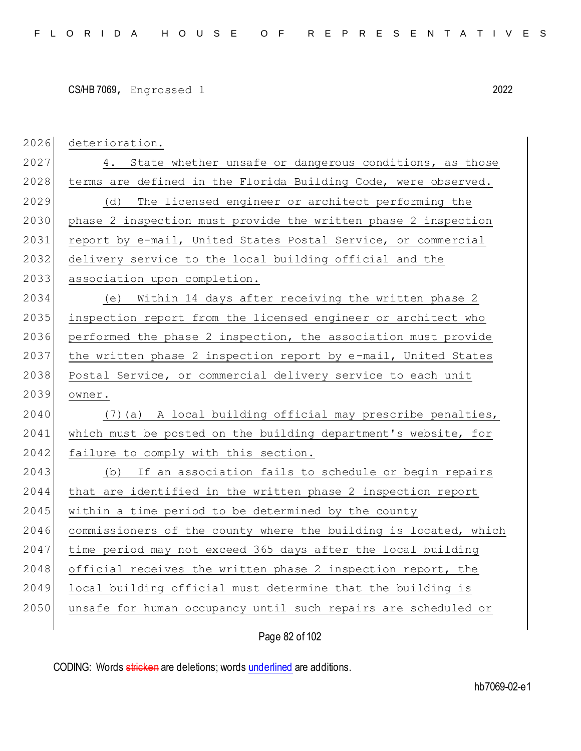| 2026 | deterioration.                                                   |
|------|------------------------------------------------------------------|
| 2027 | 4. State whether unsafe or dangerous conditions, as those        |
| 2028 | terms are defined in the Florida Building Code, were observed.   |
| 2029 | The licensed engineer or architect performing the<br>(d)         |
| 2030 | phase 2 inspection must provide the written phase 2 inspection   |
| 2031 | report by e-mail, United States Postal Service, or commercial    |
| 2032 | delivery service to the local building official and the          |
| 2033 | association upon completion.                                     |
| 2034 | Within 14 days after receiving the written phase 2<br>(e)        |
| 2035 | inspection report from the licensed engineer or architect who    |
| 2036 | performed the phase 2 inspection, the association must provide   |
| 2037 | the written phase 2 inspection report by e-mail, United States   |
| 2038 | Postal Service, or commercial delivery service to each unit      |
| 2039 | owner.                                                           |
| 2040 | (7) (a) A local building official may prescribe penalties,       |
| 2041 | which must be posted on the building department's website, for   |
| 2042 | failure to comply with this section.                             |
| 2043 | If an association fails to schedule or begin repairs<br>(b)      |
| 2044 | that are identified in the written phase 2 inspection report     |
| 2045 | within a time period to be determined by the county              |
| 2046 | commissioners of the county where the building is located, which |
| 2047 | time period may not exceed 365 days after the local building     |
| 2048 | official receives the written phase 2 inspection report, the     |
| 2049 | local building official must determine that the building is      |
| 2050 | unsafe for human occupancy until such repairs are scheduled or   |
|      |                                                                  |

Page 82 of 102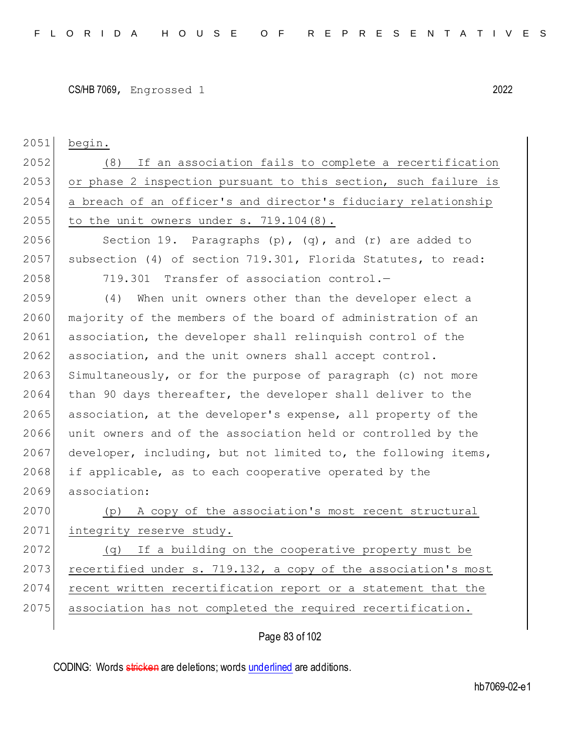```
CS/HB 7069, Engrossed 1 2022
```
2051 begin.

2052 (8) If an association fails to complete a recertification 2053 or phase 2 inspection pursuant to this section, such failure is 2054 a breach of an officer's and director's fiduciary relationship 2055 to the unit owners under s.  $719.104(8)$ .

2056 Section 19. Paragraphs  $(p)$ ,  $(q)$ , and  $(r)$  are added to 2057 subsection (4) of section 719.301, Florida Statutes, to read: 2058 719.301 Transfer of association control.—

2059 (4) When unit owners other than the developer elect a 2060 majority of the members of the board of administration of an 2061 association, the developer shall relinquish control of the 2062 association, and the unit owners shall accept control. 2063 Simultaneously, or for the purpose of paragraph (c) not more 2064 than 90 days thereafter, the developer shall deliver to the 2065 association, at the developer's expense, all property of the 2066 unit owners and of the association held or controlled by the 2067 developer, including, but not limited to, the following items, 2068 if applicable, as to each cooperative operated by the 2069 association:

2070 (p) A copy of the association's most recent structural 2071 integrity reserve study.

2072 (q) If a building on the cooperative property must be 2073 recertified under s. 719.132, a copy of the association's most 2074 recent written recertification report or a statement that the 2075 association has not completed the required recertification.

## Page 83 of 102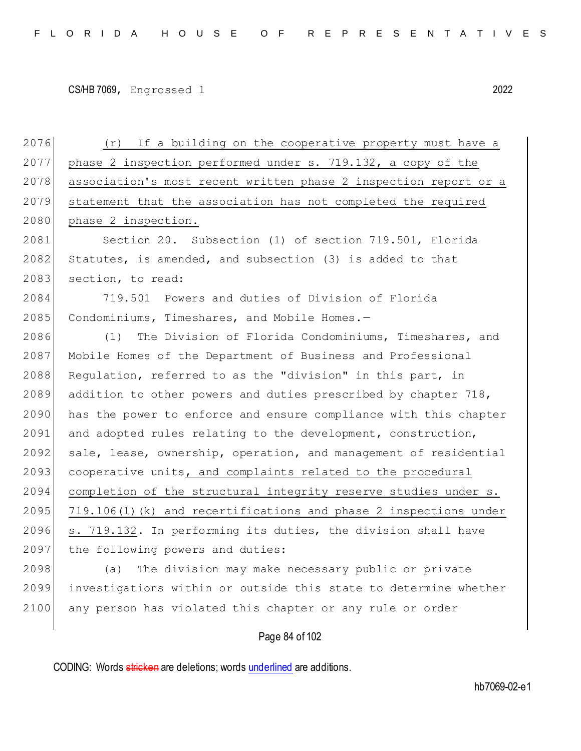2076 (r) If a building on the cooperative property must have a 2077 phase 2 inspection performed under s. 719.132, a copy of the 2078 association's most recent written phase 2 inspection report or a 2079 statement that the association has not completed the required 2080 phase 2 inspection. 2081 Section 20. Subsection (1) of section 719.501, Florida 2082 Statutes, is amended, and subsection (3) is added to that 2083 section, to read: 2084 719.501 Powers and duties of Division of Florida 2085 Condominiums, Timeshares, and Mobile Homes.-2086 (1) The Division of Florida Condominiums, Timeshares, and 2087 Mobile Homes of the Department of Business and Professional 2088 Regulation, referred to as the "division" in this part, in 2089 addition to other powers and duties prescribed by chapter 718, 2090 has the power to enforce and ensure compliance with this chapter 2091 and adopted rules relating to the development, construction, 2092 sale, lease, ownership, operation, and management of residential 2093 cooperative units, and complaints related to the procedural 2094 completion of the structural integrity reserve studies under s. 2095 719.106(1)(k) and recertifications and phase 2 inspections under 2096 s. 719.132. In performing its duties, the division shall have 2097 the following powers and duties: 2098 (a) The division may make necessary public or private 2099 investigations within or outside this state to determine whether 2100 any person has violated this chapter or any rule or order

Page 84 of 102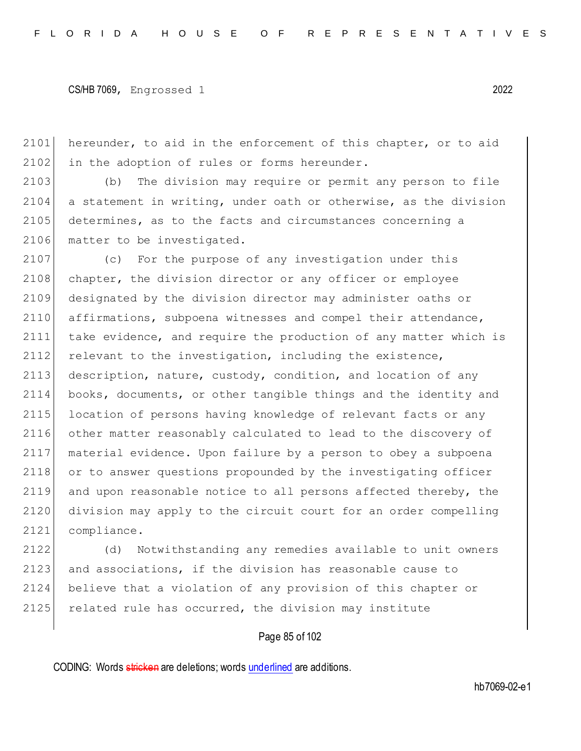2101 hereunder, to aid in the enforcement of this chapter, or to aid  $2102$  in the adoption of rules or forms hereunder.

2103 (b) The division may require or permit any person to file  $2104$  a statement in writing, under oath or otherwise, as the division 2105 determines, as to the facts and circumstances concerning a 2106 matter to be investigated.

2107 (c) For the purpose of any investigation under this 2108 chapter, the division director or any officer or employee 2109 designated by the division director may administer oaths or 2110 affirmations, subpoena witnesses and compel their attendance, 2111 take evidence, and require the production of any matter which is 2112 relevant to the investigation, including the existence, 2113 description, nature, custody, condition, and location of any 2114 books, documents, or other tangible things and the identity and 2115 location of persons having knowledge of relevant facts or any 2116 other matter reasonably calculated to lead to the discovery of 2117 material evidence. Upon failure by a person to obey a subpoena 2118 or to answer questions propounded by the investigating officer 2119 and upon reasonable notice to all persons affected thereby, the 2120 division may apply to the circuit court for an order compelling 2121 compliance.

 (d) Notwithstanding any remedies available to unit owners and associations, if the division has reasonable cause to believe that a violation of any provision of this chapter or 2125 related rule has occurred, the division may institute

## Page 85 of 102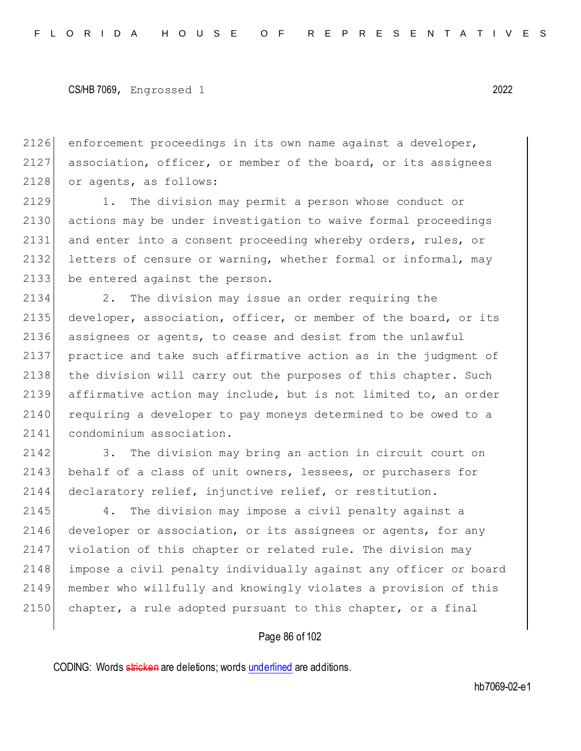2126 enforcement proceedings in its own name against a developer, 2127 association, officer, or member of the board, or its assignees 2128 or agents, as follows:

2129 1. The division may permit a person whose conduct or 2130 actions may be under investigation to waive formal proceedings 2131 and enter into a consent proceeding whereby orders, rules, or 2132 letters of censure or warning, whether formal or informal, may 2133 be entered against the person.

 2. The division may issue an order requiring the developer, association, officer, or member of the board, or its assignees or agents, to cease and desist from the unlawful practice and take such affirmative action as in the judgment of 2138 the division will carry out the purposes of this chapter. Such affirmative action may include, but is not limited to, an order 2140 requiring a developer to pay moneys determined to be owed to a 2141 condominium association.

2142 3. The division may bring an action in circuit court on 2143 behalf of a class of unit owners, lessees, or purchasers for 2144 declaratory relief, injunctive relief, or restitution.

2145 4. The division may impose a civil penalty against a 2146 developer or association, or its assignees or agents, for any 2147 violation of this chapter or related rule. The division may 2148 impose a civil penalty individually against any officer or board 2149 member who willfully and knowingly violates a provision of this  $2150$  chapter, a rule adopted pursuant to this chapter, or a final

#### Page 86 of 102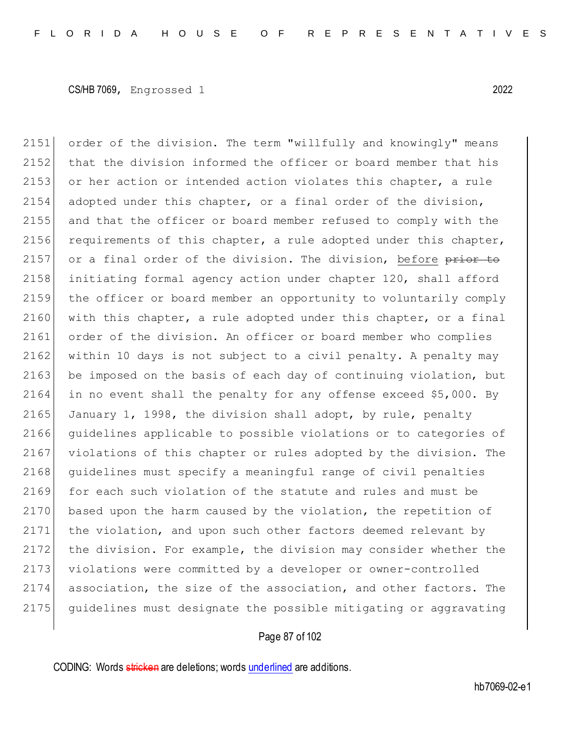2151 order of the division. The term "willfully and knowingly" means 2152 that the division informed the officer or board member that his 2153 or her action or intended action violates this chapter, a rule 2154 adopted under this chapter, or a final order of the division, 2155 and that the officer or board member refused to comply with the 2156 requirements of this chapter, a rule adopted under this chapter, 2157 or a final order of the division. The division, before  $\frac{\text{prior}}{\text{top}}$  to 2158 initiating formal agency action under chapter 120, shall afford 2159 the officer or board member an opportunity to voluntarily comply 2160 with this chapter, a rule adopted under this chapter, or a final 2161 order of the division. An officer or board member who complies 2162 within 10 days is not subject to a civil penalty. A penalty may 2163 be imposed on the basis of each day of continuing violation, but 2164 in no event shall the penalty for any offense exceed \$5,000. By 2165 January 1, 1998, the division shall adopt, by rule, penalty 2166 guidelines applicable to possible violations or to categories of 2167 violations of this chapter or rules adopted by the division. The 2168 guidelines must specify a meaningful range of civil penalties 2169 for each such violation of the statute and rules and must be 2170 based upon the harm caused by the violation, the repetition of 2171 the violation, and upon such other factors deemed relevant by 2172 the division. For example, the division may consider whether the 2173 violations were committed by a developer or owner-controlled 2174 association, the size of the association, and other factors. The 2175 guidelines must designate the possible mitigating or aggravating

#### Page 87 of 102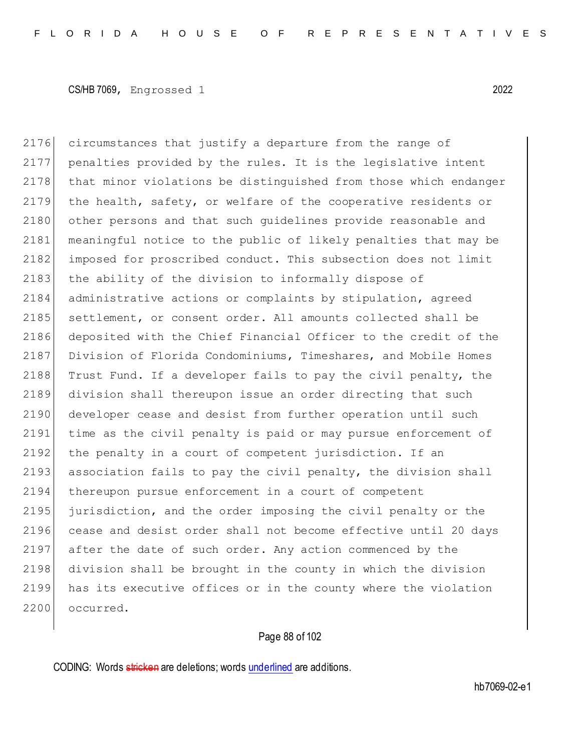2176 circumstances that justify a departure from the range of 2177 penalties provided by the rules. It is the legislative intent 2178 that minor violations be distinguished from those which endanger 2179 the health, safety, or welfare of the cooperative residents or 2180 other persons and that such quidelines provide reasonable and 2181 meaningful notice to the public of likely penalties that may be 2182 imposed for proscribed conduct. This subsection does not limit 2183 the ability of the division to informally dispose of 2184 administrative actions or complaints by stipulation, agreed 2185 settlement, or consent order. All amounts collected shall be 2186 deposited with the Chief Financial Officer to the credit of the 2187 Division of Florida Condominiums, Timeshares, and Mobile Homes 2188 Trust Fund. If a developer fails to pay the civil penalty, the 2189 division shall thereupon issue an order directing that such 2190 developer cease and desist from further operation until such 2191 time as the civil penalty is paid or may pursue enforcement of 2192 the penalty in a court of competent jurisdiction. If an 2193 association fails to pay the civil penalty, the division shall 2194 thereupon pursue enforcement in a court of competent 2195 jurisdiction, and the order imposing the civil penalty or the 2196 cease and desist order shall not become effective until 20 days 2197 after the date of such order. Any action commenced by the 2198 division shall be brought in the county in which the division 2199 has its executive offices or in the county where the violation 2200 occurred.

# Page 88 of 102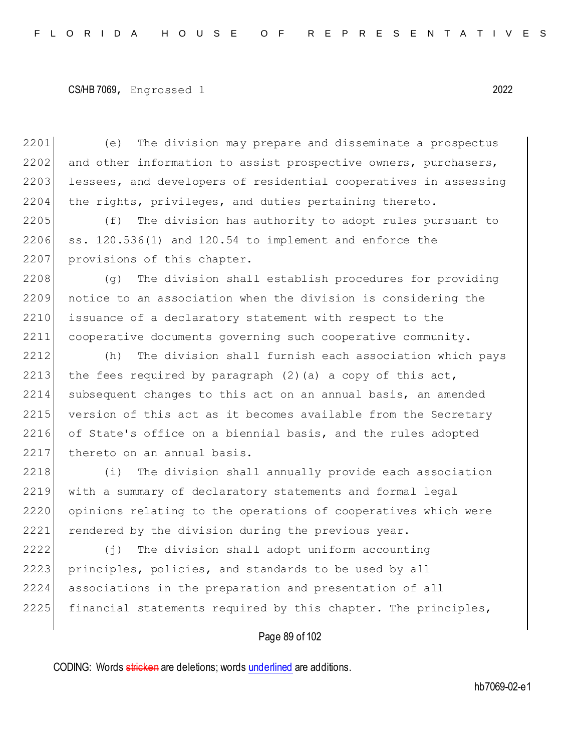2201 (e) The division may prepare and disseminate a prospectus 2202 and other information to assist prospective owners, purchasers, 2203 lessees, and developers of residential cooperatives in assessing 2204 the rights, privileges, and duties pertaining thereto.

2205 (f) The division has authority to adopt rules pursuant to  $2206$  ss.  $120.536(1)$  and  $120.54$  to implement and enforce the 2207 provisions of this chapter.

2208 (g) The division shall establish procedures for providing 2209 notice to an association when the division is considering the 2210 issuance of a declaratory statement with respect to the 2211 cooperative documents governing such cooperative community.

2212 (h) The division shall furnish each association which pays 2213 the fees required by paragraph  $(2)$  (a) a copy of this act, 2214 subsequent changes to this act on an annual basis, an amended 2215 version of this act as it becomes available from the Secretary 2216 of State's office on a biennial basis, and the rules adopted 2217 thereto on an annual basis.

2218 (i) The division shall annually provide each association 2219 with a summary of declaratory statements and formal legal 2220 opinions relating to the operations of cooperatives which were 2221 rendered by the division during the previous year.

2222 (j) The division shall adopt uniform accounting 2223 principles, policies, and standards to be used by all 2224 associations in the preparation and presentation of all 2225 financial statements required by this chapter. The principles,

#### Page 89 of 102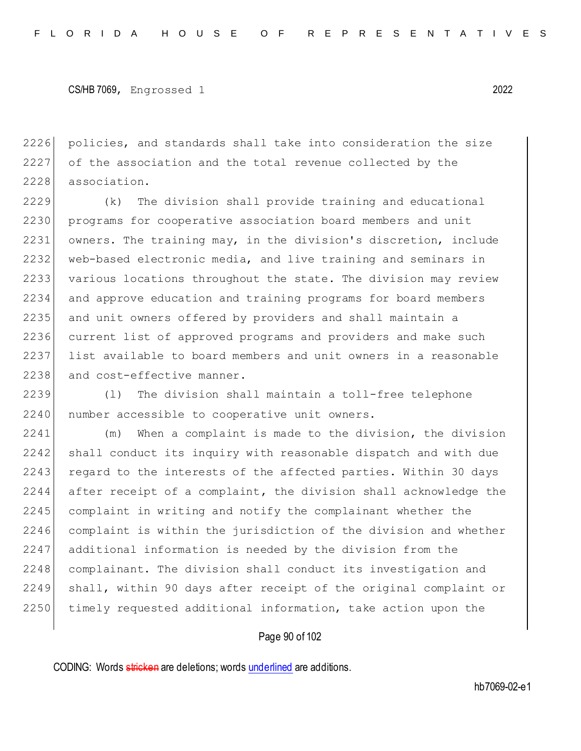2226 policies, and standards shall take into consideration the size 2227 of the association and the total revenue collected by the 2228 association.

2229 (k) The division shall provide training and educational 2230 programs for cooperative association board members and unit 2231 owners. The training may, in the division's discretion, include 2232 web-based electronic media, and live training and seminars in 2233 various locations throughout the state. The division may review 2234 and approve education and training programs for board members 2235 and unit owners offered by providers and shall maintain a 2236 current list of approved programs and providers and make such 2237 list available to board members and unit owners in a reasonable 2238 and cost-effective manner.

2239 (l) The division shall maintain a toll-free telephone 2240 | number accessible to cooperative unit owners.

2241 (m) When a complaint is made to the division, the division 2242 shall conduct its inquiry with reasonable dispatch and with due 2243 regard to the interests of the affected parties. Within 30 days 2244 after receipt of a complaint, the division shall acknowledge the 2245 complaint in writing and notify the complainant whether the 2246 complaint is within the jurisdiction of the division and whether 2247 additional information is needed by the division from the 2248 complainant. The division shall conduct its investigation and 2249 shall, within 90 days after receipt of the original complaint or 2250 timely requested additional information, take action upon the

#### Page 90 of 102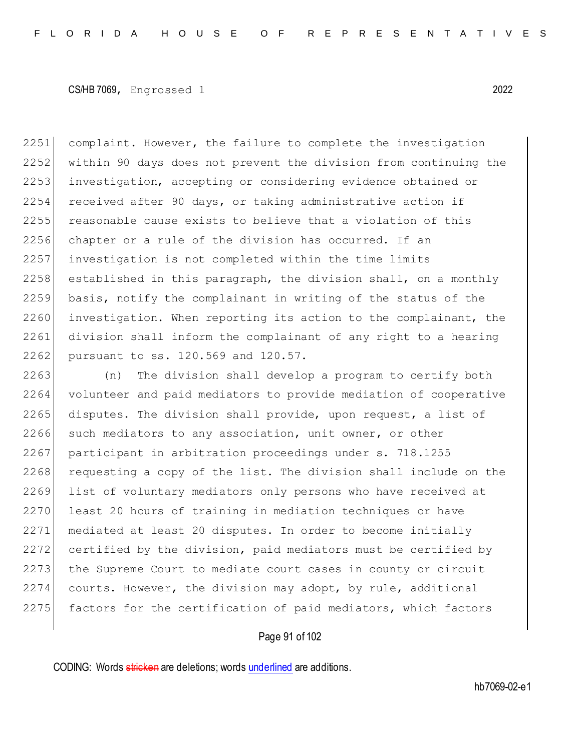2251 complaint. However, the failure to complete the investigation 2252 within 90 days does not prevent the division from continuing the 2253 investigation, accepting or considering evidence obtained or 2254 received after 90 days, or taking administrative action if 2255 reasonable cause exists to believe that a violation of this 2256 chapter or a rule of the division has occurred. If an 2257 investigation is not completed within the time limits  $2258$  established in this paragraph, the division shall, on a monthly 2259 basis, notify the complainant in writing of the status of the 2260 investigation. When reporting its action to the complainant, the 2261 division shall inform the complainant of any right to a hearing 2262 pursuant to ss. 120.569 and 120.57.

2263 (n) The division shall develop a program to certify both 2264 volunteer and paid mediators to provide mediation of cooperative 2265 disputes. The division shall provide, upon request, a list of 2266 such mediators to any association, unit owner, or other 2267 participant in arbitration proceedings under s. 718.1255 2268 requesting a copy of the list. The division shall include on the 2269 list of voluntary mediators only persons who have received at 2270 least 20 hours of training in mediation techniques or have 2271 mediated at least 20 disputes. In order to become initially 2272 certified by the division, paid mediators must be certified by 2273 the Supreme Court to mediate court cases in county or circuit 2274 courts. However, the division may adopt, by rule, additional 2275 factors for the certification of paid mediators, which factors

#### Page 91 of 102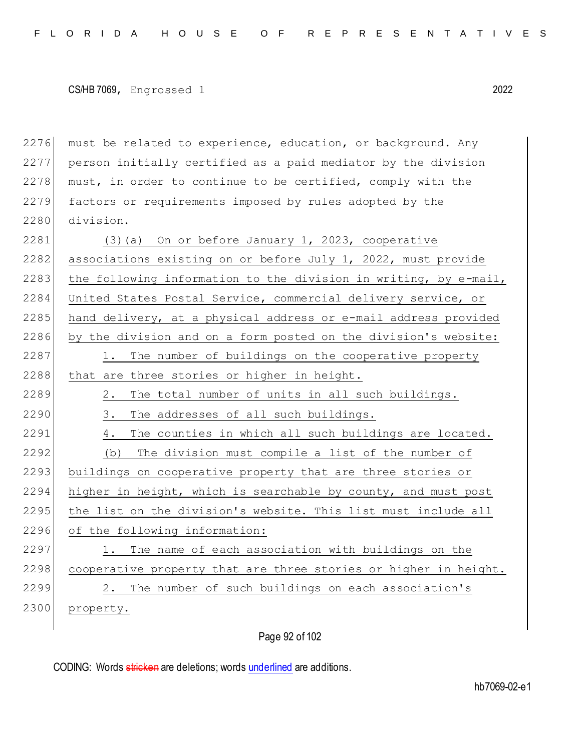must be related to experience, education, or background. Any person initially certified as a paid mediator by the division must, in order to continue to be certified, comply with the 2279 factors or requirements imposed by rules adopted by the division.

 $2281$  (3)(a) On or before January 1, 2023, cooperative 2282 associations existing on or before July 1, 2022, must provide 2283 the following information to the division in writing, by e-mail, 2284 United States Postal Service, commercial delivery service, or 2285 hand delivery, at a physical address or e-mail address provided 2286 by the division and on a form posted on the division's website: 2287 1. The number of buildings on the cooperative property  $2288$  that are three stories or higher in height. 2289 2. The total number of units in all such buildings. 2290 3. The addresses of all such buildings. 2291 4. The counties in which all such buildings are located. 2292 (b) The division must compile a list of the number of 2293 buildings on cooperative property that are three stories or 2294 higher in height, which is searchable by county, and must post  $2295$  the list on the division's website. This list must include all 2296 of the following information: 2297 1. The name of each association with buildings on the  $2298$  cooperative property that are three stories or higher in height. 2299 2. The number of such buildings on each association's 2300 property.

Page 92 of 102

CODING: Words stricken are deletions; words underlined are additions.

hb7069-02-e1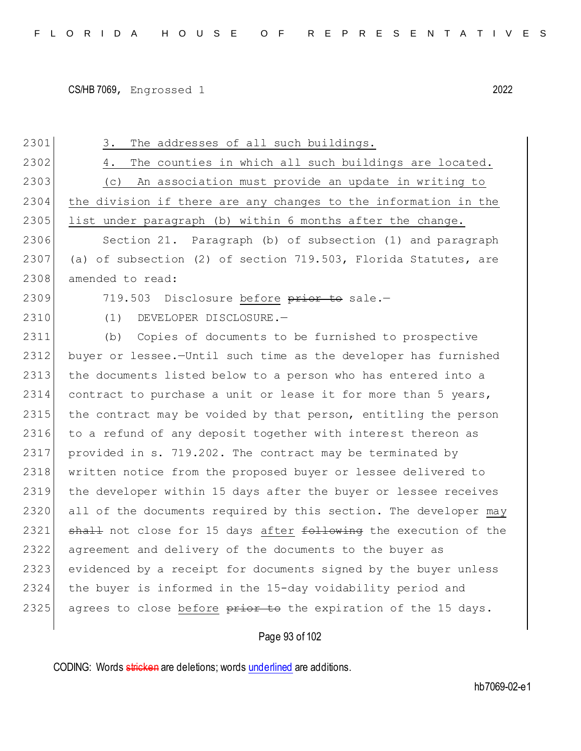2301 3. The addresses of all such buildings. 2302 4. The counties in which all such buildings are located. 2303 (c) An association must provide an update in writing to 2304 the division if there are any changes to the information in the  $2305$  list under paragraph (b) within 6 months after the change. 2306 Section 21. Paragraph (b) of subsection (1) and paragraph 2307 (a) of subsection (2) of section 719.503, Florida Statutes, are 2308 amended to read: 2309 719.503 Disclosure before prior to sale. 2310 (1) DEVELOPER DISCLOSURE.— 2311 (b) Copies of documents to be furnished to prospective 2312 buyer or lessee.—Until such time as the developer has furnished 2313 the documents listed below to a person who has entered into a 2314 contract to purchase a unit or lease it for more than 5 years, 2315 the contract may be voided by that person, entitling the person 2316 to a refund of any deposit together with interest thereon as 2317 provided in s. 719.202. The contract may be terminated by 2318 | written notice from the proposed buyer or lessee delivered to 2319 the developer within 15 days after the buyer or lessee receives 2320 all of the documents required by this section. The developer may 2321 shall not close for 15 days after following the execution of the 2322 agreement and delivery of the documents to the buyer as 2323 evidenced by a receipt for documents signed by the buyer unless 2324 the buyer is informed in the 15-day voidability period and 2325 agrees to close before  $\frac{1}{p}$  and the expiration of the 15 days.

Page 93 of 102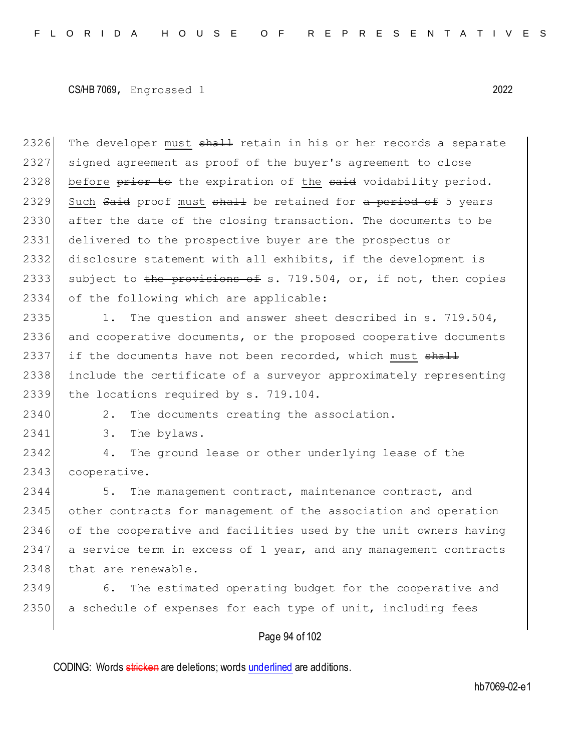2326 The developer must shall retain in his or her records a separate 2327 signed agreement as proof of the buyer's agreement to close 2328 before prior to the expiration of the said voidability period. 2329 Such Said proof must shall be retained for a period of 5 years 2330 after the date of the closing transaction. The documents to be 2331 delivered to the prospective buyer are the prospectus or 2332 disclosure statement with all exhibits, if the development is 2333 subject to the provisions of s. 719.504, or, if not, then copies 2334 of the following which are applicable:

2335 1. The question and answer sheet described in s. 719.504, 2336 and cooperative documents, or the proposed cooperative documents 2337 if the documents have not been recorded, which must  $\frac{1}{2}$ 2338 include the certificate of a surveyor approximately representing 2339 the locations required by s. 719.104.

2340 2. The documents creating the association.

2341 3. The bylaws.

2342 4. The ground lease or other underlying lease of the 2343 cooperative.

2344 5. The management contract, maintenance contract, and 2345 other contracts for management of the association and operation 2346 of the cooperative and facilities used by the unit owners having 2347 a service term in excess of 1 year, and any management contracts 2348 that are renewable.

2349 6. The estimated operating budget for the cooperative and 2350 a schedule of expenses for each type of unit, including fees

## Page 94 of 102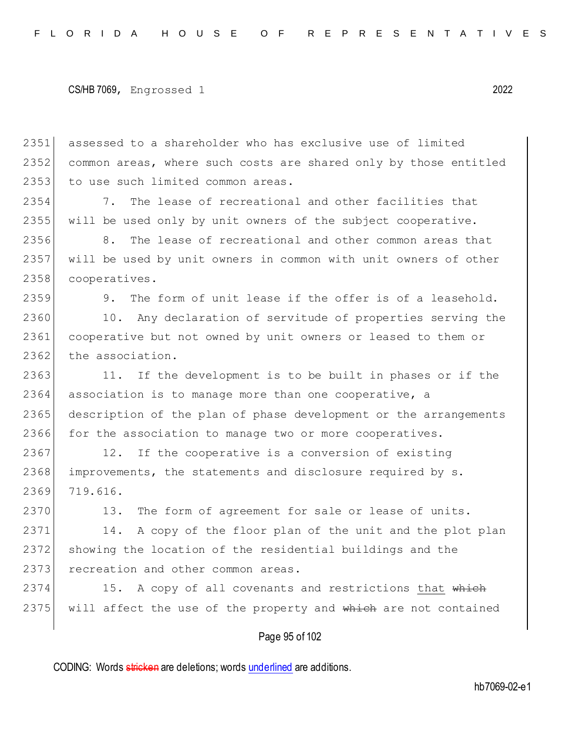2351 assessed to a shareholder who has exclusive use of limited 2352 common areas, where such costs are shared only by those entitled 2353 to use such limited common areas.

2354 7. The lease of recreational and other facilities that 2355 will be used only by unit owners of the subject cooperative.

2356 8. The lease of recreational and other common areas that 2357 will be used by unit owners in common with unit owners of other 2358 cooperatives.

2359 9. The form of unit lease if the offer is of a leasehold.

2360 10. Any declaration of servitude of properties serving the 2361 cooperative but not owned by unit owners or leased to them or 2362 the association.

2363 11. If the development is to be built in phases or if the 2364 association is to manage more than one cooperative, a 2365 description of the plan of phase development or the arrangements 2366 for the association to manage two or more cooperatives.

2367 12. If the cooperative is a conversion of existing 2368 improvements, the statements and disclosure required by s. 2369 719.616.

2370 13. The form of agreement for sale or lease of units.

2371 14. A copy of the floor plan of the unit and the plot plan 2372 showing the location of the residential buildings and the 2373 recreation and other common areas.

2374 15. A copy of all covenants and restrictions that which 2375 will affect the use of the property and which are not contained

#### Page 95 of 102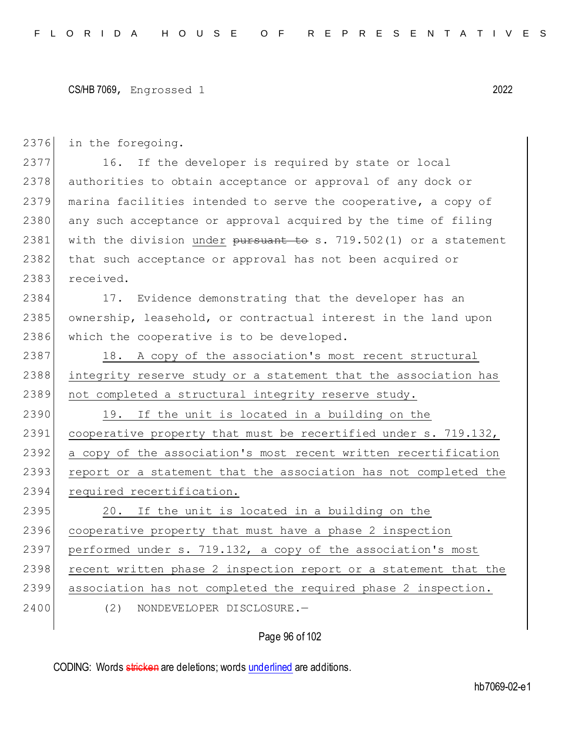| 2376 | in the foregoing.                                                |
|------|------------------------------------------------------------------|
| 2377 | 16. If the developer is required by state or local               |
| 2378 | authorities to obtain acceptance or approval of any dock or      |
| 2379 | marina facilities intended to serve the cooperative, a copy of   |
| 2380 | any such acceptance or approval acquired by the time of filing   |
| 2381 | with the division under pursuant to s. 719.502(1) or a statement |
| 2382 | that such acceptance or approval has not been acquired or        |
| 2383 | received.                                                        |
| 2384 | 17. Evidence demonstrating that the developer has an             |
| 2385 | ownership, leasehold, or contractual interest in the land upon   |
| 2386 | which the cooperative is to be developed.                        |
| 2387 | 18. A copy of the association's most recent structural           |
| 2388 | integrity reserve study or a statement that the association has  |
| 2389 | not completed a structural integrity reserve study.              |
| 2390 | 19. If the unit is located in a building on the                  |
| 2391 | cooperative property that must be recertified under s. 719.132,  |
| 2392 | a copy of the association's most recent written recertification  |
| 2393 | report or a statement that the association has not completed the |
| 2394 | required recertification.                                        |
| 2395 | 20. If the unit is located in a building on the                  |
| 2396 | cooperative property that must have a phase 2 inspection         |
| 2397 | performed under s. 719.132, a copy of the association's most     |
| 2398 | recent written phase 2 inspection report or a statement that the |
| 2399 | association has not completed the required phase 2 inspection.   |
| 2400 | (2)<br>NONDEVELOPER DISCLOSURE.-                                 |
|      |                                                                  |

# Page 96 of 102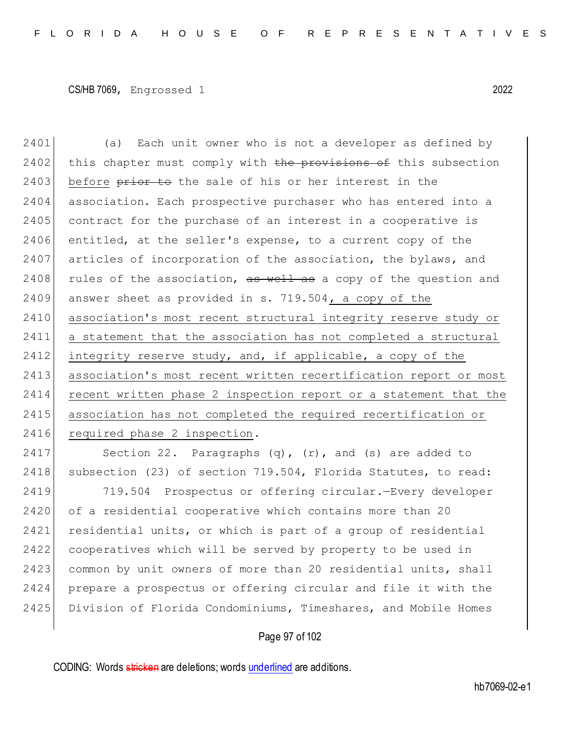2401 (a) Each unit owner who is not a developer as defined by 2402 this chapter must comply with the provisions of this subsection 2403 before prior to the sale of his or her interest in the 2404 association. Each prospective purchaser who has entered into a  $2405$  contract for the purchase of an interest in a cooperative is  $2406$  entitled, at the seller's expense, to a current copy of the 2407 articles of incorporation of the association, the bylaws, and 2408 rules of the association,  $\frac{1}{x}$  as well as a copy of the question and 2409 answer sheet as provided in s. 719.504, a copy of the 2410 association's most recent structural integrity reserve study or 2411 a statement that the association has not completed a structural 2412 integrity reserve study, and, if applicable, a copy of the 2413 association's most recent written recertification report or most 2414 recent written phase 2 inspection report or a statement that the 2415 association has not completed the required recertification or 2416 required phase 2 inspection.

2417 Section 22. Paragraphs (q), (r), and (s) are added to 2418 | subsection (23) of section 719.504, Florida Statutes, to read:

2419 719.504 Prospectus or offering circular.—Every developer 2420 of a residential cooperative which contains more than 20 2421 residential units, or which is part of a group of residential 2422 cooperatives which will be served by property to be used in 2423 common by unit owners of more than 20 residential units, shall 2424 prepare a prospectus or offering circular and file it with the 2425 Division of Florida Condominiums, Timeshares, and Mobile Homes

## Page 97 of 102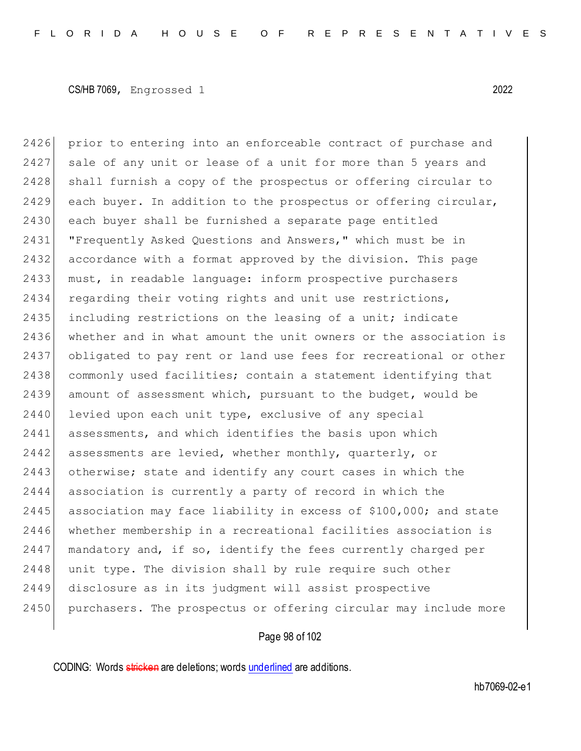2426 prior to entering into an enforceable contract of purchase and 2427 sale of any unit or lease of a unit for more than 5 years and 2428 shall furnish a copy of the prospectus or offering circular to  $2429$  each buyer. In addition to the prospectus or offering circular, 2430 each buyer shall be furnished a separate page entitled 2431 **"Frequently Asked Questions and Answers," which must be in** 2432 accordance with a format approved by the division. This page 2433 must, in readable language: inform prospective purchasers 2434 regarding their voting rights and unit use restrictions, 2435 including restrictions on the leasing of a unit; indicate 2436 whether and in what amount the unit owners or the association is 2437 obligated to pay rent or land use fees for recreational or other 2438 commonly used facilities; contain a statement identifying that 2439 amount of assessment which, pursuant to the budget, would be 2440 levied upon each unit type, exclusive of any special 2441 assessments, and which identifies the basis upon which  $2442$  assessments are levied, whether monthly, quarterly, or 2443 otherwise; state and identify any court cases in which the 2444 association is currently a party of record in which the 2445 association may face liability in excess of \$100,000; and state 2446 whether membership in a recreational facilities association is 2447 | mandatory and, if so, identify the fees currently charged per 2448 unit type. The division shall by rule require such other 2449 disclosure as in its judgment will assist prospective 2450 purchasers. The prospectus or offering circular may include more

## Page 98 of 102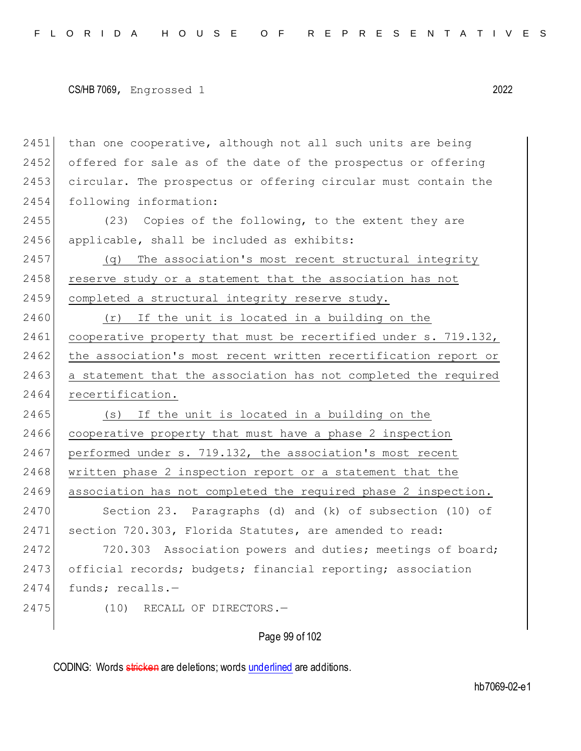2451 than one cooperative, although not all such units are being 2452 offered for sale as of the date of the prospectus or offering 2453 circular. The prospectus or offering circular must contain the 2454 following information:

2455 (23) Copies of the following, to the extent they are 2456 applicable, shall be included as exhibits:

2457 (q) The association's most recent structural integrity 2458 reserve study or a statement that the association has not 2459 completed a structural integrity reserve study.

2460 (r) If the unit is located in a building on the 2461 cooperative property that must be recertified under s. 719.132, 2462 the association's most recent written recertification report or 2463 a statement that the association has not completed the required 2464 recertification.

2465 (s) If the unit is located in a building on the 2466 cooperative property that must have a phase 2 inspection 2467 performed under s. 719.132, the association's most recent 2468 written phase 2 inspection report or a statement that the 2469 association has not completed the required phase 2 inspection.

2470 Section 23. Paragraphs (d) and (k) of subsection (10) of 2471 section 720.303, Florida Statutes, are amended to read:

2472 720.303 Association powers and duties; meetings of board; 2473 official records; budgets; financial reporting; association 2474 funds; recalls.-

2475 (10) RECALL OF DIRECTORS.—

#### Page 99 of 102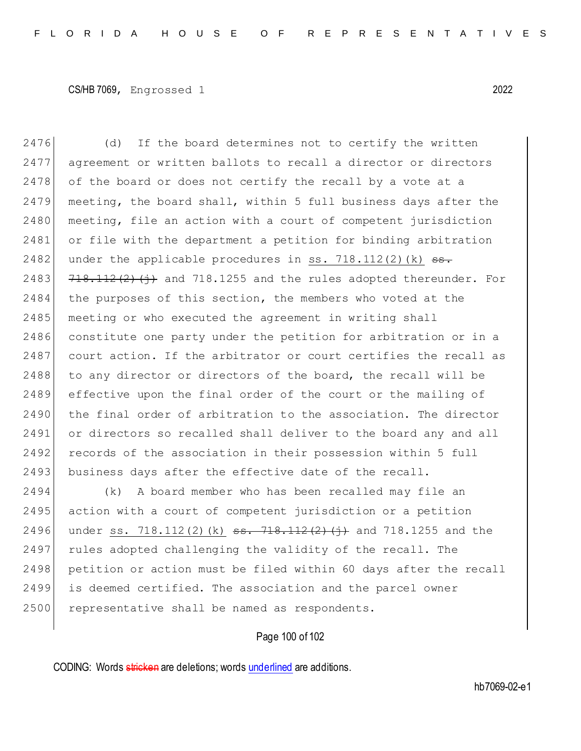2476 (d) If the board determines not to certify the written 2477 agreement or written ballots to recall a director or directors 2478 of the board or does not certify the recall by a vote at a 2479 meeting, the board shall, within 5 full business days after the  $2480$  meeting, file an action with a court of competent jurisdiction 2481 or file with the department a petition for binding arbitration 2482 under the applicable procedures in ss.  $718.112(2)(k)$   $\overline{\phantom{2}}$ 2483  $718.112(2)(i)$  and 718.1255 and the rules adopted thereunder. For 2484 the purposes of this section, the members who voted at the 2485 meeting or who executed the agreement in writing shall 2486 constitute one party under the petition for arbitration or in a 2487 court action. If the arbitrator or court certifies the recall as 2488 to any director or directors of the board, the recall will be 2489 effective upon the final order of the court or the mailing of 2490 the final order of arbitration to the association. The director 2491 or directors so recalled shall deliver to the board any and all 2492 records of the association in their possession within 5 full 2493 business days after the effective date of the recall. 2494 (k) A board member who has been recalled may file an 2495 action with a court of competent jurisdiction or a petition

2496 under ss. 718.112(2)(k)  $ss. 718.112(2)(j)$  and 718.1255 and the 2497 rules adopted challenging the validity of the recall. The 2498 petition or action must be filed within 60 days after the recall 2499 is deemed certified. The association and the parcel owner 2500 representative shall be named as respondents.

Page 100 of 102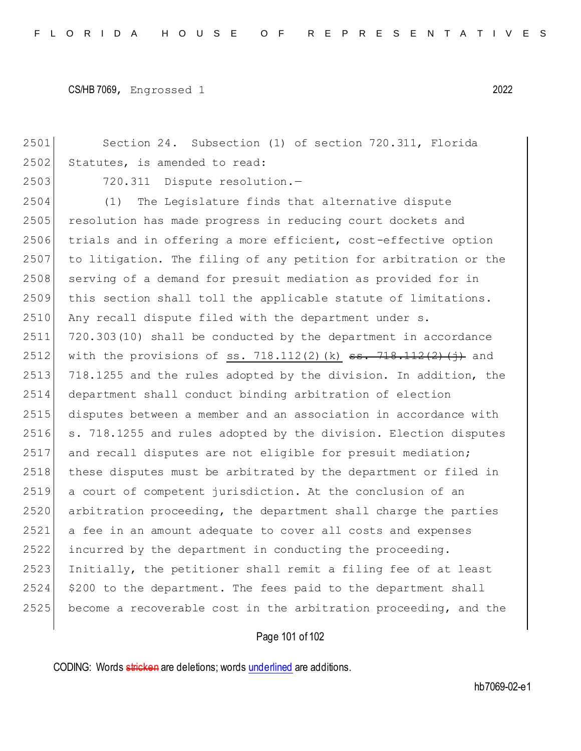Section 24. Subsection (1) of section 720.311, Florida 2502 Statutes, is amended to read: 2503 720.311 Dispute resolution.- (1) The Legislature finds that alternative dispute 2505 resolution has made progress in reducing court dockets and trials and in offering a more efficient, cost-effective option to litigation. The filing of any petition for arbitration or the 2508 serving of a demand for presuit mediation as provided for in this section shall toll the applicable statute of limitations. 2510 Any recall dispute filed with the department under s. 720.303(10) shall be conducted by the department in accordance 2512 with the provisions of ss. 718.112(2)(k)  $\frac{1}{2}$ ,  $\frac{1}{2}$ ,  $\frac{1}{2}$ ,  $\frac{1}{2}$  ( $\frac{1}{2}$ ) and 2513 718.1255 and the rules adopted by the division. In addition, the department shall conduct binding arbitration of election disputes between a member and an association in accordance with s. 718.1255 and rules adopted by the division. Election disputes and recall disputes are not eligible for presuit mediation; 2518 these disputes must be arbitrated by the department or filed in a court of competent jurisdiction. At the conclusion of an arbitration proceeding, the department shall charge the parties a fee in an amount adequate to cover all costs and expenses incurred by the department in conducting the proceeding. Initially, the petitioner shall remit a filing fee of at least \$200 to the department. The fees paid to the department shall 2525 become a recoverable cost in the arbitration proceeding, and the

# Page 101 of 102